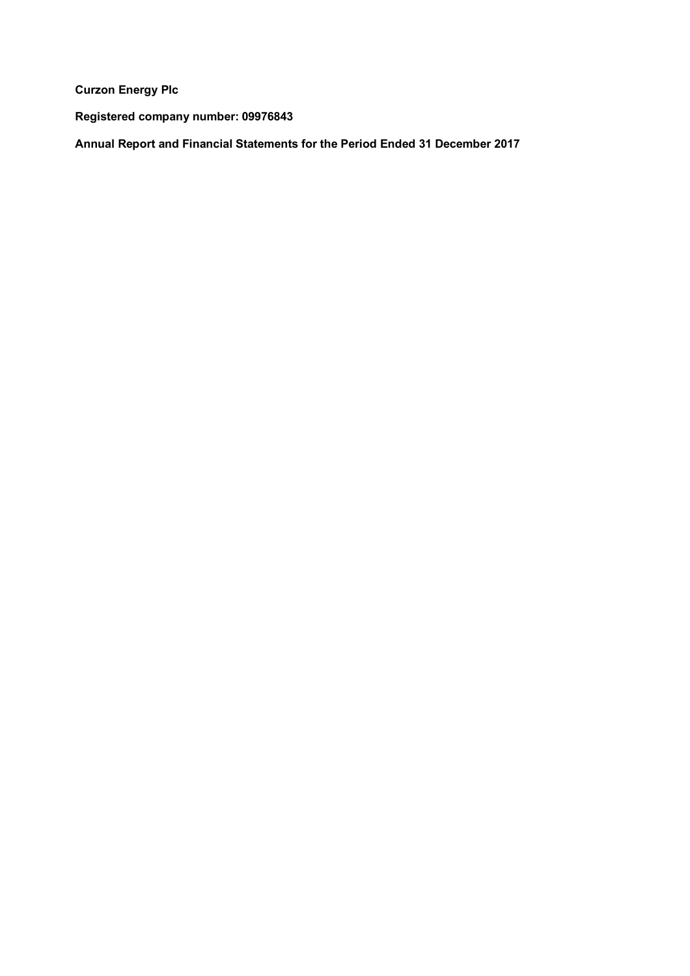**Curzon Energy Plc** 

**Registered company number: 09976843**

**Annual Report and Financial Statements for the Period Ended 31 December 2017**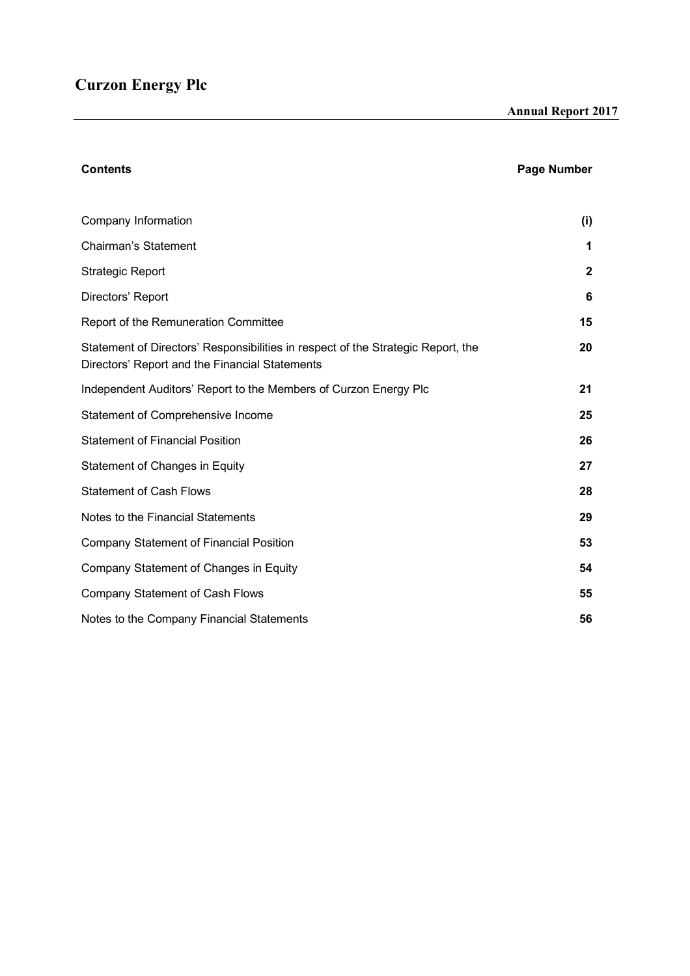## **Contents Page Number**

| Company Information                                                                                                                | (i)          |
|------------------------------------------------------------------------------------------------------------------------------------|--------------|
| <b>Chairman's Statement</b>                                                                                                        | 1            |
| <b>Strategic Report</b>                                                                                                            | $\mathbf{2}$ |
| Directors' Report                                                                                                                  | 6            |
| Report of the Remuneration Committee                                                                                               | 15           |
| Statement of Directors' Responsibilities in respect of the Strategic Report, the<br>Directors' Report and the Financial Statements | 20           |
| Independent Auditors' Report to the Members of Curzon Energy Plc                                                                   | 21           |
| Statement of Comprehensive Income                                                                                                  | 25           |
| <b>Statement of Financial Position</b>                                                                                             | 26           |
| Statement of Changes in Equity                                                                                                     | 27           |
| <b>Statement of Cash Flows</b>                                                                                                     | 28           |
| Notes to the Financial Statements                                                                                                  | 29           |
| <b>Company Statement of Financial Position</b>                                                                                     | 53           |
| Company Statement of Changes in Equity                                                                                             | 54           |
| Company Statement of Cash Flows                                                                                                    | 55           |
| Notes to the Company Financial Statements                                                                                          | 56           |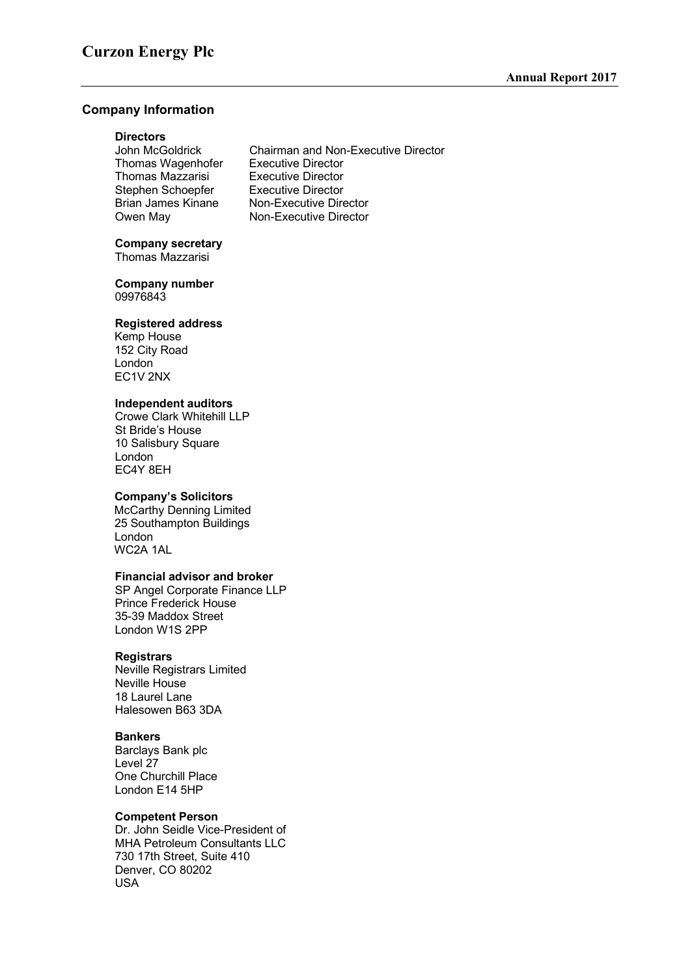### **Company Information**

#### **Directors**

Thomas Wagenhofer Executive Director Thomas Mazzarisi Stephen Schoepfer Executive Director

John McGoldrick Chairman and Non-Executive Director<br>Thomas Wagenhofer Executive Director Brian James Kinane Non-Executive Director<br>
Owen May Non-Executive Director Non-Executive Director

**Company secretary** Thomas Mazzarisi

**Company number** 09976843

### **Registered address**

 Kemp House 152 City Road London EC1V 2NX

#### **Independent auditors**

Crowe Clark Whitehill LLP St Bride's House 10 Salisbury Square London EC4Y 8EH

#### **Company's Solicitors**

 McCarthy Denning Limited 25 Southampton Buildings London WC2A 1AL

#### **Financial advisor and broker**

SP Angel Corporate Finance LLP Prince Frederick House 35-39 Maddox Street London W1S 2PP

#### **Registrars**

Neville Registrars Limited Neville House 18 Laurel Lane Halesowen B63 3DA

#### **Bankers**

Barclays Bank plc Level 27 One Churchill Place London E14 5HP

#### **Competent Person**

Dr. John Seidle Vice-President of MHA Petroleum Consultants LLC 730 17th Street, Suite 410 Denver, CO 80202 USA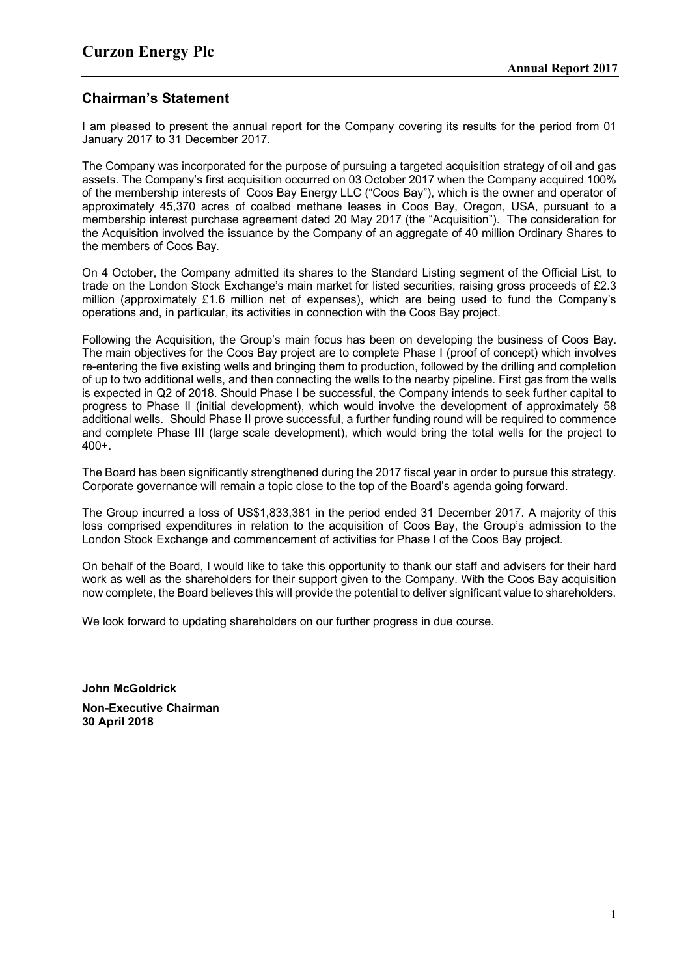### **Chairman's Statement**

I am pleased to present the annual report for the Company covering its results for the period from 01 January 2017 to 31 December 2017.

The Company was incorporated for the purpose of pursuing a targeted acquisition strategy of oil and gas assets. The Company's first acquisition occurred on 03 October 2017 when the Company acquired 100% of the membership interests of Coos Bay Energy LLC ("Coos Bay"), which is the owner and operator of approximately 45,370 acres of coalbed methane leases in Coos Bay, Oregon, USA, pursuant to a membership interest purchase agreement dated 20 May 2017 (the "Acquisition"). The consideration for the Acquisition involved the issuance by the Company of an aggregate of 40 million Ordinary Shares to the members of Coos Bay.

On 4 October, the Company admitted its shares to the Standard Listing segment of the Official List, to trade on the London Stock Exchange's main market for listed securities, raising gross proceeds of £2.3 million (approximately £1.6 million net of expenses), which are being used to fund the Company's operations and, in particular, its activities in connection with the Coos Bay project.

Following the Acquisition, the Group's main focus has been on developing the business of Coos Bay. The main objectives for the Coos Bay project are to complete Phase I (proof of concept) which involves re-entering the five existing wells and bringing them to production, followed by the drilling and completion of up to two additional wells, and then connecting the wells to the nearby pipeline. First gas from the wells is expected in Q2 of 2018. Should Phase I be successful, the Company intends to seek further capital to progress to Phase II (initial development), which would involve the development of approximately 58 additional wells. Should Phase II prove successful, a further funding round will be required to commence and complete Phase III (large scale development), which would bring the total wells for the project to 400+.

The Board has been significantly strengthened during the 2017 fiscal year in order to pursue this strategy. Corporate governance will remain a topic close to the top of the Board's agenda going forward.

The Group incurred a loss of US\$1,833,381 in the period ended 31 December 2017. A majority of this loss comprised expenditures in relation to the acquisition of Coos Bay, the Group's admission to the London Stock Exchange and commencement of activities for Phase I of the Coos Bay project.

On behalf of the Board, I would like to take this opportunity to thank our staff and advisers for their hard work as well as the shareholders for their support given to the Company. With the Coos Bay acquisition now complete, the Board believes this will provide the potential to deliver significant value to shareholders.

We look forward to updating shareholders on our further progress in due course.

**John McGoldrick Non-Executive Chairman 30 April 2018**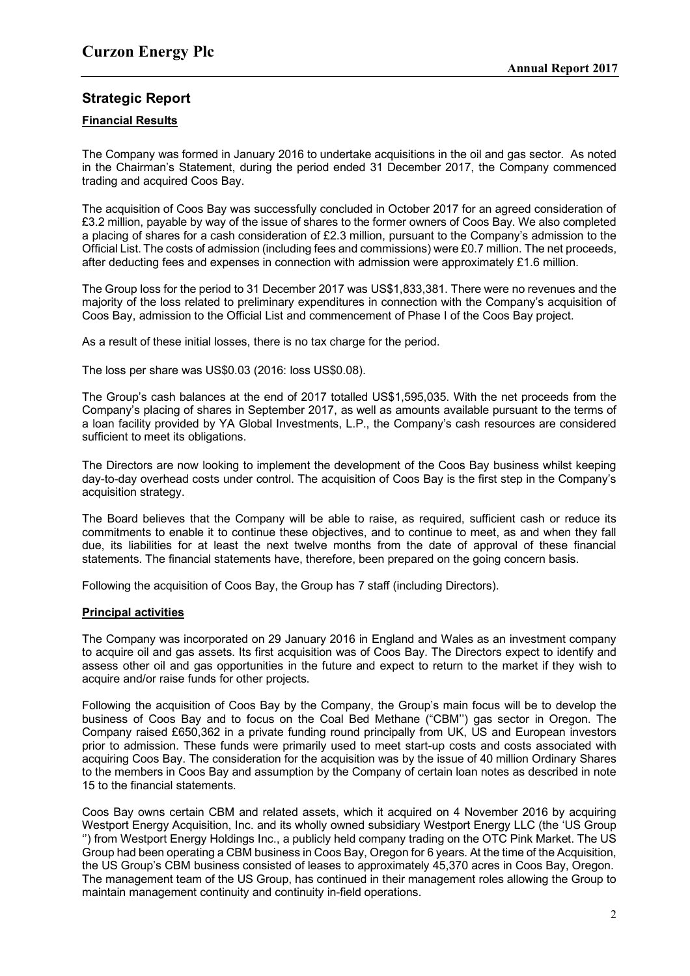### **Strategic Report**

### **Financial Results**

The Company was formed in January 2016 to undertake acquisitions in the oil and gas sector. As noted in the Chairman's Statement, during the period ended 31 December 2017, the Company commenced trading and acquired Coos Bay.

The acquisition of Coos Bay was successfully concluded in October 2017 for an agreed consideration of £3.2 million, payable by way of the issue of shares to the former owners of Coos Bay. We also completed a placing of shares for a cash consideration of £2.3 million, pursuant to the Company's admission to the Official List. The costs of admission (including fees and commissions) were £0.7 million. The net proceeds, after deducting fees and expenses in connection with admission were approximately £1.6 million.

The Group loss for the period to 31 December 2017 was US\$1,833,381. There were no revenues and the majority of the loss related to preliminary expenditures in connection with the Company's acquisition of Coos Bay, admission to the Official List and commencement of Phase I of the Coos Bay project.

As a result of these initial losses, there is no tax charge for the period.

The loss per share was US\$0.03 (2016: loss US\$0.08).

The Group's cash balances at the end of 2017 totalled US\$1,595,035. With the net proceeds from the Company's placing of shares in September 2017, as well as amounts available pursuant to the terms of a loan facility provided by YA Global Investments, L.P., the Company's cash resources are considered sufficient to meet its obligations.

The Directors are now looking to implement the development of the Coos Bay business whilst keeping day-to-day overhead costs under control. The acquisition of Coos Bay is the first step in the Company's acquisition strategy.

The Board believes that the Company will be able to raise, as required, sufficient cash or reduce its commitments to enable it to continue these objectives, and to continue to meet, as and when they fall due, its liabilities for at least the next twelve months from the date of approval of these financial statements. The financial statements have, therefore, been prepared on the going concern basis.

Following the acquisition of Coos Bay, the Group has 7 staff (including Directors).

#### **Principal activities**

The Company was incorporated on 29 January 2016 in England and Wales as an investment company to acquire oil and gas assets. Its first acquisition was of Coos Bay. The Directors expect to identify and assess other oil and gas opportunities in the future and expect to return to the market if they wish to acquire and/or raise funds for other projects.

Following the acquisition of Coos Bay by the Company, the Group's main focus will be to develop the business of Coos Bay and to focus on the Coal Bed Methane ("CBM'') gas sector in Oregon. The Company raised £650,362 in a private funding round principally from UK, US and European investors prior to admission. These funds were primarily used to meet start-up costs and costs associated with acquiring Coos Bay. The consideration for the acquisition was by the issue of 40 million Ordinary Shares to the members in Coos Bay and assumption by the Company of certain loan notes as described in note 15 to the financial statements.

Coos Bay owns certain CBM and related assets, which it acquired on 4 November 2016 by acquiring Westport Energy Acquisition, Inc. and its wholly owned subsidiary Westport Energy LLC (the 'US Group '') from Westport Energy Holdings Inc., a publicly held company trading on the OTC Pink Market. The US Group had been operating a CBM business in Coos Bay, Oregon for 6 years. At the time of the Acquisition, the US Group's CBM business consisted of leases to approximately 45,370 acres in Coos Bay, Oregon. The management team of the US Group, has continued in their management roles allowing the Group to maintain management continuity and continuity in-field operations.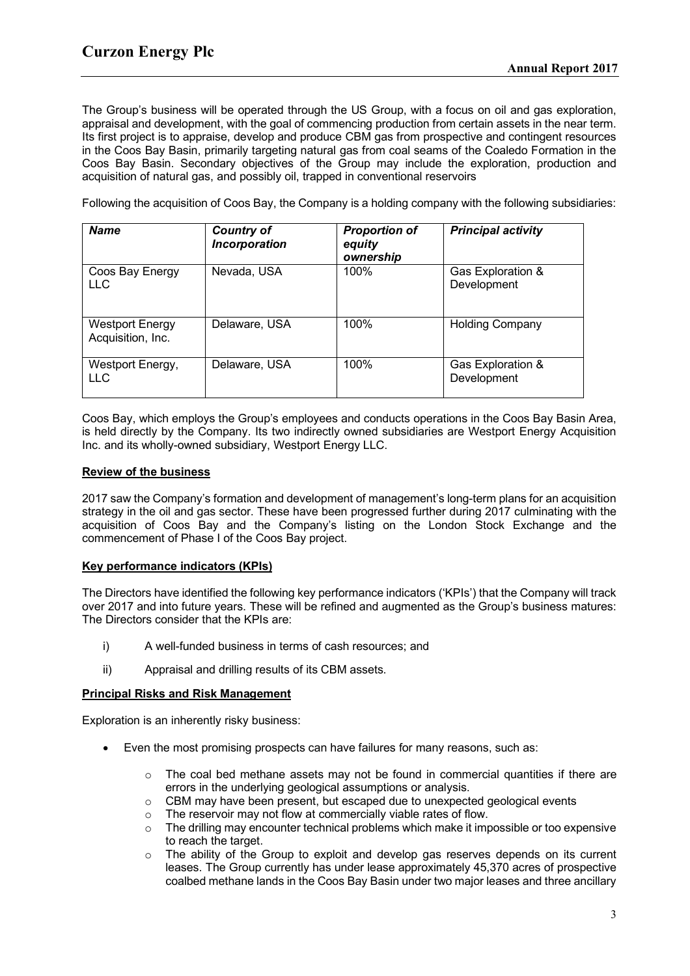The Group's business will be operated through the US Group, with a focus on oil and gas exploration, appraisal and development, with the goal of commencing production from certain assets in the near term. Its first project is to appraise, develop and produce CBM gas from prospective and contingent resources in the Coos Bay Basin, primarily targeting natural gas from coal seams of the Coaledo Formation in the Coos Bay Basin. Secondary objectives of the Group may include the exploration, production and acquisition of natural gas, and possibly oil, trapped in conventional reservoirs

Following the acquisition of Coos Bay, the Company is a holding company with the following subsidiaries:

| <b>Name</b>                                 | <b>Country of</b><br>Incorporation | <b>Proportion of</b><br>equity<br>ownership | <b>Principal activity</b>        |
|---------------------------------------------|------------------------------------|---------------------------------------------|----------------------------------|
| Coos Bay Energy<br><b>LLC</b>               | Nevada, USA                        | 100%                                        | Gas Exploration &<br>Development |
| <b>Westport Energy</b><br>Acquisition, Inc. | Delaware, USA                      | 100%                                        | <b>Holding Company</b>           |
| Westport Energy,<br>LLC                     | Delaware, USA                      | 100%                                        | Gas Exploration &<br>Development |

Coos Bay, which employs the Group's employees and conducts operations in the Coos Bay Basin Area, is held directly by the Company. Its two indirectly owned subsidiaries are Westport Energy Acquisition Inc. and its wholly-owned subsidiary, Westport Energy LLC.

#### **Review of the business**

2017 saw the Company's formation and development of management's long-term plans for an acquisition strategy in the oil and gas sector. These have been progressed further during 2017 culminating with the acquisition of Coos Bay and the Company's listing on the London Stock Exchange and the commencement of Phase I of the Coos Bay project.

#### **Key performance indicators (KPIs)**

The Directors have identified the following key performance indicators ('KPIs') that the Company will track over 2017 and into future years. These will be refined and augmented as the Group's business matures: The Directors consider that the KPIs are:

- i) A well-funded business in terms of cash resources; and
- ii) Appraisal and drilling results of its CBM assets.

#### **Principal Risks and Risk Management**

Exploration is an inherently risky business:

- Even the most promising prospects can have failures for many reasons, such as:
	- $\circ$  The coal bed methane assets may not be found in commercial quantities if there are errors in the underlying geological assumptions or analysis.
	- $\circ$  CBM may have been present, but escaped due to unexpected geological events
	- o The reservoir may not flow at commercially viable rates of flow.
	- $\circ$  The drilling may encounter technical problems which make it impossible or too expensive to reach the target.
	- o The ability of the Group to exploit and develop gas reserves depends on its current leases. The Group currently has under lease approximately 45,370 acres of prospective coalbed methane lands in the Coos Bay Basin under two major leases and three ancillary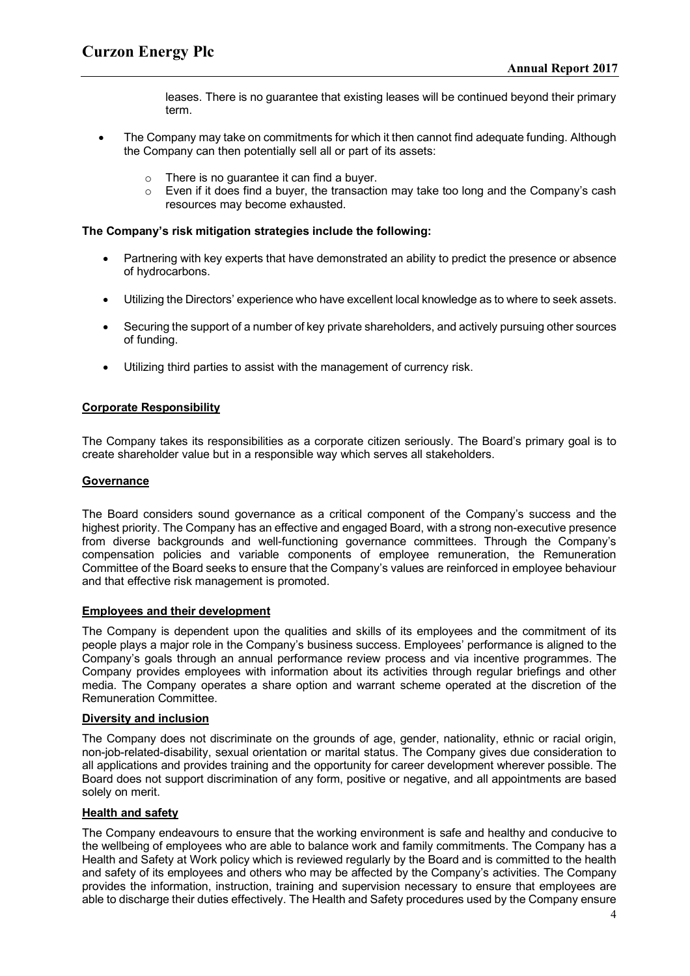leases. There is no guarantee that existing leases will be continued beyond their primary term.

- The Company may take on commitments for which it then cannot find adequate funding. Although the Company can then potentially sell all or part of its assets:
	- o There is no guarantee it can find a buyer.
	- $\circ$  Even if it does find a buyer, the transaction may take too long and the Company's cash resources may become exhausted.

### **The Company's risk mitigation strategies include the following:**

- Partnering with key experts that have demonstrated an ability to predict the presence or absence of hydrocarbons.
- Utilizing the Directors' experience who have excellent local knowledge as to where to seek assets.
- Securing the support of a number of key private shareholders, and actively pursuing other sources of funding.
- Utilizing third parties to assist with the management of currency risk.

#### **Corporate Responsibility**

The Company takes its responsibilities as a corporate citizen seriously. The Board's primary goal is to create shareholder value but in a responsible way which serves all stakeholders.

#### **Governance**

The Board considers sound governance as a critical component of the Company's success and the highest priority. The Company has an effective and engaged Board, with a strong non-executive presence from diverse backgrounds and well-functioning governance committees. Through the Company's compensation policies and variable components of employee remuneration, the Remuneration Committee of the Board seeks to ensure that the Company's values are reinforced in employee behaviour and that effective risk management is promoted.

#### **Employees and their development**

The Company is dependent upon the qualities and skills of its employees and the commitment of its people plays a major role in the Company's business success. Employees' performance is aligned to the Company's goals through an annual performance review process and via incentive programmes. The Company provides employees with information about its activities through regular briefings and other media. The Company operates a share option and warrant scheme operated at the discretion of the Remuneration Committee.

#### **Diversity and inclusion**

The Company does not discriminate on the grounds of age, gender, nationality, ethnic or racial origin, non-job-related-disability, sexual orientation or marital status. The Company gives due consideration to all applications and provides training and the opportunity for career development wherever possible. The Board does not support discrimination of any form, positive or negative, and all appointments are based solely on merit.

### **Health and safety**

The Company endeavours to ensure that the working environment is safe and healthy and conducive to the wellbeing of employees who are able to balance work and family commitments. The Company has a Health and Safety at Work policy which is reviewed regularly by the Board and is committed to the health and safety of its employees and others who may be affected by the Company's activities. The Company provides the information, instruction, training and supervision necessary to ensure that employees are able to discharge their duties effectively. The Health and Safety procedures used by the Company ensure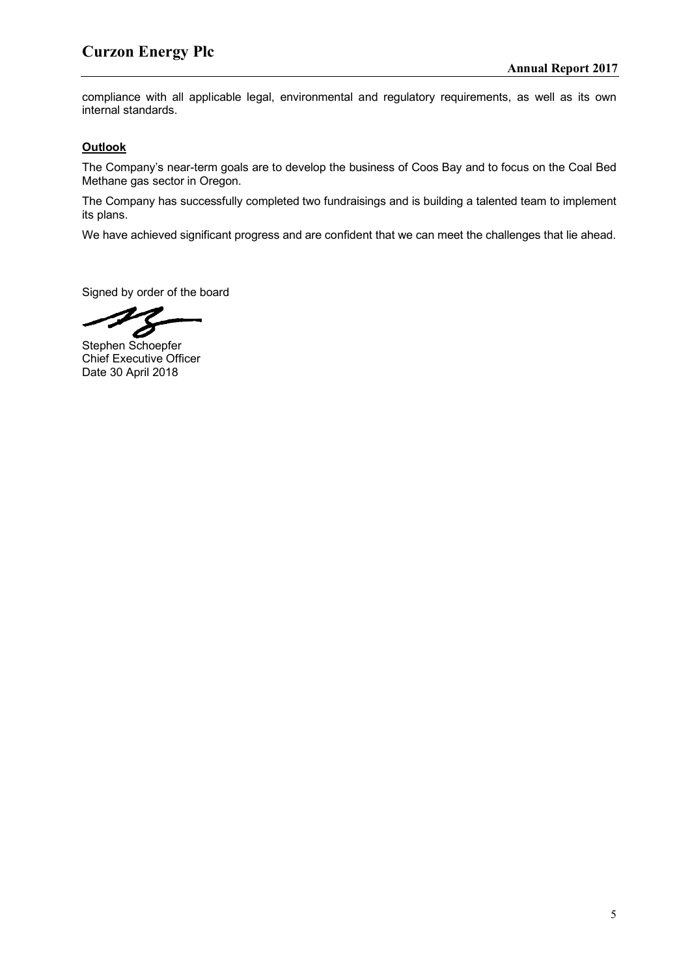compliance with all applicable legal, environmental and regulatory requirements, as well as its own internal standards.

### **Outlook**

The Company's near-term goals are to develop the business of Coos Bay and to focus on the Coal Bed Methane gas sector in Oregon.

The Company has successfully completed two fundraisings and is building a talented team to implement its plans.

We have achieved significant progress and are confident that we can meet the challenges that lie ahead.

Signed by order of the board

Stephen Schoepfer Chief Executive Officer Date 30 April 2018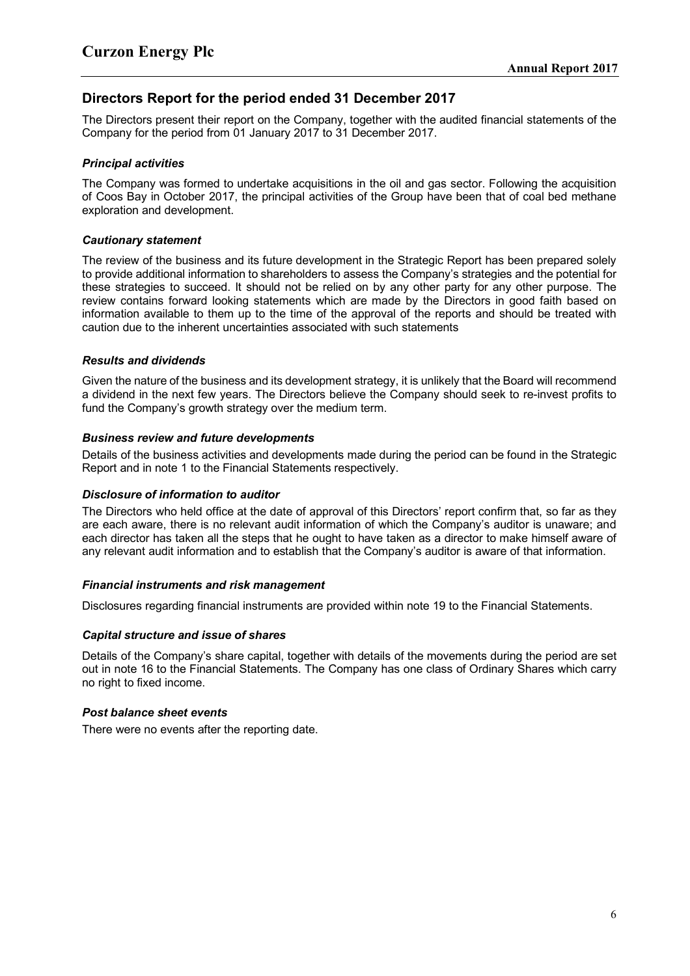### **Directors Report for the period ended 31 December 2017**

The Directors present their report on the Company, together with the audited financial statements of the Company for the period from 01 January 2017 to 31 December 2017.

### *Principal activities*

The Company was formed to undertake acquisitions in the oil and gas sector. Following the acquisition of Coos Bay in October 2017, the principal activities of the Group have been that of coal bed methane exploration and development.

#### *Cautionary statement*

The review of the business and its future development in the Strategic Report has been prepared solely to provide additional information to shareholders to assess the Company's strategies and the potential for these strategies to succeed. It should not be relied on by any other party for any other purpose. The review contains forward looking statements which are made by the Directors in good faith based on information available to them up to the time of the approval of the reports and should be treated with caution due to the inherent uncertainties associated with such statements

#### *Results and dividends*

Given the nature of the business and its development strategy, it is unlikely that the Board will recommend a dividend in the next few years. The Directors believe the Company should seek to re-invest profits to fund the Company's growth strategy over the medium term.

#### *Business review and future developments*

Details of the business activities and developments made during the period can be found in the Strategic Report and in note 1 to the Financial Statements respectively.

### *Disclosure of information to auditor*

The Directors who held office at the date of approval of this Directors' report confirm that, so far as they are each aware, there is no relevant audit information of which the Company's auditor is unaware; and each director has taken all the steps that he ought to have taken as a director to make himself aware of any relevant audit information and to establish that the Company's auditor is aware of that information.

#### *Financial instruments and risk management*

Disclosures regarding financial instruments are provided within note 19 to the Financial Statements.

### *Capital structure and issue of shares*

Details of the Company's share capital, together with details of the movements during the period are set out in note 16 to the Financial Statements. The Company has one class of Ordinary Shares which carry no right to fixed income.

#### *Post balance sheet events*

There were no events after the reporting date.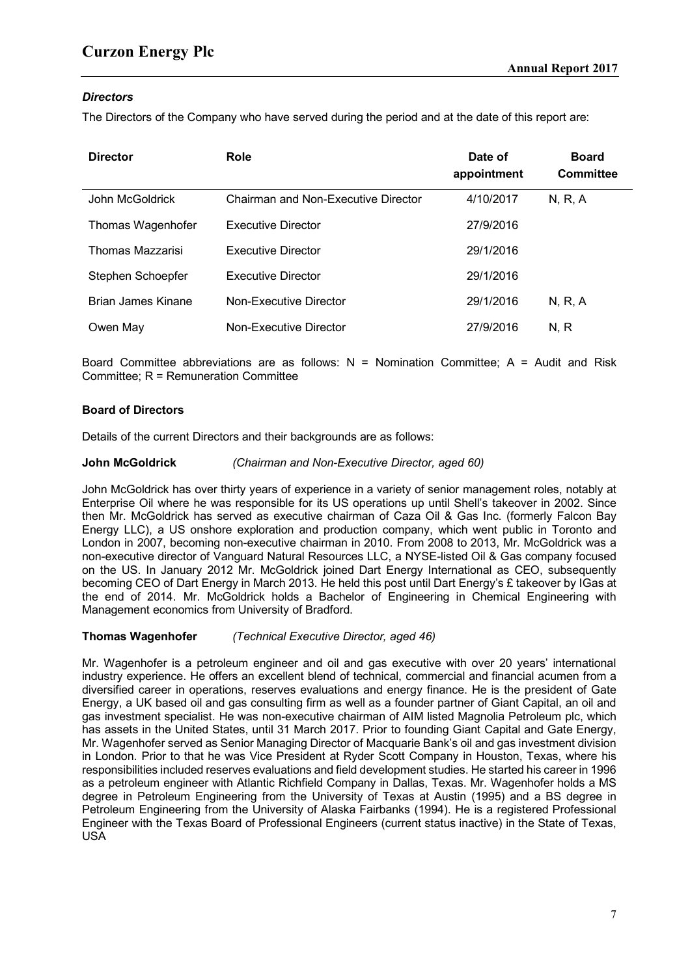### *Directors*

The Directors of the Company who have served during the period and at the date of this report are:

| <b>Director</b>    | Role                                | Date of<br>appointment | <b>Board</b><br><b>Committee</b> |
|--------------------|-------------------------------------|------------------------|----------------------------------|
| John McGoldrick    | Chairman and Non-Executive Director | 4/10/2017              | N, R, A                          |
| Thomas Wagenhofer  | Executive Director                  | 27/9/2016              |                                  |
| Thomas Mazzarisi   | Executive Director                  | 29/1/2016              |                                  |
| Stephen Schoepfer  | Executive Director                  | 29/1/2016              |                                  |
| Brian James Kinane | Non-Executive Director              | 29/1/2016              | N, R, A                          |
| Owen May           | Non-Executive Director              | 27/9/2016              | N, R                             |

Board Committee abbreviations are as follows:  $N =$  Nomination Committee; A = Audit and Risk Committee; R = Remuneration Committee

### **Board of Directors**

Details of the current Directors and their backgrounds are as follows:

**John McGoldrick** *(Chairman and Non-Executive Director, aged 60)* 

John McGoldrick has over thirty years of experience in a variety of senior management roles, notably at Enterprise Oil where he was responsible for its US operations up until Shell's takeover in 2002. Since then Mr. McGoldrick has served as executive chairman of Caza Oil & Gas Inc. (formerly Falcon Bay Energy LLC), a US onshore exploration and production company, which went public in Toronto and London in 2007, becoming non-executive chairman in 2010. From 2008 to 2013, Mr. McGoldrick was a non-executive director of Vanguard Natural Resources LLC, a NYSE-listed Oil & Gas company focused on the US. In January 2012 Mr. McGoldrick joined Dart Energy International as CEO, subsequently becoming CEO of Dart Energy in March 2013. He held this post until Dart Energy's £ takeover by IGas at the end of 2014. Mr. McGoldrick holds a Bachelor of Engineering in Chemical Engineering with Management economics from University of Bradford.

### **Thomas Wagenhofer** *(Technical Executive Director, aged 46)*

Mr. Wagenhofer is a petroleum engineer and oil and gas executive with over 20 years' international industry experience. He offers an excellent blend of technical, commercial and financial acumen from a diversified career in operations, reserves evaluations and energy finance. He is the president of Gate Energy, a UK based oil and gas consulting firm as well as a founder partner of Giant Capital, an oil and gas investment specialist. He was non-executive chairman of AIM listed Magnolia Petroleum plc, which has assets in the United States, until 31 March 2017. Prior to founding Giant Capital and Gate Energy, Mr. Wagenhofer served as Senior Managing Director of Macquarie Bank's oil and gas investment division in London. Prior to that he was Vice President at Ryder Scott Company in Houston, Texas, where his responsibilities included reserves evaluations and field development studies. He started his career in 1996 as a petroleum engineer with Atlantic Richfield Company in Dallas, Texas. Mr. Wagenhofer holds a MS degree in Petroleum Engineering from the University of Texas at Austin (1995) and a BS degree in Petroleum Engineering from the University of Alaska Fairbanks (1994). He is a registered Professional Engineer with the Texas Board of Professional Engineers (current status inactive) in the State of Texas, USA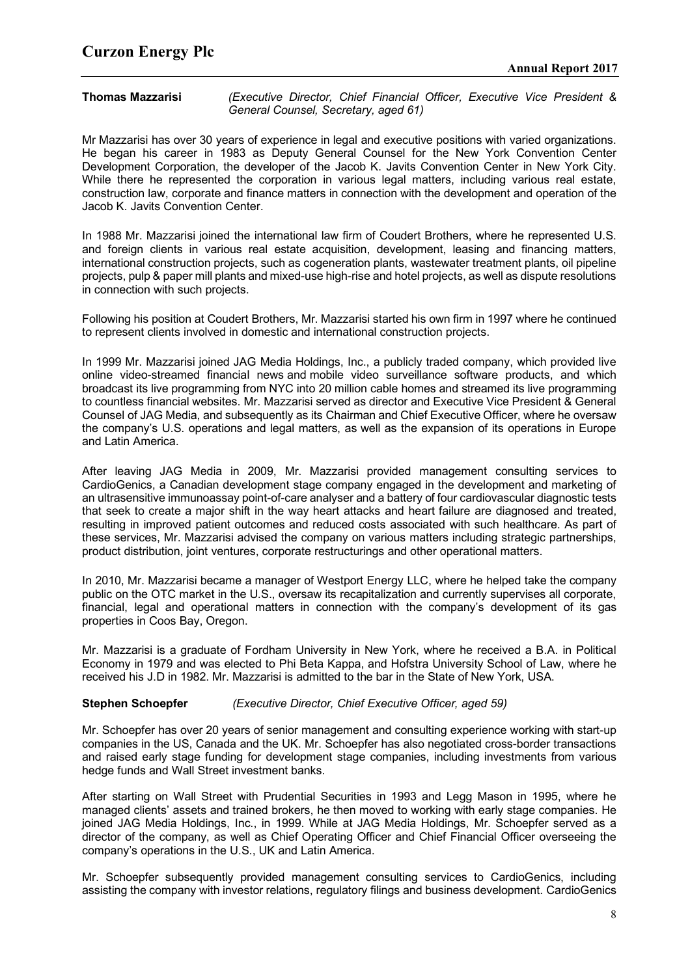**Thomas Mazzarisi** *(Executive Director, Chief Financial Officer, Executive Vice President & General Counsel, Secretary, aged 61)*

Mr Mazzarisi has over 30 years of experience in legal and executive positions with varied organizations. He began his career in 1983 as Deputy General Counsel for the New York Convention Center Development Corporation, the developer of the Jacob K. Javits Convention Center in New York City. While there he represented the corporation in various legal matters, including various real estate, construction law, corporate and finance matters in connection with the development and operation of the Jacob K. Javits Convention Center.

In 1988 Mr. Mazzarisi joined the international law firm of Coudert Brothers, where he represented U.S. and foreign clients in various real estate acquisition, development, leasing and financing matters, international construction projects, such as cogeneration plants, wastewater treatment plants, oil pipeline projects, pulp & paper mill plants and mixed-use high-rise and hotel projects, as well as dispute resolutions in connection with such projects.

Following his position at Coudert Brothers, Mr. Mazzarisi started his own firm in 1997 where he continued to represent clients involved in domestic and international construction projects.

In 1999 Mr. Mazzarisi joined JAG Media Holdings, Inc., a publicly traded company, which provided live online video-streamed financial news and mobile video surveillance software products, and which broadcast its live programming from NYC into 20 million cable homes and streamed its live programming to countless financial websites. Mr. Mazzarisi served as director and Executive Vice President & General Counsel of JAG Media, and subsequently as its Chairman and Chief Executive Officer, where he oversaw the company's U.S. operations and legal matters, as well as the expansion of its operations in Europe and Latin America.

After leaving JAG Media in 2009, Mr. Mazzarisi provided management consulting services to CardioGenics, a Canadian development stage company engaged in the development and marketing of an ultrasensitive immunoassay point-of-care analyser and a battery of four cardiovascular diagnostic tests that seek to create a major shift in the way heart attacks and heart failure are diagnosed and treated, resulting in improved patient outcomes and reduced costs associated with such healthcare. As part of these services, Mr. Mazzarisi advised the company on various matters including strategic partnerships, product distribution, joint ventures, corporate restructurings and other operational matters.

In 2010, Mr. Mazzarisi became a manager of Westport Energy LLC, where he helped take the company public on the OTC market in the U.S., oversaw its recapitalization and currently supervises all corporate, financial, legal and operational matters in connection with the company's development of its gas properties in Coos Bay, Oregon.

Mr. Mazzarisi is a graduate of Fordham University in New York, where he received a B.A. in Political Economy in 1979 and was elected to Phi Beta Kappa, and Hofstra University School of Law, where he received his J.D in 1982. Mr. Mazzarisi is admitted to the bar in the State of New York, USA.

### **Stephen Schoepfer** *(Executive Director, Chief Executive Officer, aged 59)*

Mr. Schoepfer has over 20 years of senior management and consulting experience working with start-up companies in the US, Canada and the UK. Mr. Schoepfer has also negotiated cross-border transactions and raised early stage funding for development stage companies, including investments from various hedge funds and Wall Street investment banks.

After starting on Wall Street with Prudential Securities in 1993 and Legg Mason in 1995, where he managed clients' assets and trained brokers, he then moved to working with early stage companies. He joined JAG Media Holdings, Inc., in 1999. While at JAG Media Holdings, Mr. Schoepfer served as a director of the company, as well as Chief Operating Officer and Chief Financial Officer overseeing the company's operations in the U.S., UK and Latin America.

Mr. Schoepfer subsequently provided management consulting services to CardioGenics, including assisting the company with investor relations, regulatory filings and business development. CardioGenics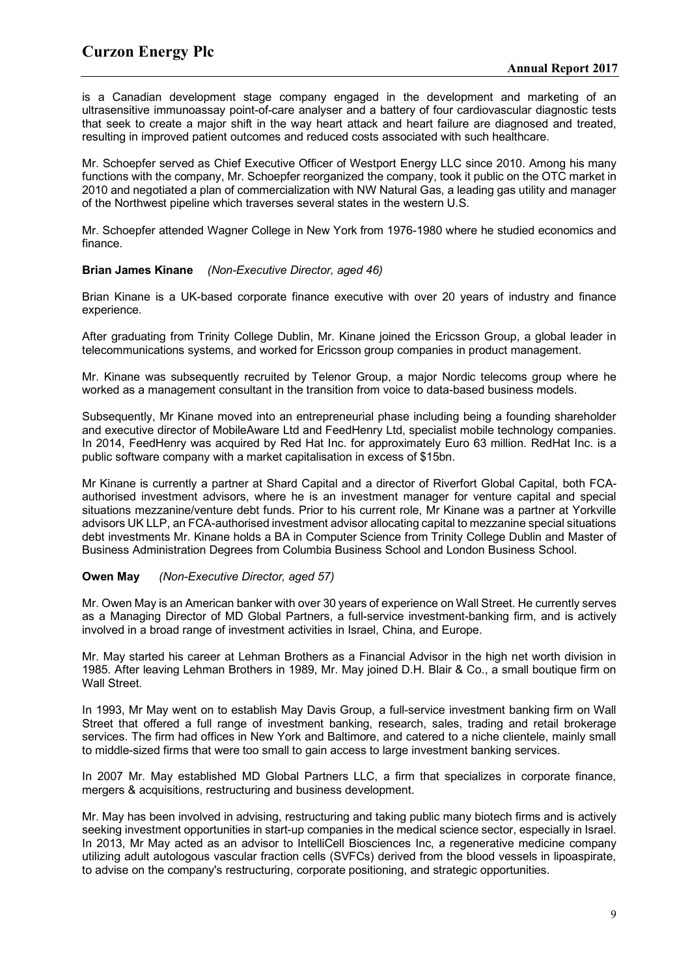is a Canadian development stage company engaged in the development and marketing of an ultrasensitive immunoassay point-of-care analyser and a battery of four cardiovascular diagnostic tests that seek to create a major shift in the way heart attack and heart failure are diagnosed and treated, resulting in improved patient outcomes and reduced costs associated with such healthcare.

Mr. Schoepfer served as Chief Executive Officer of Westport Energy LLC since 2010. Among his many functions with the company, Mr. Schoepfer reorganized the company, took it public on the OTC market in 2010 and negotiated a plan of commercialization with NW Natural Gas, a leading gas utility and manager of the Northwest pipeline which traverses several states in the western U.S.

Mr. Schoepfer attended Wagner College in New York from 1976-1980 where he studied economics and finance.

#### **Brian James Kinane** *(Non-Executive Director, aged 46)*

Brian Kinane is a UK-based corporate finance executive with over 20 years of industry and finance experience.

After graduating from Trinity College Dublin, Mr. Kinane joined the Ericsson Group, a global leader in telecommunications systems, and worked for Ericsson group companies in product management.

Mr. Kinane was subsequently recruited by Telenor Group, a major Nordic telecoms group where he worked as a management consultant in the transition from voice to data-based business models.

Subsequently, Mr Kinane moved into an entrepreneurial phase including being a founding shareholder and executive director of MobileAware Ltd and FeedHenry Ltd, specialist mobile technology companies. In 2014, FeedHenry was acquired by Red Hat Inc. for approximately Euro 63 million. RedHat Inc. is a public software company with a market capitalisation in excess of \$15bn.

Mr Kinane is currently a partner at Shard Capital and a director of Riverfort Global Capital, both FCAauthorised investment advisors, where he is an investment manager for venture capital and special situations mezzanine/venture debt funds. Prior to his current role, Mr Kinane was a partner at Yorkville advisors UK LLP, an FCA-authorised investment advisor allocating capital to mezzanine special situations debt investments Mr. Kinane holds a BA in Computer Science from Trinity College Dublin and Master of Business Administration Degrees from Columbia Business School and London Business School.

### **Owen May** *(Non-Executive Director, aged 57)*

Mr. Owen May is an American banker with over 30 years of experience on Wall Street. He currently serves as a Managing Director of MD Global Partners, a full-service investment-banking firm, and is actively involved in a broad range of investment activities in Israel, China, and Europe.

Mr. May started his career at Lehman Brothers as a Financial Advisor in the high net worth division in 1985. After leaving Lehman Brothers in 1989, Mr. May joined D.H. Blair & Co., a small boutique firm on Wall Street.

In 1993, Mr May went on to establish May Davis Group, a full-service investment banking firm on Wall Street that offered a full range of investment banking, research, sales, trading and retail brokerage services. The firm had offices in New York and Baltimore, and catered to a niche clientele, mainly small to middle-sized firms that were too small to gain access to large investment banking services.

In 2007 Mr. May established MD Global Partners LLC, a firm that specializes in corporate finance, mergers & acquisitions, restructuring and business development.

Mr. May has been involved in advising, restructuring and taking public many biotech firms and is actively seeking investment opportunities in start-up companies in the medical science sector, especially in Israel. In 2013, Mr May acted as an advisor to IntelliCell Biosciences Inc, a regenerative medicine company utilizing adult autologous vascular fraction cells (SVFCs) derived from the blood vessels in lipoaspirate, to advise on the company's restructuring, corporate positioning, and strategic opportunities.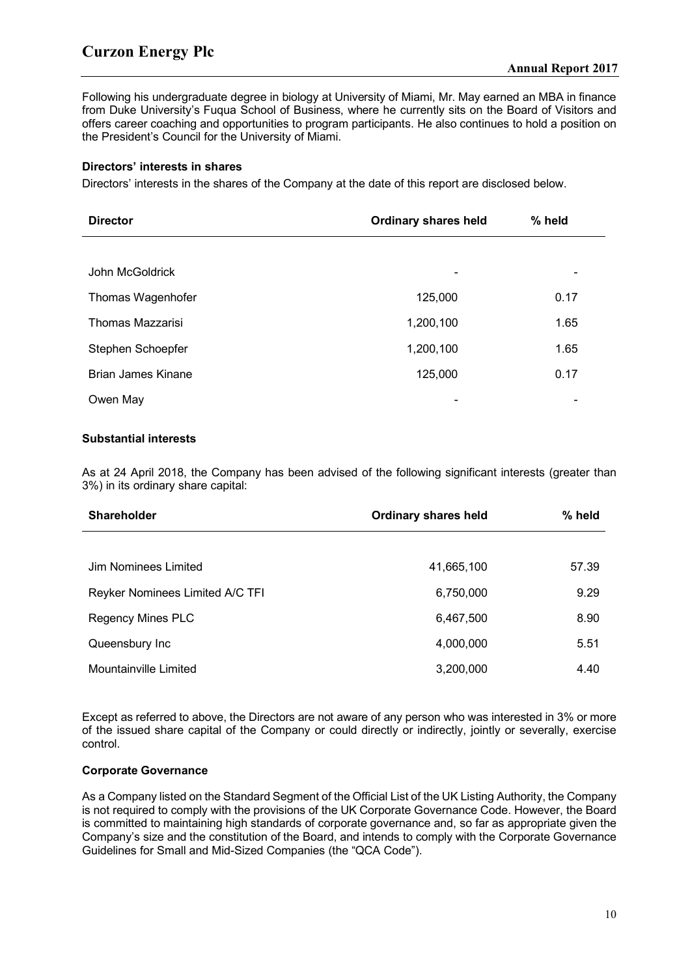# **Curzon Energy Plc** Annual Report 2017

Following his undergraduate degree in biology at University of Miami, Mr. May earned an MBA in finance from Duke University's Fuqua School of Business, where he currently sits on the Board of Visitors and offers career coaching and opportunities to program participants. He also continues to hold a position on the President's Council for the University of Miami.

#### **Directors' interests in shares**

Directors' interests in the shares of the Company at the date of this report are disclosed below.

| <b>Director</b>         | <b>Ordinary shares held</b> | % held                   |
|-------------------------|-----------------------------|--------------------------|
|                         |                             |                          |
| John McGoldrick         | $\qquad \qquad$             |                          |
| Thomas Wagenhofer       | 125,000                     | 0.17                     |
| <b>Thomas Mazzarisi</b> | 1,200,100                   | 1.65                     |
| Stephen Schoepfer       | 1,200,100                   | 1.65                     |
| Brian James Kinane      | 125,000                     | 0.17                     |
| Owen May                | -                           | $\overline{\phantom{a}}$ |

#### **Substantial interests**

As at 24 April 2018, the Company has been advised of the following significant interests (greater than 3%) in its ordinary share capital:

| <b>Shareholder</b>              | <b>Ordinary shares held</b> | $%$ held |
|---------------------------------|-----------------------------|----------|
|                                 |                             |          |
| Jim Nominees Limited            | 41,665,100                  | 57.39    |
| Reyker Nominees Limited A/C TFI | 6,750,000                   | 9.29     |
| <b>Regency Mines PLC</b>        | 6,467,500                   | 8.90     |
| Queensbury Inc                  | 4,000,000                   | 5.51     |
| Mountainville Limited           | 3,200,000                   | 4.40     |

Except as referred to above, the Directors are not aware of any person who was interested in 3% or more of the issued share capital of the Company or could directly or indirectly, jointly or severally, exercise control.

### **Corporate Governance**

As a Company listed on the Standard Segment of the Official List of the UK Listing Authority, the Company is not required to comply with the provisions of the UK Corporate Governance Code. However, the Board is committed to maintaining high standards of corporate governance and, so far as appropriate given the Company's size and the constitution of the Board, and intends to comply with the Corporate Governance Guidelines for Small and Mid-Sized Companies (the "QCA Code").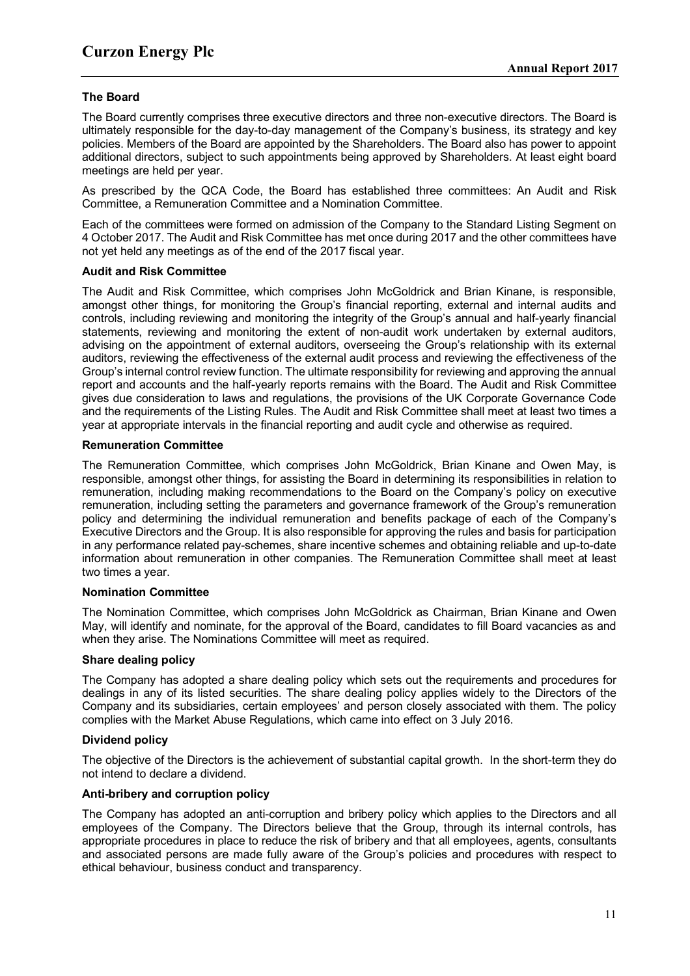### **The Board**

The Board currently comprises three executive directors and three non-executive directors. The Board is ultimately responsible for the day-to-day management of the Company's business, its strategy and key policies. Members of the Board are appointed by the Shareholders. The Board also has power to appoint additional directors, subject to such appointments being approved by Shareholders. At least eight board meetings are held per year.

As prescribed by the QCA Code, the Board has established three committees: An Audit and Risk Committee, a Remuneration Committee and a Nomination Committee.

Each of the committees were formed on admission of the Company to the Standard Listing Segment on 4 October 2017. The Audit and Risk Committee has met once during 2017 and the other committees have not yet held any meetings as of the end of the 2017 fiscal year.

#### **Audit and Risk Committee**

The Audit and Risk Committee, which comprises John McGoldrick and Brian Kinane, is responsible, amongst other things, for monitoring the Group's financial reporting, external and internal audits and controls, including reviewing and monitoring the integrity of the Group's annual and half-yearly financial statements, reviewing and monitoring the extent of non-audit work undertaken by external auditors, advising on the appointment of external auditors, overseeing the Group's relationship with its external auditors, reviewing the effectiveness of the external audit process and reviewing the effectiveness of the Group's internal control review function. The ultimate responsibility for reviewing and approving the annual report and accounts and the half-yearly reports remains with the Board. The Audit and Risk Committee gives due consideration to laws and regulations, the provisions of the UK Corporate Governance Code and the requirements of the Listing Rules. The Audit and Risk Committee shall meet at least two times a year at appropriate intervals in the financial reporting and audit cycle and otherwise as required.

#### **Remuneration Committee**

The Remuneration Committee, which comprises John McGoldrick, Brian Kinane and Owen May, is responsible, amongst other things, for assisting the Board in determining its responsibilities in relation to remuneration, including making recommendations to the Board on the Company's policy on executive remuneration, including setting the parameters and governance framework of the Group's remuneration policy and determining the individual remuneration and benefits package of each of the Company's Executive Directors and the Group. It is also responsible for approving the rules and basis for participation in any performance related pay-schemes, share incentive schemes and obtaining reliable and up-to-date information about remuneration in other companies. The Remuneration Committee shall meet at least two times a year.

#### **Nomination Committee**

The Nomination Committee, which comprises John McGoldrick as Chairman, Brian Kinane and Owen May, will identify and nominate, for the approval of the Board, candidates to fill Board vacancies as and when they arise. The Nominations Committee will meet as required.

#### **Share dealing policy**

The Company has adopted a share dealing policy which sets out the requirements and procedures for dealings in any of its listed securities. The share dealing policy applies widely to the Directors of the Company and its subsidiaries, certain employees' and person closely associated with them. The policy complies with the Market Abuse Regulations, which came into effect on 3 July 2016.

#### **Dividend policy**

The objective of the Directors is the achievement of substantial capital growth. In the short-term they do not intend to declare a dividend.

#### **Anti-bribery and corruption policy**

The Company has adopted an anti-corruption and bribery policy which applies to the Directors and all employees of the Company. The Directors believe that the Group, through its internal controls, has appropriate procedures in place to reduce the risk of bribery and that all employees, agents, consultants and associated persons are made fully aware of the Group's policies and procedures with respect to ethical behaviour, business conduct and transparency.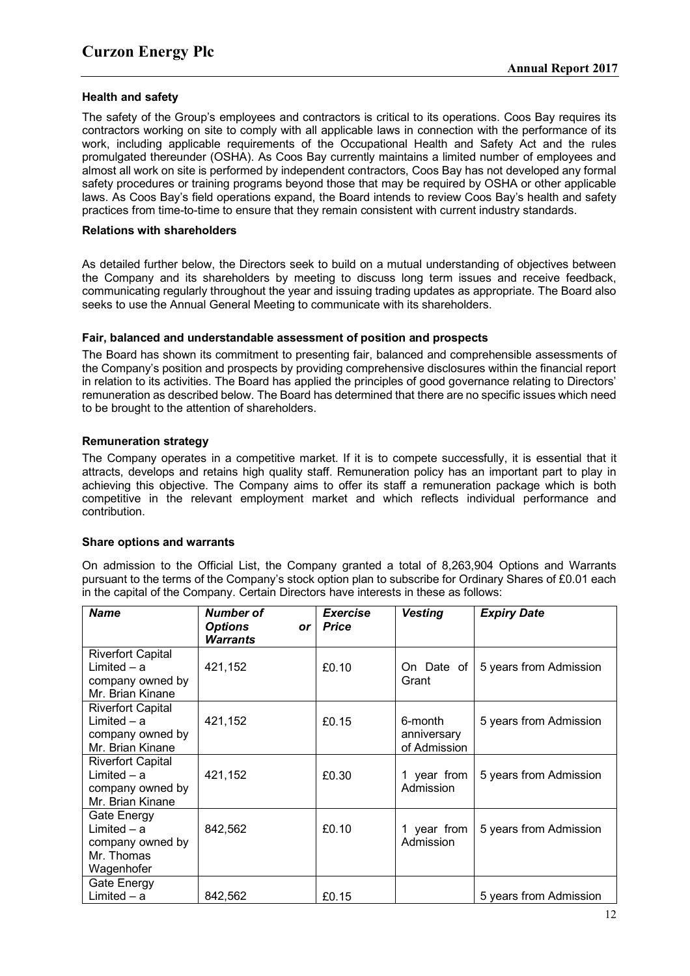### **Health and safety**

The safety of the Group's employees and contractors is critical to its operations. Coos Bay requires its contractors working on site to comply with all applicable laws in connection with the performance of its work, including applicable requirements of the Occupational Health and Safety Act and the rules promulgated thereunder (OSHA). As Coos Bay currently maintains a limited number of employees and almost all work on site is performed by independent contractors, Coos Bay has not developed any formal safety procedures or training programs beyond those that may be required by OSHA or other applicable laws. As Coos Bay's field operations expand, the Board intends to review Coos Bay's health and safety practices from time-to-time to ensure that they remain consistent with current industry standards.

#### **Relations with shareholders**

As detailed further below, the Directors seek to build on a mutual understanding of objectives between the Company and its shareholders by meeting to discuss long term issues and receive feedback, communicating regularly throughout the year and issuing trading updates as appropriate. The Board also seeks to use the Annual General Meeting to communicate with its shareholders.

#### **Fair, balanced and understandable assessment of position and prospects**

The Board has shown its commitment to presenting fair, balanced and comprehensible assessments of the Company's position and prospects by providing comprehensive disclosures within the financial report in relation to its activities. The Board has applied the principles of good governance relating to Directors' remuneration as described below. The Board has determined that there are no specific issues which need to be brought to the attention of shareholders.

#### **Remuneration strategy**

The Company operates in a competitive market. If it is to compete successfully, it is essential that it attracts, develops and retains high quality staff. Remuneration policy has an important part to play in achieving this objective. The Company aims to offer its staff a remuneration package which is both competitive in the relevant employment market and which reflects individual performance and contribution.

### **Share options and warrants**

On admission to the Official List, the Company granted a total of 8,263,904 Options and Warrants pursuant to the terms of the Company's stock option plan to subscribe for Ordinary Shares of £0.01 each in the capital of the Company. Certain Directors have interests in these as follows:

| <b>Name</b>                                                                         | Number of<br><b>Options</b><br>or<br><b>Warrants</b> | <b>Exercise</b><br><b>Price</b> | <b>Vesting</b>                         | <b>Expiry Date</b>     |
|-------------------------------------------------------------------------------------|------------------------------------------------------|---------------------------------|----------------------------------------|------------------------|
| <b>Riverfort Capital</b><br>Limited $-$ a<br>company owned by<br>Mr. Brian Kinane   | 421,152                                              | £0.10                           | On Date of<br>Grant                    | 5 years from Admission |
| <b>Riverfort Capital</b><br>Limited $-$ a<br>company owned by<br>Mr. Brian Kinane   | 421,152                                              | £0.15                           | 6-month<br>anniversary<br>of Admission | 5 years from Admission |
| <b>Riverfort Capital</b><br>Limited $-$ a<br>company owned by<br>Mr. Brian Kinane   | 421,152                                              | £0.30                           | 1 year from<br>Admission               | 5 years from Admission |
| <b>Gate Energy</b><br>Limited $-$ a<br>company owned by<br>Mr. Thomas<br>Wagenhofer | 842,562                                              | £0.10                           | year from<br>Admission                 | 5 years from Admission |
| Gate Energy<br>Limited $-$ a                                                        | 842,562                                              | £0.15                           |                                        | 5 years from Admission |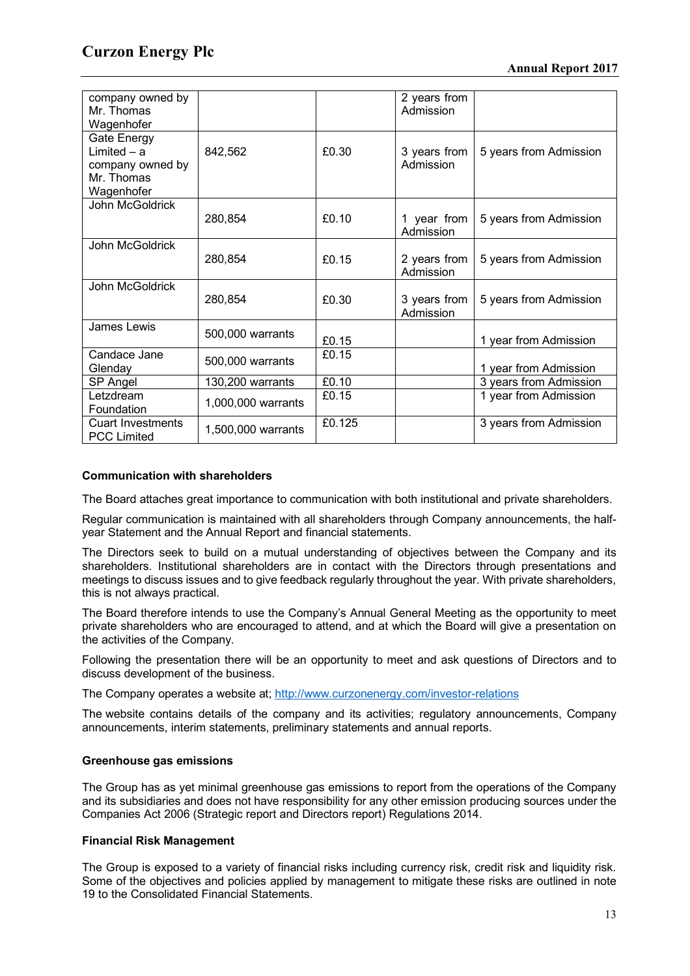| company owned by         |                    |        | 2 years from |                        |
|--------------------------|--------------------|--------|--------------|------------------------|
| Mr. Thomas               |                    |        | Admission    |                        |
| Wagenhofer               |                    |        |              |                        |
| Gate Energy              |                    |        |              |                        |
| Limited $-$ a            | 842,562            | £0.30  | 3 years from | 5 years from Admission |
| company owned by         |                    |        | Admission    |                        |
| Mr. Thomas               |                    |        |              |                        |
| Wagenhofer               |                    |        |              |                        |
| John McGoldrick          |                    |        |              |                        |
|                          | 280,854            | £0.10  | 1 year from  | 5 years from Admission |
|                          |                    |        | Admission    |                        |
| John McGoldrick          |                    |        |              |                        |
|                          | 280,854            | £0.15  | 2 years from | 5 years from Admission |
|                          |                    |        | Admission    |                        |
| John McGoldrick          |                    |        |              |                        |
|                          | 280,854            | £0.30  | 3 years from | 5 years from Admission |
|                          |                    |        | Admission    |                        |
| James Lewis              |                    |        |              |                        |
|                          | 500,000 warrants   | £0.15  |              | 1 year from Admission  |
| Candace Jane             |                    | £0.15  |              |                        |
| Glenday                  | 500,000 warrants   |        |              | 1 year from Admission  |
| SP Angel                 | 130,200 warrants   | £0.10  |              | 3 years from Admission |
| Letzdream                |                    | £0.15  |              | 1 year from Admission  |
| Foundation               | 1,000,000 warrants |        |              |                        |
| <b>Cuart Investments</b> |                    | £0.125 |              | 3 years from Admission |
| <b>PCC Limited</b>       | 1,500,000 warrants |        |              |                        |

### **Communication with shareholders**

The Board attaches great importance to communication with both institutional and private shareholders.

Regular communication is maintained with all shareholders through Company announcements, the halfyear Statement and the Annual Report and financial statements.

The Directors seek to build on a mutual understanding of objectives between the Company and its shareholders. Institutional shareholders are in contact with the Directors through presentations and meetings to discuss issues and to give feedback regularly throughout the year. With private shareholders, this is not always practical.

The Board therefore intends to use the Company's Annual General Meeting as the opportunity to meet private shareholders who are encouraged to attend, and at which the Board will give a presentation on the activities of the Company.

Following the presentation there will be an opportunity to meet and ask questions of Directors and to discuss development of the business.

The Company operates a website at; http://www.curzonenergy.com/investor-relations

The website contains details of the company and its activities; regulatory announcements, Company announcements, interim statements, preliminary statements and annual reports.

### **Greenhouse gas emissions**

The Group has as yet minimal greenhouse gas emissions to report from the operations of the Company and its subsidiaries and does not have responsibility for any other emission producing sources under the Companies Act 2006 (Strategic report and Directors report) Regulations 2014.

### **Financial Risk Management**

The Group is exposed to a variety of financial risks including currency risk, credit risk and liquidity risk. Some of the objectives and policies applied by management to mitigate these risks are outlined in note 19 to the Consolidated Financial Statements.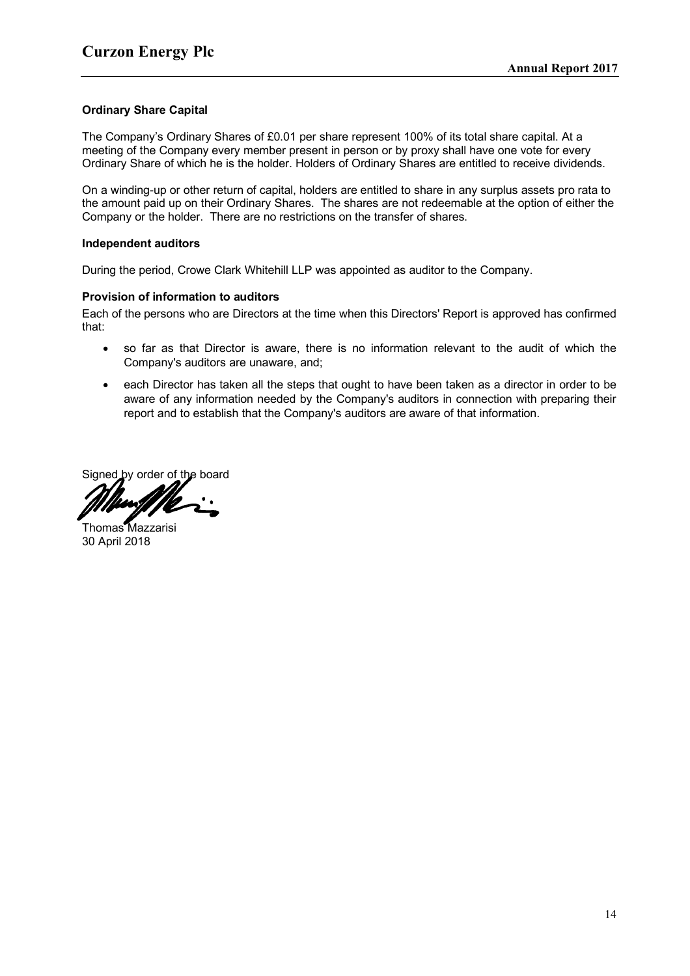### **Ordinary Share Capital**

The Company's Ordinary Shares of £0.01 per share represent 100% of its total share capital. At a meeting of the Company every member present in person or by proxy shall have one vote for every Ordinary Share of which he is the holder. Holders of Ordinary Shares are entitled to receive dividends.

On a winding-up or other return of capital, holders are entitled to share in any surplus assets pro rata to the amount paid up on their Ordinary Shares. The shares are not redeemable at the option of either the Company or the holder. There are no restrictions on the transfer of shares.

### **Independent auditors**

During the period, Crowe Clark Whitehill LLP was appointed as auditor to the Company.

### **Provision of information to auditors**

Each of the persons who are Directors at the time when this Directors' Report is approved has confirmed that:

- so far as that Director is aware, there is no information relevant to the audit of which the Company's auditors are unaware, and;
- each Director has taken all the steps that ought to have been taken as a director in order to be aware of any information needed by the Company's auditors in connection with preparing their report and to establish that the Company's auditors are aware of that information.

Signed by order of the board

Thomas Mazzarisi 30 April 2018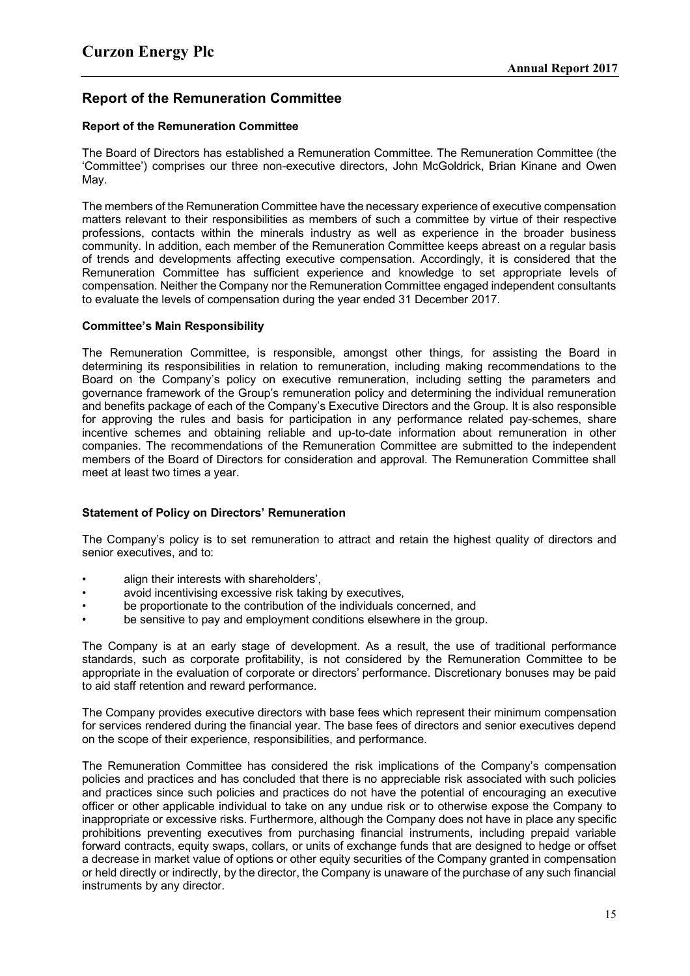### **Report of the Remuneration Committee**

### **Report of the Remuneration Committee**

The Board of Directors has established a Remuneration Committee. The Remuneration Committee (the 'Committee') comprises our three non-executive directors, John McGoldrick, Brian Kinane and Owen May.

The members of the Remuneration Committee have the necessary experience of executive compensation matters relevant to their responsibilities as members of such a committee by virtue of their respective professions, contacts within the minerals industry as well as experience in the broader business community. In addition, each member of the Remuneration Committee keeps abreast on a regular basis of trends and developments affecting executive compensation. Accordingly, it is considered that the Remuneration Committee has sufficient experience and knowledge to set appropriate levels of compensation. Neither the Company nor the Remuneration Committee engaged independent consultants to evaluate the levels of compensation during the year ended 31 December 2017.

### **Committee's Main Responsibility**

The Remuneration Committee, is responsible, amongst other things, for assisting the Board in determining its responsibilities in relation to remuneration, including making recommendations to the Board on the Company's policy on executive remuneration, including setting the parameters and governance framework of the Group's remuneration policy and determining the individual remuneration and benefits package of each of the Company's Executive Directors and the Group. It is also responsible for approving the rules and basis for participation in any performance related pay-schemes, share incentive schemes and obtaining reliable and up-to-date information about remuneration in other companies. The recommendations of the Remuneration Committee are submitted to the independent members of the Board of Directors for consideration and approval. The Remuneration Committee shall meet at least two times a year.

### **Statement of Policy on Directors' Remuneration**

The Company's policy is to set remuneration to attract and retain the highest quality of directors and senior executives, and to:

- align their interests with shareholders'.
- avoid incentivising excessive risk taking by executives,
- be proportionate to the contribution of the individuals concerned, and
- be sensitive to pay and employment conditions elsewhere in the group.

The Company is at an early stage of development. As a result, the use of traditional performance standards, such as corporate profitability, is not considered by the Remuneration Committee to be appropriate in the evaluation of corporate or directors' performance. Discretionary bonuses may be paid to aid staff retention and reward performance.

The Company provides executive directors with base fees which represent their minimum compensation for services rendered during the financial year. The base fees of directors and senior executives depend on the scope of their experience, responsibilities, and performance.

The Remuneration Committee has considered the risk implications of the Company's compensation policies and practices and has concluded that there is no appreciable risk associated with such policies and practices since such policies and practices do not have the potential of encouraging an executive officer or other applicable individual to take on any undue risk or to otherwise expose the Company to inappropriate or excessive risks. Furthermore, although the Company does not have in place any specific prohibitions preventing executives from purchasing financial instruments, including prepaid variable forward contracts, equity swaps, collars, or units of exchange funds that are designed to hedge or offset a decrease in market value of options or other equity securities of the Company granted in compensation or held directly or indirectly, by the director, the Company is unaware of the purchase of any such financial instruments by any director.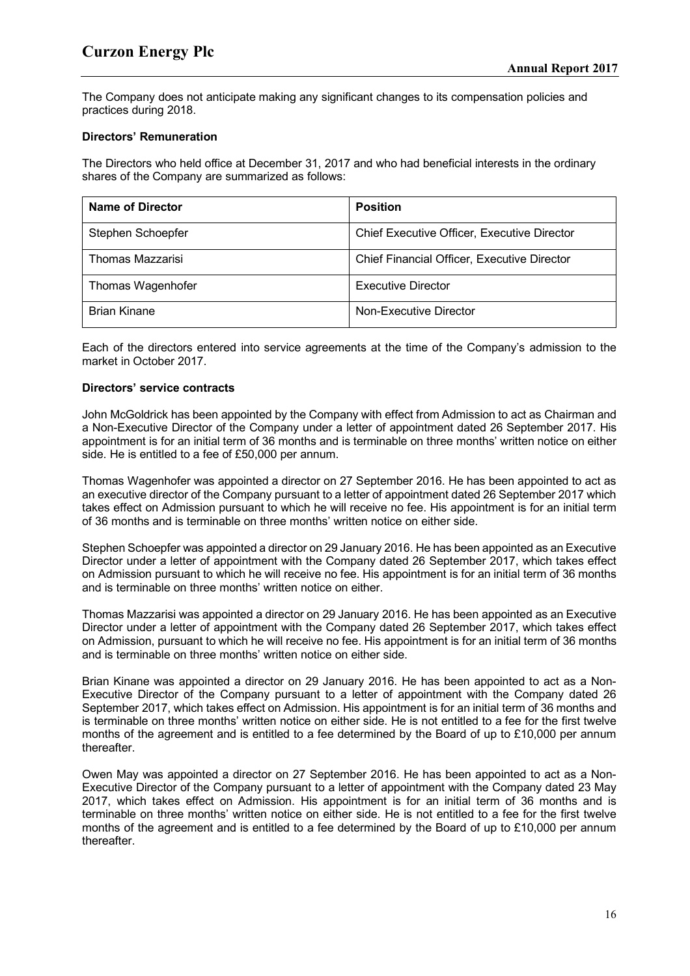The Company does not anticipate making any significant changes to its compensation policies and practices during 2018.

### **Directors' Remuneration**

The Directors who held office at December 31, 2017 and who had beneficial interests in the ordinary shares of the Company are summarized as follows:

| <b>Name of Director</b> | <b>Position</b>                                    |
|-------------------------|----------------------------------------------------|
| Stephen Schoepfer       | Chief Executive Officer, Executive Director        |
| <b>Thomas Mazzarisi</b> | <b>Chief Financial Officer, Executive Director</b> |
| Thomas Wagenhofer       | <b>Executive Director</b>                          |
| <b>Brian Kinane</b>     | Non-Executive Director                             |

Each of the directors entered into service agreements at the time of the Company's admission to the market in October 2017.

### **Directors' service contracts**

John McGoldrick has been appointed by the Company with effect from Admission to act as Chairman and a Non-Executive Director of the Company under a letter of appointment dated 26 September 2017. His appointment is for an initial term of 36 months and is terminable on three months' written notice on either side. He is entitled to a fee of £50,000 per annum.

Thomas Wagenhofer was appointed a director on 27 September 2016. He has been appointed to act as an executive director of the Company pursuant to a letter of appointment dated 26 September 2017 which takes effect on Admission pursuant to which he will receive no fee. His appointment is for an initial term of 36 months and is terminable on three months' written notice on either side.

Stephen Schoepfer was appointed a director on 29 January 2016. He has been appointed as an Executive Director under a letter of appointment with the Company dated 26 September 2017, which takes effect on Admission pursuant to which he will receive no fee. His appointment is for an initial term of 36 months and is terminable on three months' written notice on either.

Thomas Mazzarisi was appointed a director on 29 January 2016. He has been appointed as an Executive Director under a letter of appointment with the Company dated 26 September 2017, which takes effect on Admission, pursuant to which he will receive no fee. His appointment is for an initial term of 36 months and is terminable on three months' written notice on either side.

Brian Kinane was appointed a director on 29 January 2016. He has been appointed to act as a Non-Executive Director of the Company pursuant to a letter of appointment with the Company dated 26 September 2017, which takes effect on Admission. His appointment is for an initial term of 36 months and is terminable on three months' written notice on either side. He is not entitled to a fee for the first twelve months of the agreement and is entitled to a fee determined by the Board of up to £10,000 per annum thereafter.

Owen May was appointed a director on 27 September 2016. He has been appointed to act as a Non-Executive Director of the Company pursuant to a letter of appointment with the Company dated 23 May 2017, which takes effect on Admission. His appointment is for an initial term of 36 months and is terminable on three months' written notice on either side. He is not entitled to a fee for the first twelve months of the agreement and is entitled to a fee determined by the Board of up to £10,000 per annum thereafter.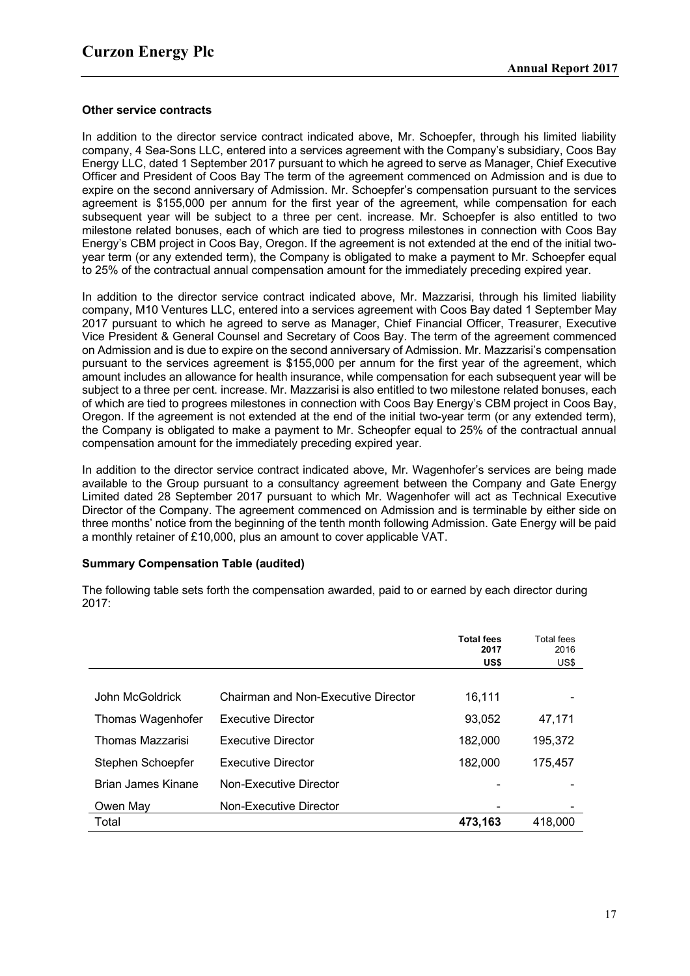### **Other service contracts**

In addition to the director service contract indicated above, Mr. Schoepfer, through his limited liability company, 4 Sea-Sons LLC, entered into a services agreement with the Company's subsidiary, Coos Bay Energy LLC, dated 1 September 2017 pursuant to which he agreed to serve as Manager, Chief Executive Officer and President of Coos Bay The term of the agreement commenced on Admission and is due to expire on the second anniversary of Admission. Mr. Schoepfer's compensation pursuant to the services agreement is \$155,000 per annum for the first year of the agreement, while compensation for each subsequent year will be subject to a three per cent. increase. Mr. Schoepfer is also entitled to two milestone related bonuses, each of which are tied to progress milestones in connection with Coos Bay Energy's CBM project in Coos Bay, Oregon. If the agreement is not extended at the end of the initial twoyear term (or any extended term), the Company is obligated to make a payment to Mr. Schoepfer equal to 25% of the contractual annual compensation amount for the immediately preceding expired year.

In addition to the director service contract indicated above, Mr. Mazzarisi, through his limited liability company, M10 Ventures LLC, entered into a services agreement with Coos Bay dated 1 September May 2017 pursuant to which he agreed to serve as Manager, Chief Financial Officer, Treasurer, Executive Vice President & General Counsel and Secretary of Coos Bay. The term of the agreement commenced on Admission and is due to expire on the second anniversary of Admission. Mr. Mazzarisi's compensation pursuant to the services agreement is \$155,000 per annum for the first year of the agreement, which amount includes an allowance for health insurance, while compensation for each subsequent year will be subject to a three per cent. increase. Mr. Mazzarisi is also entitled to two milestone related bonuses, each of which are tied to progrees milestones in connection with Coos Bay Energy's CBM project in Coos Bay, Oregon. If the agreement is not extended at the end of the initial two-year term (or any extended term), the Company is obligated to make a payment to Mr. Scheopfer equal to 25% of the contractual annual compensation amount for the immediately preceding expired year.

In addition to the director service contract indicated above, Mr. Wagenhofer's services are being made available to the Group pursuant to a consultancy agreement between the Company and Gate Energy Limited dated 28 September 2017 pursuant to which Mr. Wagenhofer will act as Technical Executive Director of the Company. The agreement commenced on Admission and is terminable by either side on three months' notice from the beginning of the tenth month following Admission. Gate Energy will be paid a monthly retainer of £10,000, plus an amount to cover applicable VAT.

### **Summary Compensation Table (audited)**

Owen May **Non-Executive Director** 

**Total fees 2017** Total fees 2016 **US\$** US\$ John McGoldrick Chairman and Non-Executive Director 16,111 Thomas Wagenhofer Executive Director 93,052 47,171 Thomas Mazzarisi Executive Director 182,000 195,372 Stephen Schoepfer Executive Director 182,000 175,457 Brian James Kinane - - Non-Executive Director

Total **473,163** 418,000

The following table sets forth the compensation awarded, paid to or earned by each director during 2017: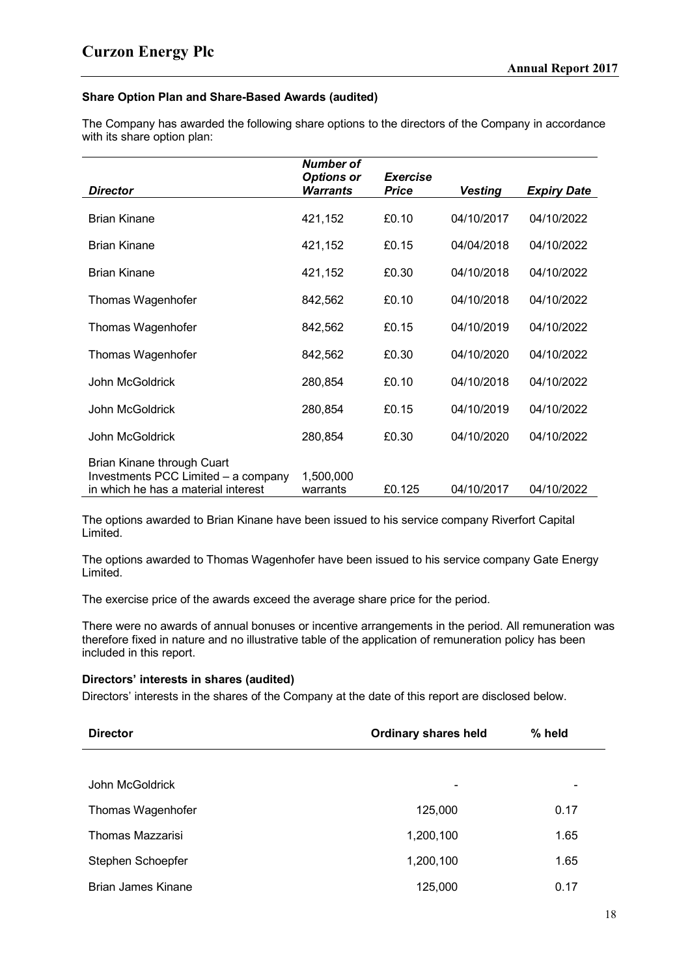### **Share Option Plan and Share-Based Awards (audited)**

The Company has awarded the following share options to the directors of the Company in accordance with its share option plan:

|                                                                                                          | Number of<br><b>Options or</b> | <b>Exercise</b> |                |                    |
|----------------------------------------------------------------------------------------------------------|--------------------------------|-----------------|----------------|--------------------|
| <b>Director</b>                                                                                          | <b>Warrants</b>                | <b>Price</b>    | <b>Vesting</b> | <b>Expiry Date</b> |
| <b>Brian Kinane</b>                                                                                      | 421,152                        | £0.10           | 04/10/2017     | 04/10/2022         |
| <b>Brian Kinane</b>                                                                                      | 421,152                        | £0.15           | 04/04/2018     | 04/10/2022         |
| <b>Brian Kinane</b>                                                                                      | 421,152                        | £0.30           | 04/10/2018     | 04/10/2022         |
| Thomas Wagenhofer                                                                                        | 842,562                        | £0.10           | 04/10/2018     | 04/10/2022         |
| Thomas Wagenhofer                                                                                        | 842,562                        | £0.15           | 04/10/2019     | 04/10/2022         |
| Thomas Wagenhofer                                                                                        | 842,562                        | £0.30           | 04/10/2020     | 04/10/2022         |
| John McGoldrick                                                                                          | 280,854                        | £0.10           | 04/10/2018     | 04/10/2022         |
| John McGoldrick                                                                                          | 280,854                        | £0.15           | 04/10/2019     | 04/10/2022         |
| John McGoldrick                                                                                          | 280,854                        | £0.30           | 04/10/2020     | 04/10/2022         |
| Brian Kinane through Cuart<br>Investments PCC Limited - a company<br>in which he has a material interest | 1,500,000<br>warrants          | £0.125          | 04/10/2017     | 04/10/2022         |

The options awarded to Brian Kinane have been issued to his service company Riverfort Capital Limited.

The options awarded to Thomas Wagenhofer have been issued to his service company Gate Energy Limited.

The exercise price of the awards exceed the average share price for the period.

There were no awards of annual bonuses or incentive arrangements in the period. All remuneration was therefore fixed in nature and no illustrative table of the application of remuneration policy has been included in this report.

### **Directors' interests in shares (audited)**

Directors' interests in the shares of the Company at the date of this report are disclosed below.

| <b>Director</b>         | <b>Ordinary shares held</b> | % held                   |
|-------------------------|-----------------------------|--------------------------|
|                         |                             |                          |
| John McGoldrick         | $\overline{\phantom{a}}$    | $\overline{\phantom{a}}$ |
| Thomas Wagenhofer       | 125,000                     | 0.17                     |
| <b>Thomas Mazzarisi</b> | 1,200,100                   | 1.65                     |
| Stephen Schoepfer       | 1,200,100                   | 1.65                     |
| Brian James Kinane      | 125,000                     | 0.17                     |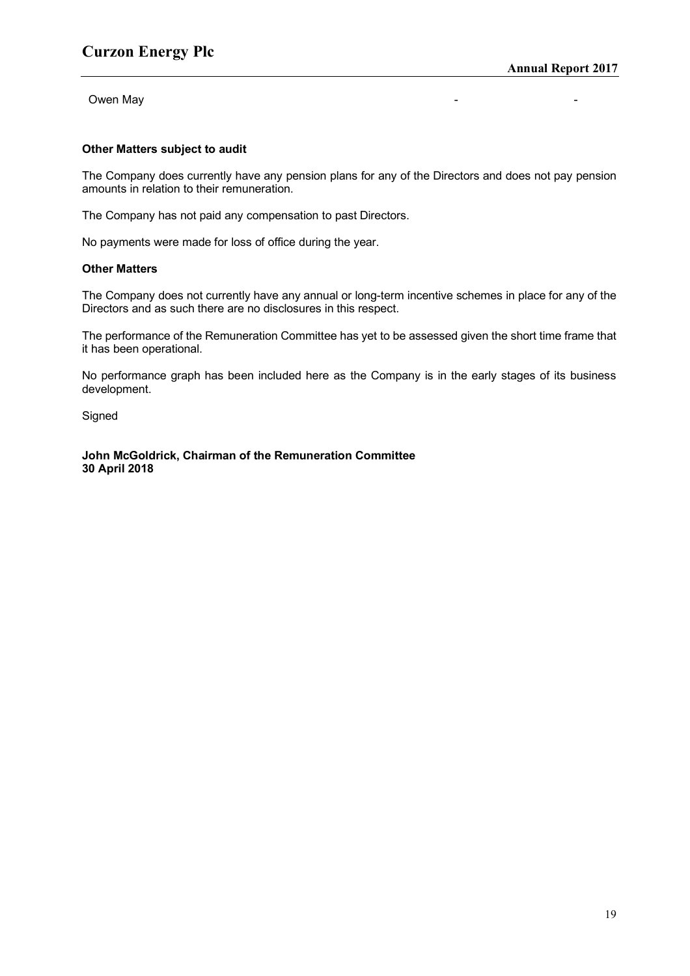Owen May

#### **Other Matters subject to audit**

The Company does currently have any pension plans for any of the Directors and does not pay pension amounts in relation to their remuneration.

The Company has not paid any compensation to past Directors.

No payments were made for loss of office during the year.

#### **Other Matters**

The Company does not currently have any annual or long-term incentive schemes in place for any of the Directors and as such there are no disclosures in this respect.

The performance of the Remuneration Committee has yet to be assessed given the short time frame that it has been operational.

No performance graph has been included here as the Company is in the early stages of its business development.

**Signed** 

**John McGoldrick, Chairman of the Remuneration Committee 30 April 2018**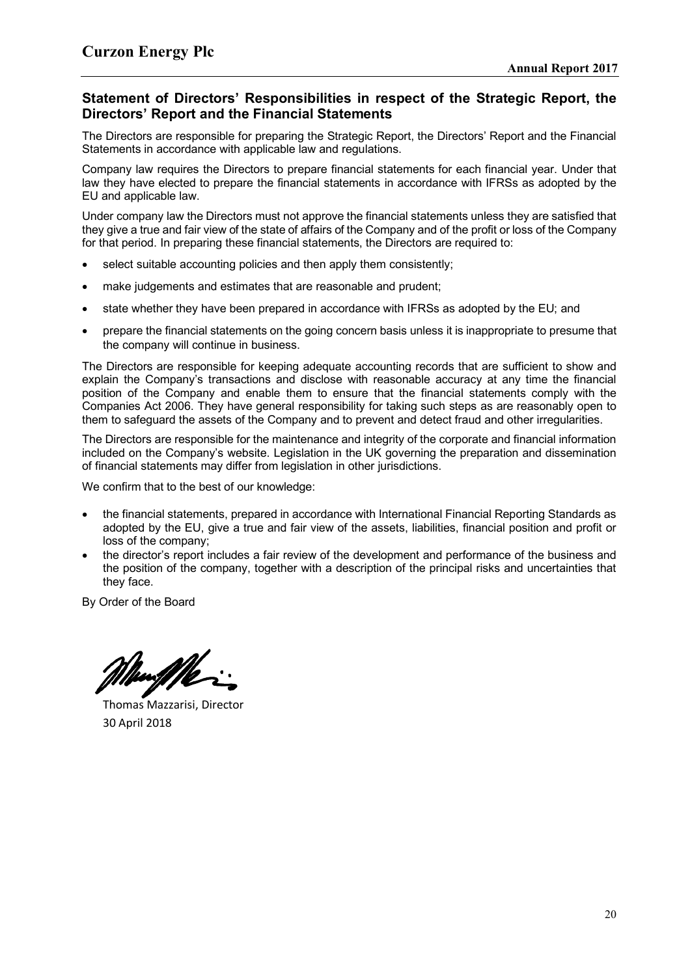### **Statement of Directors' Responsibilities in respect of the Strategic Report, the Directors' Report and the Financial Statements**

The Directors are responsible for preparing the Strategic Report, the Directors' Report and the Financial Statements in accordance with applicable law and regulations.

Company law requires the Directors to prepare financial statements for each financial year. Under that law they have elected to prepare the financial statements in accordance with IFRSs as adopted by the EU and applicable law.

Under company law the Directors must not approve the financial statements unless they are satisfied that they give a true and fair view of the state of affairs of the Company and of the profit or loss of the Company for that period. In preparing these financial statements, the Directors are required to:

- select suitable accounting policies and then apply them consistently;
- make judgements and estimates that are reasonable and prudent;
- state whether they have been prepared in accordance with IFRSs as adopted by the EU; and
- prepare the financial statements on the going concern basis unless it is inappropriate to presume that the company will continue in business.

The Directors are responsible for keeping adequate accounting records that are sufficient to show and explain the Company's transactions and disclose with reasonable accuracy at any time the financial position of the Company and enable them to ensure that the financial statements comply with the Companies Act 2006. They have general responsibility for taking such steps as are reasonably open to them to safeguard the assets of the Company and to prevent and detect fraud and other irregularities.

The Directors are responsible for the maintenance and integrity of the corporate and financial information included on the Company's website. Legislation in the UK governing the preparation and dissemination of financial statements may differ from legislation in other jurisdictions.

We confirm that to the best of our knowledge:

- the financial statements, prepared in accordance with International Financial Reporting Standards as adopted by the EU, give a true and fair view of the assets, liabilities, financial position and profit or loss of the company;
- the director's report includes a fair review of the development and performance of the business and the position of the company, together with a description of the principal risks and uncertainties that they face.

By Order of the Board

Thomas Mazzarisi, Director 30 April 2018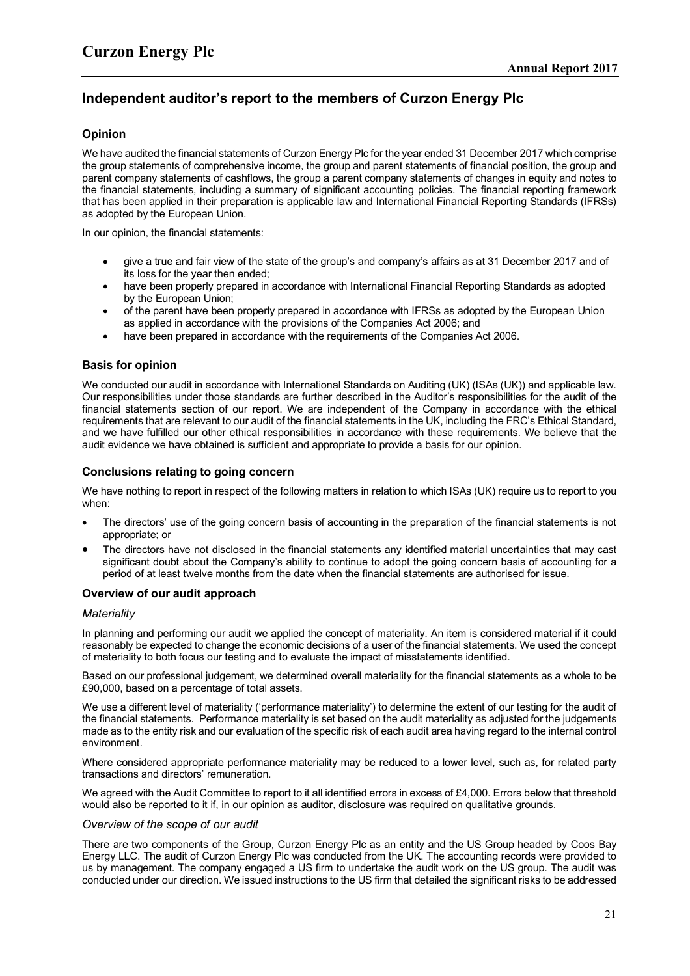## **Independent auditor's report to the members of Curzon Energy Plc**

### **Opinion**

We have audited the financial statements of Curzon Energy Plc for the year ended 31 December 2017 which comprise the group statements of comprehensive income, the group and parent statements of financial position, the group and parent company statements of cashflows, the group a parent company statements of changes in equity and notes to the financial statements, including a summary of significant accounting policies. The financial reporting framework that has been applied in their preparation is applicable law and International Financial Reporting Standards (IFRSs) as adopted by the European Union.

In our opinion, the financial statements:

- give a true and fair view of the state of the group's and company's affairs as at 31 December 2017 and of its loss for the year then ended;
- have been properly prepared in accordance with International Financial Reporting Standards as adopted by the European Union;
- of the parent have been properly prepared in accordance with IFRSs as adopted by the European Union as applied in accordance with the provisions of the Companies Act 2006; and
- have been prepared in accordance with the requirements of the Companies Act 2006.

#### **Basis for opinion**

We conducted our audit in accordance with International Standards on Auditing (UK) (ISAs (UK)) and applicable law. Our responsibilities under those standards are further described in the Auditor's responsibilities for the audit of the financial statements section of our report. We are independent of the Company in accordance with the ethical requirements that are relevant to our audit of the financial statements in the UK, including the FRC's Ethical Standard, and we have fulfilled our other ethical responsibilities in accordance with these requirements. We believe that the audit evidence we have obtained is sufficient and appropriate to provide a basis for our opinion.

#### **Conclusions relating to going concern**

We have nothing to report in respect of the following matters in relation to which ISAs (UK) require us to report to you when:

- The directors' use of the going concern basis of accounting in the preparation of the financial statements is not appropriate; or
- The directors have not disclosed in the financial statements any identified material uncertainties that may cast significant doubt about the Company's ability to continue to adopt the going concern basis of accounting for a period of at least twelve months from the date when the financial statements are authorised for issue.

#### **Overview of our audit approach**

#### *Materiality*

In planning and performing our audit we applied the concept of materiality. An item is considered material if it could reasonably be expected to change the economic decisions of a user of the financial statements. We used the concept of materiality to both focus our testing and to evaluate the impact of misstatements identified.

Based on our professional judgement, we determined overall materiality for the financial statements as a whole to be £90,000, based on a percentage of total assets.

We use a different level of materiality ('performance materiality') to determine the extent of our testing for the audit of the financial statements. Performance materiality is set based on the audit materiality as adjusted for the judgements made as to the entity risk and our evaluation of the specific risk of each audit area having regard to the internal control environment.

Where considered appropriate performance materiality may be reduced to a lower level, such as, for related party transactions and directors' remuneration.

We agreed with the Audit Committee to report to it all identified errors in excess of £4,000. Errors below that threshold would also be reported to it if, in our opinion as auditor, disclosure was required on qualitative grounds.

#### *Overview of the scope of our audit*

There are two components of the Group, Curzon Energy Plc as an entity and the US Group headed by Coos Bay Energy LLC. The audit of Curzon Energy Plc was conducted from the UK. The accounting records were provided to us by management. The company engaged a US firm to undertake the audit work on the US group. The audit was conducted under our direction. We issued instructions to the US firm that detailed the significant risks to be addressed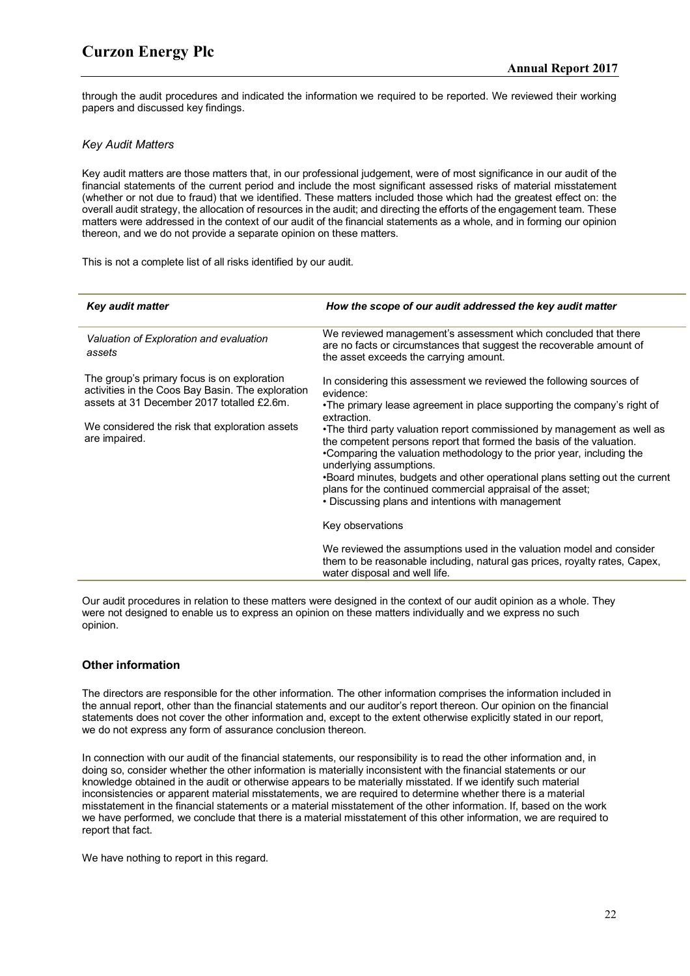through the audit procedures and indicated the information we required to be reported. We reviewed their working papers and discussed key findings.

#### *Key Audit Matters*

Key audit matters are those matters that, in our professional judgement, were of most significance in our audit of the financial statements of the current period and include the most significant assessed risks of material misstatement (whether or not due to fraud) that we identified. These matters included those which had the greatest effect on: the overall audit strategy, the allocation of resources in the audit; and directing the efforts of the engagement team. These matters were addressed in the context of our audit of the financial statements as a whole, and in forming our opinion thereon, and we do not provide a separate opinion on these matters.

This is not a complete list of all risks identified by our audit.

| <b>Key audit matter</b>                                                                                                                                                                                           | How the scope of our audit addressed the key audit matter                                                                                                                                                                                                                                                                                                                                                                         |
|-------------------------------------------------------------------------------------------------------------------------------------------------------------------------------------------------------------------|-----------------------------------------------------------------------------------------------------------------------------------------------------------------------------------------------------------------------------------------------------------------------------------------------------------------------------------------------------------------------------------------------------------------------------------|
| Valuation of Exploration and evaluation<br>assets                                                                                                                                                                 | We reviewed management's assessment which concluded that there<br>are no facts or circumstances that suggest the recoverable amount of<br>the asset exceeds the carrying amount.                                                                                                                                                                                                                                                  |
| The group's primary focus is on exploration<br>activities in the Coos Bay Basin. The exploration<br>assets at 31 December 2017 totalled £2.6m.<br>We considered the risk that exploration assets<br>are impaired. | In considering this assessment we reviewed the following sources of<br>evidence:<br>•The primary lease agreement in place supporting the company's right of<br>extraction.<br>•The third party valuation report commissioned by management as well as<br>the competent persons report that formed the basis of the valuation.<br>•Comparing the valuation methodology to the prior year, including the<br>underlying assumptions. |
|                                                                                                                                                                                                                   | •Board minutes, budgets and other operational plans setting out the current<br>plans for the continued commercial appraisal of the asset;<br>• Discussing plans and intentions with management<br>Key observations                                                                                                                                                                                                                |
|                                                                                                                                                                                                                   | We reviewed the assumptions used in the valuation model and consider<br>them to be reasonable including, natural gas prices, royalty rates, Capex,<br>water disposal and well life.                                                                                                                                                                                                                                               |

Our audit procedures in relation to these matters were designed in the context of our audit opinion as a whole. They were not designed to enable us to express an opinion on these matters individually and we express no such opinion.

### **Other information**

The directors are responsible for the other information. The other information comprises the information included in the annual report, other than the financial statements and our auditor's report thereon. Our opinion on the financial statements does not cover the other information and, except to the extent otherwise explicitly stated in our report, we do not express any form of assurance conclusion thereon.

In connection with our audit of the financial statements, our responsibility is to read the other information and, in doing so, consider whether the other information is materially inconsistent with the financial statements or our knowledge obtained in the audit or otherwise appears to be materially misstated. If we identify such material inconsistencies or apparent material misstatements, we are required to determine whether there is a material misstatement in the financial statements or a material misstatement of the other information. If, based on the work we have performed, we conclude that there is a material misstatement of this other information, we are required to report that fact.

We have nothing to report in this regard.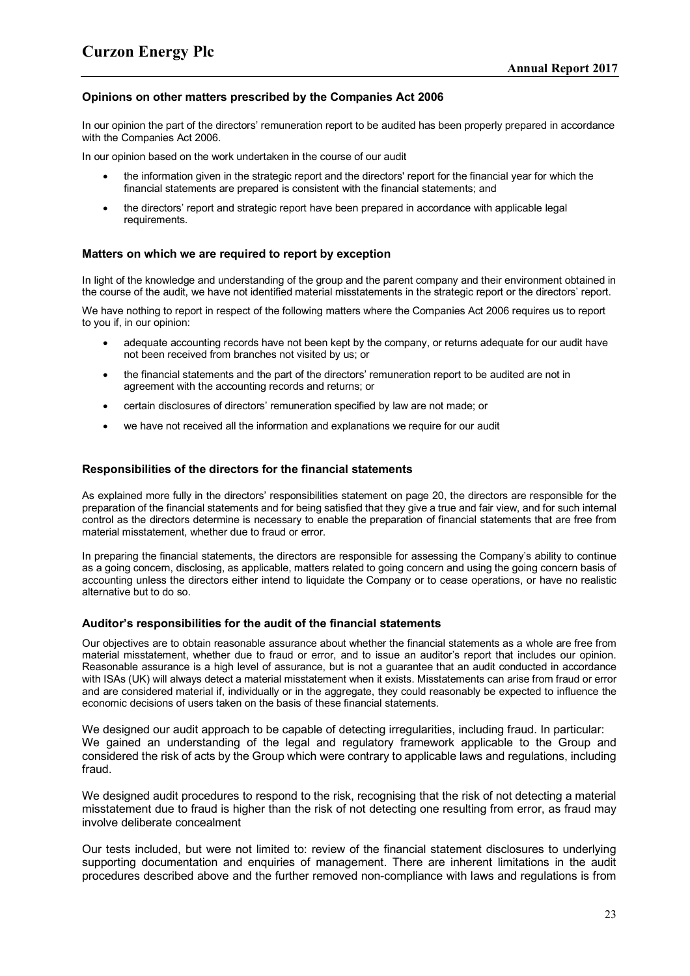#### **Opinions on other matters prescribed by the Companies Act 2006**

In our opinion the part of the directors' remuneration report to be audited has been properly prepared in accordance with the Companies Act 2006.

In our opinion based on the work undertaken in the course of our audit

- the information given in the strategic report and the directors' report for the financial year for which the financial statements are prepared is consistent with the financial statements; and
- the directors' report and strategic report have been prepared in accordance with applicable legal requirements.

#### **Matters on which we are required to report by exception**

In light of the knowledge and understanding of the group and the parent company and their environment obtained in the course of the audit, we have not identified material misstatements in the strategic report or the directors' report.

We have nothing to report in respect of the following matters where the Companies Act 2006 requires us to report to you if, in our opinion:

- adequate accounting records have not been kept by the company, or returns adequate for our audit have not been received from branches not visited by us; or
- the financial statements and the part of the directors' remuneration report to be audited are not in agreement with the accounting records and returns; or
- certain disclosures of directors' remuneration specified by law are not made; or
- we have not received all the information and explanations we require for our audit

#### **Responsibilities of the directors for the financial statements**

As explained more fully in the directors' responsibilities statement on page 20, the directors are responsible for the preparation of the financial statements and for being satisfied that they give a true and fair view, and for such internal control as the directors determine is necessary to enable the preparation of financial statements that are free from material misstatement, whether due to fraud or error.

In preparing the financial statements, the directors are responsible for assessing the Company's ability to continue as a going concern, disclosing, as applicable, matters related to going concern and using the going concern basis of accounting unless the directors either intend to liquidate the Company or to cease operations, or have no realistic alternative but to do so.

#### **Auditor's responsibilities for the audit of the financial statements**

Our objectives are to obtain reasonable assurance about whether the financial statements as a whole are free from material misstatement, whether due to fraud or error, and to issue an auditor's report that includes our opinion. Reasonable assurance is a high level of assurance, but is not a guarantee that an audit conducted in accordance with ISAs (UK) will always detect a material misstatement when it exists. Misstatements can arise from fraud or error and are considered material if, individually or in the aggregate, they could reasonably be expected to influence the economic decisions of users taken on the basis of these financial statements.

We designed our audit approach to be capable of detecting irregularities, including fraud. In particular: We gained an understanding of the legal and regulatory framework applicable to the Group and considered the risk of acts by the Group which were contrary to applicable laws and regulations, including fraud.

We designed audit procedures to respond to the risk, recognising that the risk of not detecting a material misstatement due to fraud is higher than the risk of not detecting one resulting from error, as fraud may involve deliberate concealment

Our tests included, but were not limited to: review of the financial statement disclosures to underlying supporting documentation and enquiries of management. There are inherent limitations in the audit procedures described above and the further removed non-compliance with laws and regulations is from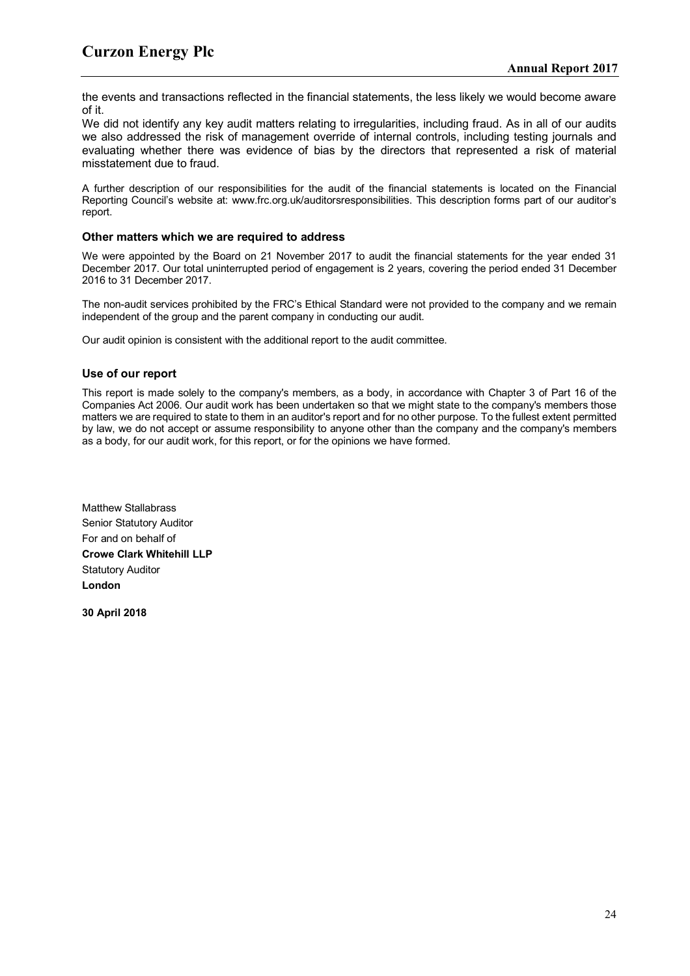the events and transactions reflected in the financial statements, the less likely we would become aware of it.

We did not identify any key audit matters relating to irregularities, including fraud. As in all of our audits we also addressed the risk of management override of internal controls, including testing journals and evaluating whether there was evidence of bias by the directors that represented a risk of material misstatement due to fraud.

A further description of our responsibilities for the audit of the financial statements is located on the Financial Reporting Council's website at: www.frc.org.uk/auditorsresponsibilities. This description forms part of our auditor's report.

#### **Other matters which we are required to address**

We were appointed by the Board on 21 November 2017 to audit the financial statements for the year ended 31 December 2017. Our total uninterrupted period of engagement is 2 years, covering the period ended 31 December 2016 to 31 December 2017.

The non-audit services prohibited by the FRC's Ethical Standard were not provided to the company and we remain independent of the group and the parent company in conducting our audit.

Our audit opinion is consistent with the additional report to the audit committee.

#### **Use of our report**

This report is made solely to the company's members, as a body, in accordance with Chapter 3 of Part 16 of the Companies Act 2006. Our audit work has been undertaken so that we might state to the company's members those matters we are required to state to them in an auditor's report and for no other purpose. To the fullest extent permitted by law, we do not accept or assume responsibility to anyone other than the company and the company's members as a body, for our audit work, for this report, or for the opinions we have formed.

Matthew Stallabrass Senior Statutory Auditor For and on behalf of **Crowe Clark Whitehill LLP** Statutory Auditor **London**

**30 April 2018**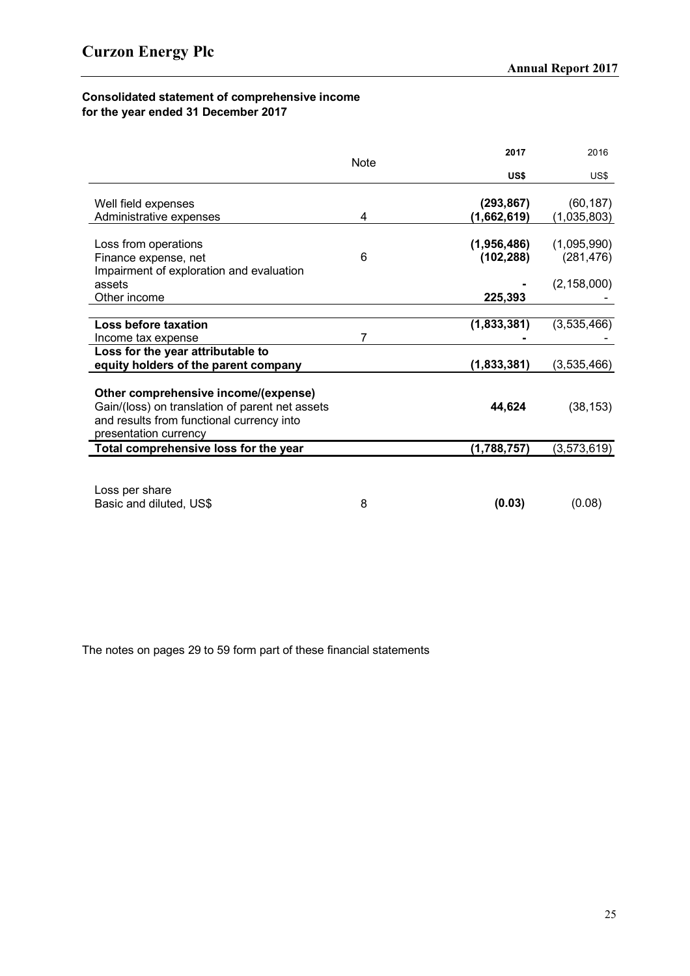### **Consolidated statement of comprehensive income for the year ended 31 December 2017**

|                                                 | <b>Note</b> | 2017        | 2016          |
|-------------------------------------------------|-------------|-------------|---------------|
|                                                 |             | US\$        | US\$          |
| Well field expenses                             |             | (293, 867)  | (60, 187)     |
| Administrative expenses                         | 4           | (1,662,619) | (1,035,803)   |
|                                                 |             |             |               |
| Loss from operations                            |             | (1,956,486) | (1,095,990)   |
| Finance expense, net                            | 6           | (102, 288)  | (281, 476)    |
| Impairment of exploration and evaluation        |             |             |               |
| assets                                          |             |             | (2, 158, 000) |
| Other income                                    |             | 225,393     |               |
| Loss before taxation                            |             | (1,833,381) | (3,535,466)   |
| Income tax expense                              |             |             |               |
| Loss for the year attributable to               |             |             |               |
| equity holders of the parent company            |             | (1,833,381) | (3,535,466)   |
|                                                 |             |             |               |
| Other comprehensive income/(expense)            |             |             |               |
| Gain/(loss) on translation of parent net assets |             | 44,624      | (38, 153)     |
| and results from functional currency into       |             |             |               |
| presentation currency                           |             |             |               |
| Total comprehensive loss for the year           |             | (1,788,757) | (3,573,619)   |
|                                                 |             |             |               |
| Loss per share                                  |             |             |               |
| Basic and diluted, US\$                         | 8           | (0.03)      | (0.08)        |

The notes on pages 29 to 59 form part of these financial statements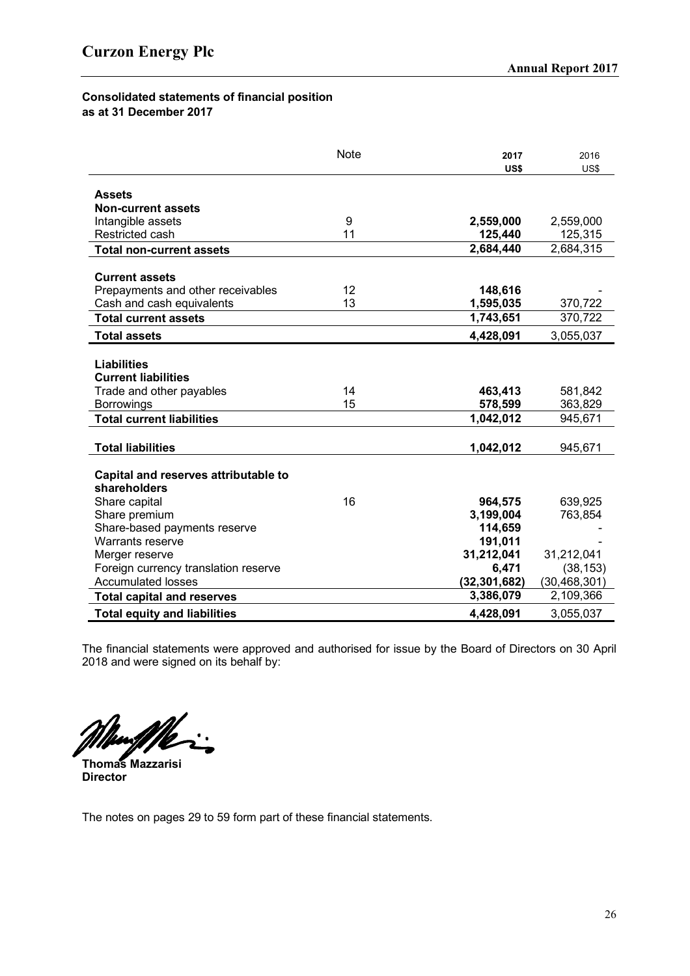### **Consolidated statements of financial position as at 31 December 2017**

|                                                      | <b>Note</b> | 2017           | 2016           |
|------------------------------------------------------|-------------|----------------|----------------|
|                                                      |             | US\$           | US\$           |
| <b>Assets</b>                                        |             |                |                |
| <b>Non-current assets</b>                            |             |                |                |
| Intangible assets                                    | 9           | 2,559,000      | 2,559,000      |
| Restricted cash                                      | 11          | 125,440        | 125,315        |
| <b>Total non-current assets</b>                      |             | 2,684,440      | 2,684,315      |
|                                                      |             |                |                |
| <b>Current assets</b>                                |             |                |                |
| Prepayments and other receivables                    | 12          | 148,616        |                |
| Cash and cash equivalents                            | 13          | 1,595,035      | 370,722        |
| <b>Total current assets</b>                          |             | 1,743,651      | 370,722        |
| <b>Total assets</b>                                  |             | 4,428,091      | 3,055,037      |
|                                                      |             |                |                |
| <b>Liabilities</b>                                   |             |                |                |
| <b>Current liabilities</b>                           |             |                |                |
| Trade and other payables                             | 14          | 463,413        | 581,842        |
| <b>Borrowings</b>                                    | 15          | 578,599        | 363,829        |
| <b>Total current liabilities</b>                     |             | 1,042,012      | 945,671        |
|                                                      |             |                |                |
| <b>Total liabilities</b>                             |             | 1,042,012      | 945,671        |
|                                                      |             |                |                |
| Capital and reserves attributable to<br>shareholders |             |                |                |
| Share capital                                        | 16          | 964,575        | 639,925        |
| Share premium                                        |             | 3,199,004      | 763,854        |
| Share-based payments reserve                         |             | 114,659        |                |
| <b>Warrants reserve</b>                              |             | 191,011        |                |
| Merger reserve                                       |             | 31,212,041     | 31,212,041     |
| Foreign currency translation reserve                 |             | 6,471          | (38, 153)      |
| <b>Accumulated losses</b>                            |             | (32, 301, 682) | (30, 468, 301) |
| <b>Total capital and reserves</b>                    |             | 3,386,079      | 2,109,366      |
| <b>Total equity and liabilities</b>                  |             | 4,428,091      | 3,055,037      |

The financial statements were approved and authorised for issue by the Board of Directors on 30 April 2018 and were signed on its behalf by:

**Thomas Mazzarisi Director**

The notes on pages 29 to 59 form part of these financial statements.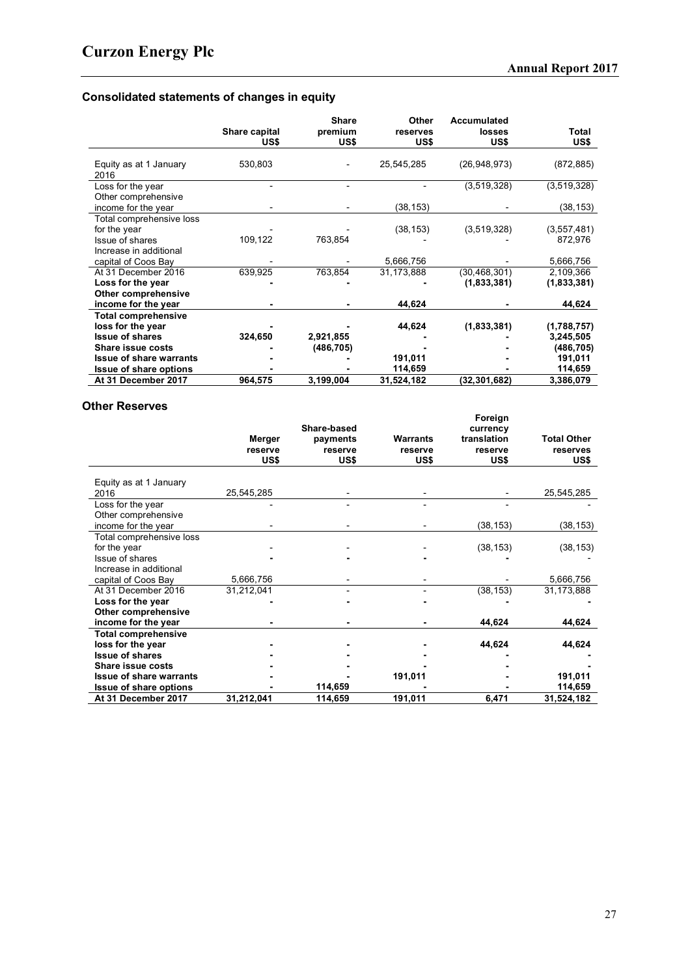### **Consolidated statements of changes in equity**

|                                                   | Share capital<br>US\$ | <b>Share</b><br>premium<br>US\$ | Other<br>reserves<br>US\$ | <b>Accumulated</b><br>losses<br>US\$ | Total<br>US\$ |
|---------------------------------------------------|-----------------------|---------------------------------|---------------------------|--------------------------------------|---------------|
| Equity as at 1 January<br>2016                    | 530,803               |                                 | 25,545,285                | (26, 948, 973)                       | (872, 885)    |
| Loss for the year                                 |                       |                                 |                           | (3,519,328)                          | (3,519,328)   |
| Other comprehensive<br>income for the year        |                       |                                 | (38,153)                  |                                      | (38,153)      |
| Total comprehensive loss                          |                       |                                 |                           |                                      |               |
| for the year                                      |                       |                                 | (38, 153)                 | (3,519,328)                          | (3,557,481)   |
| Issue of shares                                   | 109,122               | 763,854                         |                           |                                      | 872,976       |
| Increase in additional                            |                       |                                 |                           |                                      |               |
| capital of Coos Bay                               |                       |                                 | 5,666,756                 |                                      | 5,666,756     |
| At 31 December 2016                               | 639,925               | 763,854                         | 31,173,888                | (30, 468, 301)                       | 2,109,366     |
| Loss for the year                                 |                       |                                 |                           | (1,833,381)                          | (1,833,381)   |
| <b>Other comprehensive</b><br>income for the year |                       |                                 | 44,624                    |                                      | 44,624        |
| <b>Total comprehensive</b>                        |                       |                                 |                           |                                      |               |
| loss for the year                                 |                       |                                 | 44,624                    | (1,833,381)                          | (1,788,757)   |
| <b>Issue of shares</b>                            | 324,650               | 2,921,855                       |                           |                                      | 3,245,505     |
| <b>Share issue costs</b>                          |                       | (486, 705)                      |                           |                                      | (486, 705)    |
| <b>Issue of share warrants</b>                    |                       |                                 | 191,011                   |                                      | 191,011       |
| <b>Issue of share options</b>                     |                       |                                 | 114,659                   |                                      | 114,659       |
| At 31 December 2017                               | 964,575               | 3,199,004                       | 31,524,182                | (32,301,682)                         | 3,386,079     |

### **Other Reserves**

|                                | Merger<br>reserve<br>US\$ | Share-based<br>payments<br>reserve<br>US\$ | Warrants<br>reserve<br>US\$ | Foreign<br>currency<br>translation<br>reserve<br>US\$ | <b>Total Other</b><br>reserves<br>US\$ |
|--------------------------------|---------------------------|--------------------------------------------|-----------------------------|-------------------------------------------------------|----------------------------------------|
| Equity as at 1 January         |                           |                                            |                             |                                                       |                                        |
| 2016                           | 25,545,285                |                                            |                             |                                                       | 25,545,285                             |
| Loss for the year              |                           |                                            |                             |                                                       |                                        |
| Other comprehensive            |                           |                                            |                             |                                                       |                                        |
| income for the year            |                           |                                            |                             | (38, 153)                                             | (38, 153)                              |
| Total comprehensive loss       |                           |                                            |                             |                                                       |                                        |
| for the year                   |                           |                                            |                             | (38, 153)                                             | (38, 153)                              |
| Issue of shares                |                           |                                            |                             |                                                       |                                        |
| Increase in additional         |                           |                                            |                             |                                                       |                                        |
| capital of Coos Bay            | 5,666,756                 |                                            |                             |                                                       | 5,666,756                              |
| At 31 December 2016            | 31,212,041                |                                            |                             | (38, 153)                                             | 31,173,888                             |
| Loss for the year              |                           |                                            |                             |                                                       |                                        |
| Other comprehensive            |                           |                                            |                             |                                                       |                                        |
| income for the year            |                           |                                            |                             | 44,624                                                | 44,624                                 |
| <b>Total comprehensive</b>     |                           |                                            |                             |                                                       |                                        |
| loss for the year              |                           |                                            |                             | 44,624                                                | 44,624                                 |
| <b>Issue of shares</b>         |                           |                                            |                             |                                                       |                                        |
| Share issue costs              |                           |                                            |                             |                                                       |                                        |
| <b>Issue of share warrants</b> |                           |                                            | 191,011                     |                                                       | 191,011                                |
| <b>Issue of share options</b>  |                           | 114,659                                    |                             |                                                       | 114,659                                |
| At 31 December 2017            | 31,212,041                | 114,659                                    | 191,011                     | 6,471                                                 | 31,524,182                             |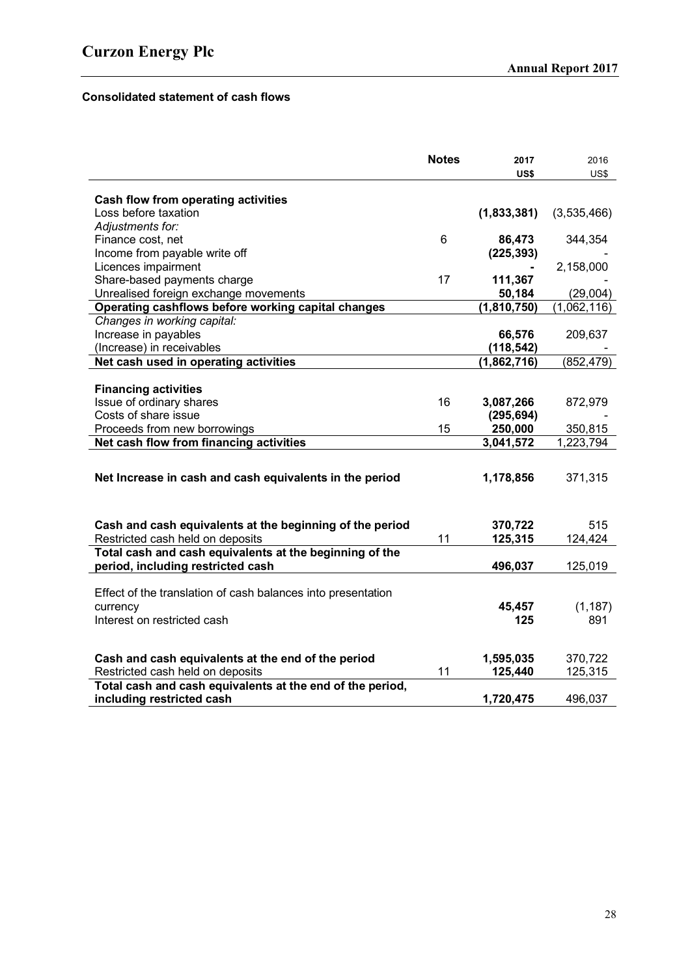### **Consolidated statement of cash flows**

|                                                              | <b>Notes</b> | 2017<br>US\$  | 2016<br>US\$ |
|--------------------------------------------------------------|--------------|---------------|--------------|
|                                                              |              |               |              |
| <b>Cash flow from operating activities</b>                   |              |               |              |
| Loss before taxation                                         |              | (1,833,381)   | (3,535,466)  |
| Adjustments for:                                             |              |               |              |
| Finance cost, net                                            | 6            | 86,473        | 344,354      |
| Income from payable write off                                |              | (225, 393)    |              |
| Licences impairment                                          |              |               | 2,158,000    |
| Share-based payments charge                                  | 17           | 111,367       |              |
| Unrealised foreign exchange movements                        |              | 50,184        | (29,004)     |
| Operating cashflows before working capital changes           |              | (1, 810, 750) | (1,062,116)  |
| Changes in working capital:                                  |              |               |              |
| Increase in payables                                         |              | 66,576        | 209,637      |
| (Increase) in receivables                                    |              | (118, 542)    |              |
| Net cash used in operating activities                        |              | (1,862,716)   | (852, 479)   |
|                                                              |              |               |              |
| <b>Financing activities</b><br>Issue of ordinary shares      | 16           | 3,087,266     |              |
| Costs of share issue                                         |              | (295, 694)    | 872,979      |
| Proceeds from new borrowings                                 | 15           | 250,000       | 350,815      |
| Net cash flow from financing activities                      |              | 3,041,572     | 1,223,794    |
|                                                              |              |               |              |
|                                                              |              |               |              |
| Net Increase in cash and cash equivalents in the period      |              | 1,178,856     | 371,315      |
|                                                              |              |               |              |
|                                                              |              |               |              |
| Cash and cash equivalents at the beginning of the period     |              | 370,722       | 515          |
| Restricted cash held on deposits                             | 11           | 125,315       | 124,424      |
| Total cash and cash equivalents at the beginning of the      |              |               |              |
| period, including restricted cash                            |              | 496,037       | 125,019      |
|                                                              |              |               |              |
| Effect of the translation of cash balances into presentation |              |               |              |
| currency                                                     |              | 45,457        | (1, 187)     |
| Interest on restricted cash                                  |              | 125           | 891          |
|                                                              |              |               |              |
|                                                              |              |               |              |
| Cash and cash equivalents at the end of the period           |              | 1,595,035     | 370,722      |
| Restricted cash held on deposits                             | 11           | 125,440       | 125,315      |
| Total cash and cash equivalents at the end of the period,    |              |               |              |
| including restricted cash                                    |              | 1,720,475     | 496,037      |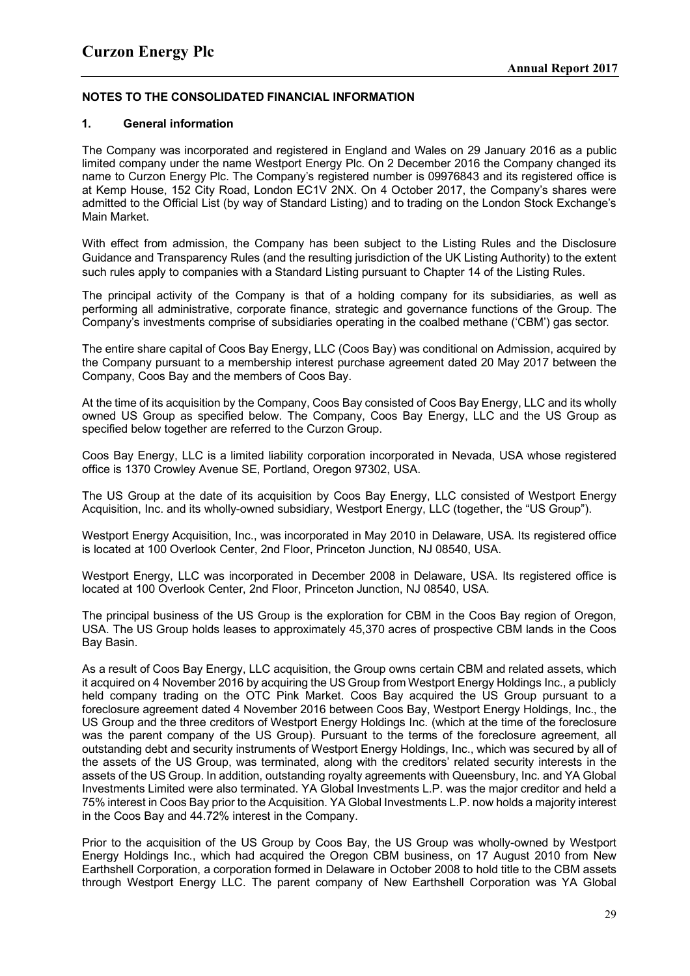### **NOTES TO THE CONSOLIDATED FINANCIAL INFORMATION**

### **1. General information**

The Company was incorporated and registered in England and Wales on 29 January 2016 as a public limited company under the name Westport Energy Plc. On 2 December 2016 the Company changed its name to Curzon Energy Plc. The Company's registered number is 09976843 and its registered office is at Kemp House, 152 City Road, London EC1V 2NX. On 4 October 2017, the Company's shares were admitted to the Official List (by way of Standard Listing) and to trading on the London Stock Exchange's Main Market.

With effect from admission, the Company has been subject to the Listing Rules and the Disclosure Guidance and Transparency Rules (and the resulting jurisdiction of the UK Listing Authority) to the extent such rules apply to companies with a Standard Listing pursuant to Chapter 14 of the Listing Rules.

The principal activity of the Company is that of a holding company for its subsidiaries, as well as performing all administrative, corporate finance, strategic and governance functions of the Group. The Company's investments comprise of subsidiaries operating in the coalbed methane ('CBM') gas sector.

The entire share capital of Coos Bay Energy, LLC (Coos Bay) was conditional on Admission, acquired by the Company pursuant to a membership interest purchase agreement dated 20 May 2017 between the Company, Coos Bay and the members of Coos Bay.

At the time of its acquisition by the Company, Coos Bay consisted of Coos Bay Energy, LLC and its wholly owned US Group as specified below. The Company, Coos Bay Energy, LLC and the US Group as specified below together are referred to the Curzon Group.

Coos Bay Energy, LLC is a limited liability corporation incorporated in Nevada, USA whose registered office is 1370 Crowley Avenue SE, Portland, Oregon 97302, USA.

The US Group at the date of its acquisition by Coos Bay Energy, LLC consisted of Westport Energy Acquisition, Inc. and its wholly-owned subsidiary, Westport Energy, LLC (together, the "US Group").

Westport Energy Acquisition, Inc., was incorporated in May 2010 in Delaware, USA. Its registered office is located at 100 Overlook Center, 2nd Floor, Princeton Junction, NJ 08540, USA.

Westport Energy, LLC was incorporated in December 2008 in Delaware, USA. Its registered office is located at 100 Overlook Center, 2nd Floor, Princeton Junction, NJ 08540, USA.

The principal business of the US Group is the exploration for CBM in the Coos Bay region of Oregon, USA. The US Group holds leases to approximately 45,370 acres of prospective CBM lands in the Coos Bay Basin.

As a result of Coos Bay Energy, LLC acquisition, the Group owns certain CBM and related assets, which it acquired on 4 November 2016 by acquiring the US Group from Westport Energy Holdings Inc., a publicly held company trading on the OTC Pink Market. Coos Bay acquired the US Group pursuant to a foreclosure agreement dated 4 November 2016 between Coos Bay, Westport Energy Holdings, Inc., the US Group and the three creditors of Westport Energy Holdings Inc. (which at the time of the foreclosure was the parent company of the US Group). Pursuant to the terms of the foreclosure agreement, all outstanding debt and security instruments of Westport Energy Holdings, Inc., which was secured by all of the assets of the US Group, was terminated, along with the creditors' related security interests in the assets of the US Group. In addition, outstanding royalty agreements with Queensbury, Inc. and YA Global Investments Limited were also terminated. YA Global Investments L.P. was the major creditor and held a 75% interest in Coos Bay prior to the Acquisition. YA Global Investments L.P. now holds a majority interest in the Coos Bay and 44.72% interest in the Company.

Prior to the acquisition of the US Group by Coos Bay, the US Group was wholly-owned by Westport Energy Holdings Inc., which had acquired the Oregon CBM business, on 17 August 2010 from New Earthshell Corporation, a corporation formed in Delaware in October 2008 to hold title to the CBM assets through Westport Energy LLC. The parent company of New Earthshell Corporation was YA Global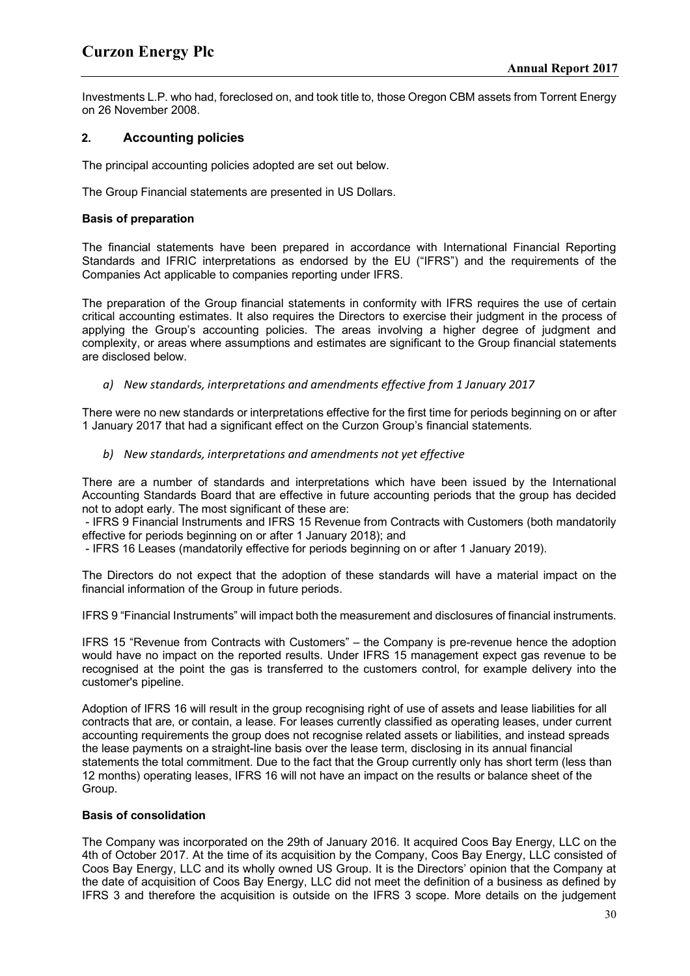Investments L.P. who had, foreclosed on, and took title to, those Oregon CBM assets from Torrent Energy on 26 November 2008.

### **2. Accounting policies**

The principal accounting policies adopted are set out below.

The Group Financial statements are presented in US Dollars.

#### **Basis of preparation**

The financial statements have been prepared in accordance with International Financial Reporting Standards and IFRIC interpretations as endorsed by the EU ("IFRS") and the requirements of the Companies Act applicable to companies reporting under IFRS.

The preparation of the Group financial statements in conformity with IFRS requires the use of certain critical accounting estimates. It also requires the Directors to exercise their judgment in the process of applying the Group's accounting policies. The areas involving a higher degree of judgment and complexity, or areas where assumptions and estimates are significant to the Group financial statements are disclosed below.

*a) New standards, interpretations and amendments effective from 1 January 2017* 

There were no new standards or interpretations effective for the first time for periods beginning on or after 1 January 2017 that had a significant effect on the Curzon Group's financial statements.

*b) New standards, interpretations and amendments not yet effective* 

There are a number of standards and interpretations which have been issued by the International Accounting Standards Board that are effective in future accounting periods that the group has decided not to adopt early. The most significant of these are:

- IFRS 9 Financial Instruments and IFRS 15 Revenue from Contracts with Customers (both mandatorily effective for periods beginning on or after 1 January 2018); and

- IFRS 16 Leases (mandatorily effective for periods beginning on or after 1 January 2019).

The Directors do not expect that the adoption of these standards will have a material impact on the financial information of the Group in future periods.

IFRS 9 "Financial Instruments" will impact both the measurement and disclosures of financial instruments.

IFRS 15 "Revenue from Contracts with Customers" – the Company is pre-revenue hence the adoption would have no impact on the reported results. Under IFRS 15 management expect gas revenue to be recognised at the point the gas is transferred to the customers control, for example delivery into the customer's pipeline.

Adoption of IFRS 16 will result in the group recognising right of use of assets and lease liabilities for all contracts that are, or contain, a lease. For leases currently classified as operating leases, under current accounting requirements the group does not recognise related assets or liabilities, and instead spreads the lease payments on a straight-line basis over the lease term, disclosing in its annual financial statements the total commitment. Due to the fact that the Group currently only has short term (less than 12 months) operating leases, IFRS 16 will not have an impact on the results or balance sheet of the Group.

### **Basis of consolidation**

The Company was incorporated on the 29th of January 2016. It acquired Coos Bay Energy, LLC on the 4th of October 2017. At the time of its acquisition by the Company, Coos Bay Energy, LLC consisted of Coos Bay Energy, LLC and its wholly owned US Group. It is the Directors' opinion that the Company at the date of acquisition of Coos Bay Energy, LLC did not meet the definition of a business as defined by IFRS 3 and therefore the acquisition is outside on the IFRS 3 scope. More details on the judgement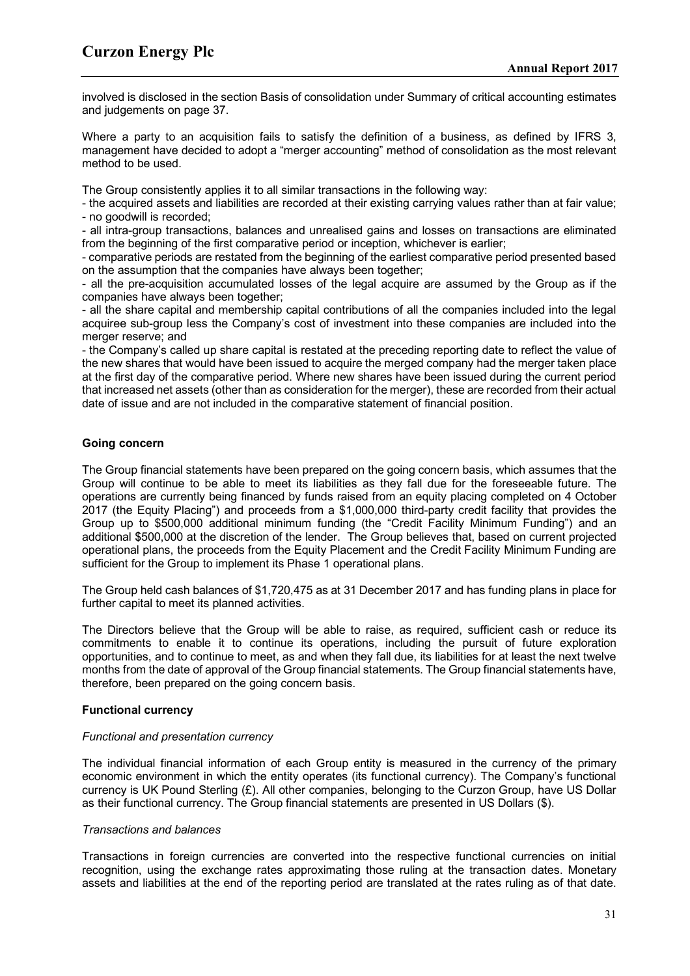involved is disclosed in the section Basis of consolidation under Summary of critical accounting estimates and judgements on page 37.

Where a party to an acquisition fails to satisfy the definition of a business, as defined by IFRS 3, management have decided to adopt a "merger accounting" method of consolidation as the most relevant method to be used.

The Group consistently applies it to all similar transactions in the following way:

- the acquired assets and liabilities are recorded at their existing carrying values rather than at fair value; - no goodwill is recorded;

- all intra-group transactions, balances and unrealised gains and losses on transactions are eliminated from the beginning of the first comparative period or inception, whichever is earlier;

- comparative periods are restated from the beginning of the earliest comparative period presented based on the assumption that the companies have always been together;

- all the pre-acquisition accumulated losses of the legal acquire are assumed by the Group as if the companies have always been together;

- all the share capital and membership capital contributions of all the companies included into the legal acquiree sub-group less the Company's cost of investment into these companies are included into the merger reserve; and

- the Company's called up share capital is restated at the preceding reporting date to reflect the value of the new shares that would have been issued to acquire the merged company had the merger taken place at the first day of the comparative period. Where new shares have been issued during the current period that increased net assets (other than as consideration for the merger), these are recorded from their actual date of issue and are not included in the comparative statement of financial position.

### **Going concern**

The Group financial statements have been prepared on the going concern basis, which assumes that the Group will continue to be able to meet its liabilities as they fall due for the foreseeable future. The operations are currently being financed by funds raised from an equity placing completed on 4 October 2017 (the Equity Placing") and proceeds from a \$1,000,000 third-party credit facility that provides the Group up to \$500,000 additional minimum funding (the "Credit Facility Minimum Funding") and an additional \$500,000 at the discretion of the lender. The Group believes that, based on current projected operational plans, the proceeds from the Equity Placement and the Credit Facility Minimum Funding are sufficient for the Group to implement its Phase 1 operational plans.

The Group held cash balances of \$1,720,475 as at 31 December 2017 and has funding plans in place for further capital to meet its planned activities.

The Directors believe that the Group will be able to raise, as required, sufficient cash or reduce its commitments to enable it to continue its operations, including the pursuit of future exploration opportunities, and to continue to meet, as and when they fall due, its liabilities for at least the next twelve months from the date of approval of the Group financial statements. The Group financial statements have, therefore, been prepared on the going concern basis.

### **Functional currency**

### *Functional and presentation currency*

The individual financial information of each Group entity is measured in the currency of the primary economic environment in which the entity operates (its functional currency). The Company's functional currency is UK Pound Sterling (£). All other companies, belonging to the Curzon Group, have US Dollar as their functional currency. The Group financial statements are presented in US Dollars (\$).

### *Transactions and balances*

Transactions in foreign currencies are converted into the respective functional currencies on initial recognition, using the exchange rates approximating those ruling at the transaction dates. Monetary assets and liabilities at the end of the reporting period are translated at the rates ruling as of that date.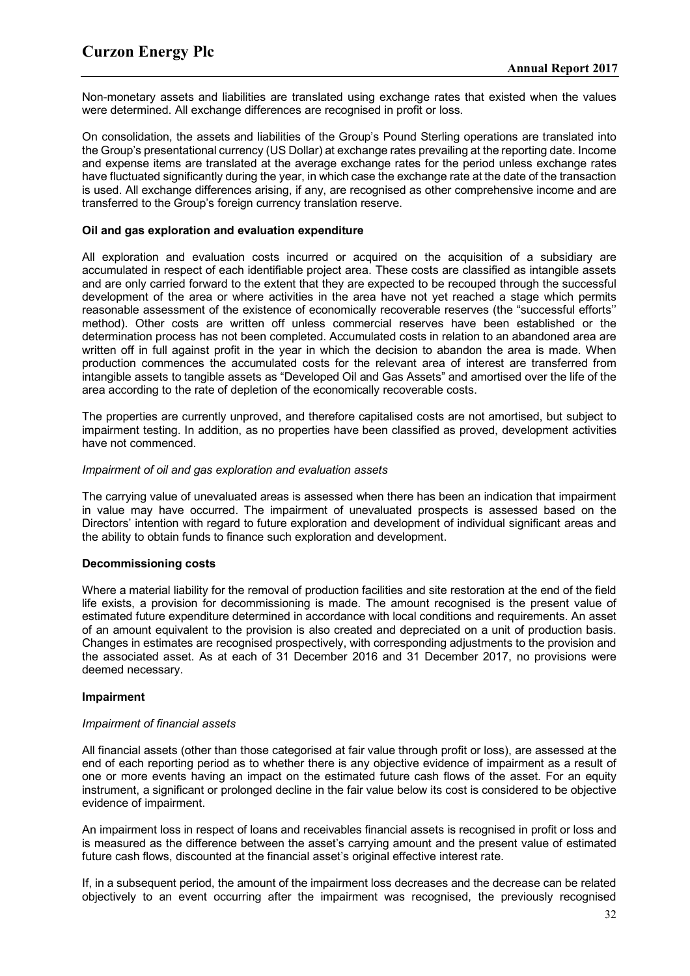Non-monetary assets and liabilities are translated using exchange rates that existed when the values were determined. All exchange differences are recognised in profit or loss.

On consolidation, the assets and liabilities of the Group's Pound Sterling operations are translated into the Group's presentational currency (US Dollar) at exchange rates prevailing at the reporting date. Income and expense items are translated at the average exchange rates for the period unless exchange rates have fluctuated significantly during the year, in which case the exchange rate at the date of the transaction is used. All exchange differences arising, if any, are recognised as other comprehensive income and are transferred to the Group's foreign currency translation reserve.

#### **Oil and gas exploration and evaluation expenditure**

All exploration and evaluation costs incurred or acquired on the acquisition of a subsidiary are accumulated in respect of each identifiable project area. These costs are classified as intangible assets and are only carried forward to the extent that they are expected to be recouped through the successful development of the area or where activities in the area have not yet reached a stage which permits reasonable assessment of the existence of economically recoverable reserves (the "successful efforts'' method). Other costs are written off unless commercial reserves have been established or the determination process has not been completed. Accumulated costs in relation to an abandoned area are written off in full against profit in the year in which the decision to abandon the area is made. When production commences the accumulated costs for the relevant area of interest are transferred from intangible assets to tangible assets as "Developed Oil and Gas Assets" and amortised over the life of the area according to the rate of depletion of the economically recoverable costs.

The properties are currently unproved, and therefore capitalised costs are not amortised, but subject to impairment testing. In addition, as no properties have been classified as proved, development activities have not commenced.

#### *Impairment of oil and gas exploration and evaluation assets*

The carrying value of unevaluated areas is assessed when there has been an indication that impairment in value may have occurred. The impairment of unevaluated prospects is assessed based on the Directors' intention with regard to future exploration and development of individual significant areas and the ability to obtain funds to finance such exploration and development.

#### **Decommissioning costs**

Where a material liability for the removal of production facilities and site restoration at the end of the field life exists, a provision for decommissioning is made. The amount recognised is the present value of estimated future expenditure determined in accordance with local conditions and requirements. An asset of an amount equivalent to the provision is also created and depreciated on a unit of production basis. Changes in estimates are recognised prospectively, with corresponding adjustments to the provision and the associated asset. As at each of 31 December 2016 and 31 December 2017, no provisions were deemed necessary.

#### **Impairment**

#### *Impairment of financial assets*

All financial assets (other than those categorised at fair value through profit or loss), are assessed at the end of each reporting period as to whether there is any objective evidence of impairment as a result of one or more events having an impact on the estimated future cash flows of the asset. For an equity instrument, a significant or prolonged decline in the fair value below its cost is considered to be objective evidence of impairment.

An impairment loss in respect of loans and receivables financial assets is recognised in profit or loss and is measured as the difference between the asset's carrying amount and the present value of estimated future cash flows, discounted at the financial asset's original effective interest rate.

If, in a subsequent period, the amount of the impairment loss decreases and the decrease can be related objectively to an event occurring after the impairment was recognised, the previously recognised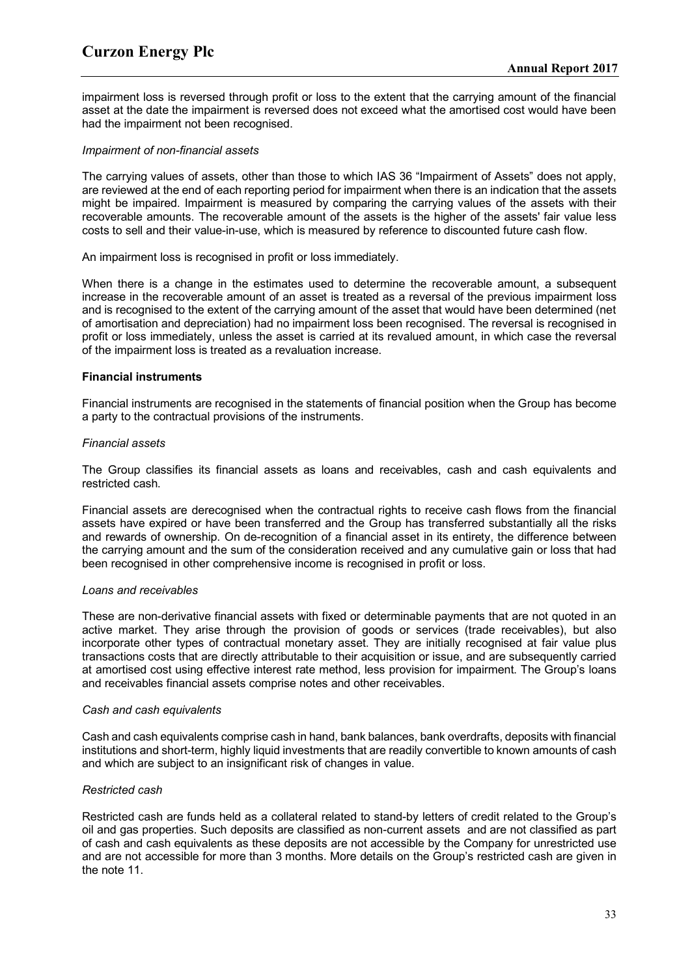impairment loss is reversed through profit or loss to the extent that the carrying amount of the financial asset at the date the impairment is reversed does not exceed what the amortised cost would have been had the impairment not been recognised.

#### *Impairment of non-financial assets*

The carrying values of assets, other than those to which IAS 36 "Impairment of Assets" does not apply, are reviewed at the end of each reporting period for impairment when there is an indication that the assets might be impaired. Impairment is measured by comparing the carrying values of the assets with their recoverable amounts. The recoverable amount of the assets is the higher of the assets' fair value less costs to sell and their value-in-use, which is measured by reference to discounted future cash flow.

An impairment loss is recognised in profit or loss immediately.

When there is a change in the estimates used to determine the recoverable amount, a subsequent increase in the recoverable amount of an asset is treated as a reversal of the previous impairment loss and is recognised to the extent of the carrying amount of the asset that would have been determined (net of amortisation and depreciation) had no impairment loss been recognised. The reversal is recognised in profit or loss immediately, unless the asset is carried at its revalued amount, in which case the reversal of the impairment loss is treated as a revaluation increase.

#### **Financial instruments**

Financial instruments are recognised in the statements of financial position when the Group has become a party to the contractual provisions of the instruments.

#### *Financial assets*

The Group classifies its financial assets as loans and receivables, cash and cash equivalents and restricted cash.

Financial assets are derecognised when the contractual rights to receive cash flows from the financial assets have expired or have been transferred and the Group has transferred substantially all the risks and rewards of ownership. On de-recognition of a financial asset in its entirety, the difference between the carrying amount and the sum of the consideration received and any cumulative gain or loss that had been recognised in other comprehensive income is recognised in profit or loss.

### *Loans and receivables*

These are non-derivative financial assets with fixed or determinable payments that are not quoted in an active market. They arise through the provision of goods or services (trade receivables), but also incorporate other types of contractual monetary asset. They are initially recognised at fair value plus transactions costs that are directly attributable to their acquisition or issue, and are subsequently carried at amortised cost using effective interest rate method, less provision for impairment. The Group's loans and receivables financial assets comprise notes and other receivables.

#### *Cash and cash equivalents*

Cash and cash equivalents comprise cash in hand, bank balances, bank overdrafts, deposits with financial institutions and short-term, highly liquid investments that are readily convertible to known amounts of cash and which are subject to an insignificant risk of changes in value.

### *Restricted cash*

Restricted cash are funds held as a collateral related to stand-by letters of credit related to the Group's oil and gas properties. Such deposits are classified as non-current assets and are not classified as part of cash and cash equivalents as these deposits are not accessible by the Company for unrestricted use and are not accessible for more than 3 months. More details on the Group's restricted cash are given in the note 11.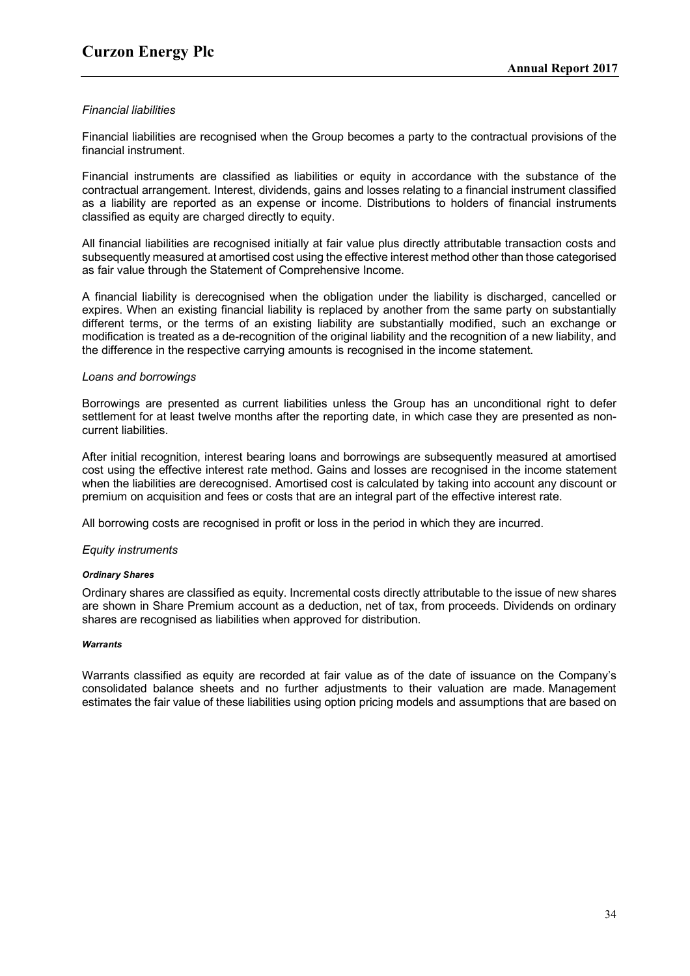### *Financial liabilities*

Financial liabilities are recognised when the Group becomes a party to the contractual provisions of the financial instrument.

Financial instruments are classified as liabilities or equity in accordance with the substance of the contractual arrangement. Interest, dividends, gains and losses relating to a financial instrument classified as a liability are reported as an expense or income. Distributions to holders of financial instruments classified as equity are charged directly to equity.

All financial liabilities are recognised initially at fair value plus directly attributable transaction costs and subsequently measured at amortised cost using the effective interest method other than those categorised as fair value through the Statement of Comprehensive Income.

A financial liability is derecognised when the obligation under the liability is discharged, cancelled or expires. When an existing financial liability is replaced by another from the same party on substantially different terms, or the terms of an existing liability are substantially modified, such an exchange or modification is treated as a de-recognition of the original liability and the recognition of a new liability, and the difference in the respective carrying amounts is recognised in the income statement.

#### *Loans and borrowings*

Borrowings are presented as current liabilities unless the Group has an unconditional right to defer settlement for at least twelve months after the reporting date, in which case they are presented as noncurrent liabilities.

After initial recognition, interest bearing loans and borrowings are subsequently measured at amortised cost using the effective interest rate method. Gains and losses are recognised in the income statement when the liabilities are derecognised. Amortised cost is calculated by taking into account any discount or premium on acquisition and fees or costs that are an integral part of the effective interest rate.

All borrowing costs are recognised in profit or loss in the period in which they are incurred.

#### *Equity instruments*

#### *Ordinary Shares*

Ordinary shares are classified as equity. Incremental costs directly attributable to the issue of new shares are shown in Share Premium account as a deduction, net of tax, from proceeds. Dividends on ordinary shares are recognised as liabilities when approved for distribution.

#### *Warrants*

Warrants classified as equity are recorded at fair value as of the date of issuance on the Company's consolidated balance sheets and no further adjustments to their valuation are made. Management estimates the fair value of these liabilities using option pricing models and assumptions that are based on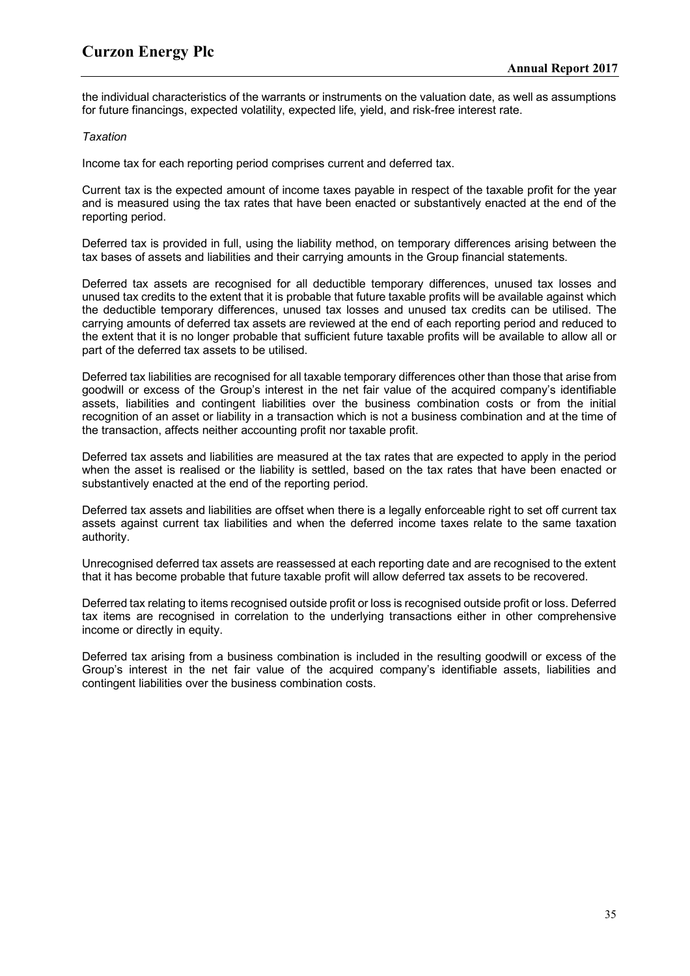the individual characteristics of the warrants or instruments on the valuation date, as well as assumptions for future financings, expected volatility, expected life, yield, and risk-free interest rate.

#### *Taxation*

Income tax for each reporting period comprises current and deferred tax.

Current tax is the expected amount of income taxes payable in respect of the taxable profit for the year and is measured using the tax rates that have been enacted or substantively enacted at the end of the reporting period.

Deferred tax is provided in full, using the liability method, on temporary differences arising between the tax bases of assets and liabilities and their carrying amounts in the Group financial statements.

Deferred tax assets are recognised for all deductible temporary differences, unused tax losses and unused tax credits to the extent that it is probable that future taxable profits will be available against which the deductible temporary differences, unused tax losses and unused tax credits can be utilised. The carrying amounts of deferred tax assets are reviewed at the end of each reporting period and reduced to the extent that it is no longer probable that sufficient future taxable profits will be available to allow all or part of the deferred tax assets to be utilised.

Deferred tax liabilities are recognised for all taxable temporary differences other than those that arise from goodwill or excess of the Group's interest in the net fair value of the acquired company's identifiable assets, liabilities and contingent liabilities over the business combination costs or from the initial recognition of an asset or liability in a transaction which is not a business combination and at the time of the transaction, affects neither accounting profit nor taxable profit.

Deferred tax assets and liabilities are measured at the tax rates that are expected to apply in the period when the asset is realised or the liability is settled, based on the tax rates that have been enacted or substantively enacted at the end of the reporting period.

Deferred tax assets and liabilities are offset when there is a legally enforceable right to set off current tax assets against current tax liabilities and when the deferred income taxes relate to the same taxation authority.

Unrecognised deferred tax assets are reassessed at each reporting date and are recognised to the extent that it has become probable that future taxable profit will allow deferred tax assets to be recovered.

Deferred tax relating to items recognised outside profit or loss is recognised outside profit or loss. Deferred tax items are recognised in correlation to the underlying transactions either in other comprehensive income or directly in equity.

Deferred tax arising from a business combination is included in the resulting goodwill or excess of the Group's interest in the net fair value of the acquired company's identifiable assets, liabilities and contingent liabilities over the business combination costs.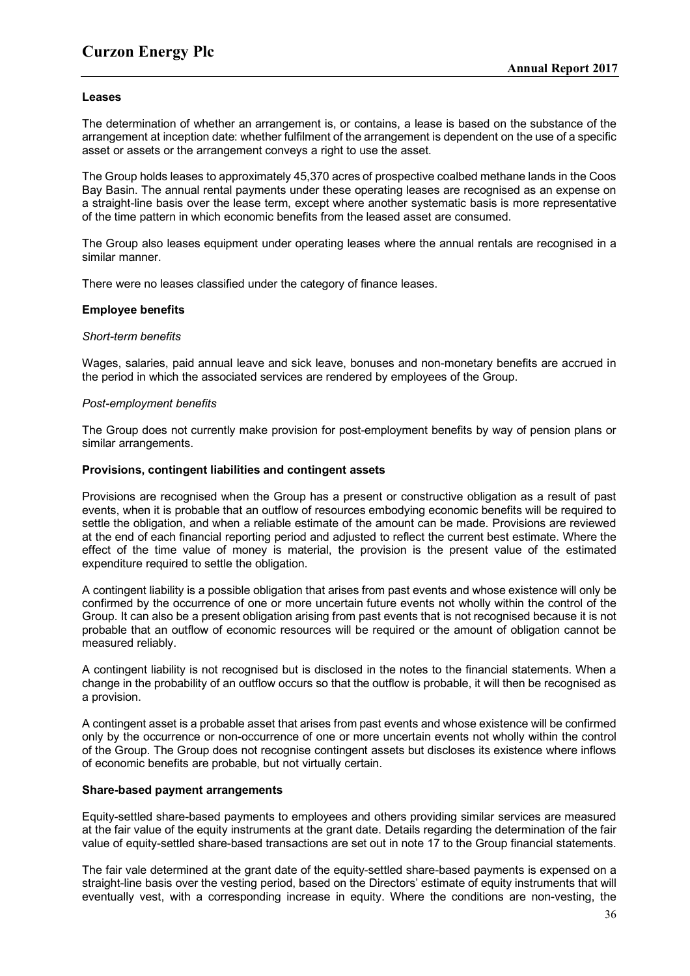#### **Leases**

The determination of whether an arrangement is, or contains, a lease is based on the substance of the arrangement at inception date: whether fulfilment of the arrangement is dependent on the use of a specific asset or assets or the arrangement conveys a right to use the asset.

The Group holds leases to approximately 45,370 acres of prospective coalbed methane lands in the Coos Bay Basin. The annual rental payments under these operating leases are recognised as an expense on a straight-line basis over the lease term, except where another systematic basis is more representative of the time pattern in which economic benefits from the leased asset are consumed.

The Group also leases equipment under operating leases where the annual rentals are recognised in a similar manner.

There were no leases classified under the category of finance leases.

#### **Employee benefits**

#### *Short-term benefits*

Wages, salaries, paid annual leave and sick leave, bonuses and non-monetary benefits are accrued in the period in which the associated services are rendered by employees of the Group.

#### *Post-employment benefits*

The Group does not currently make provision for post-employment benefits by way of pension plans or similar arrangements.

#### **Provisions, contingent liabilities and contingent assets**

Provisions are recognised when the Group has a present or constructive obligation as a result of past events, when it is probable that an outflow of resources embodying economic benefits will be required to settle the obligation, and when a reliable estimate of the amount can be made. Provisions are reviewed at the end of each financial reporting period and adjusted to reflect the current best estimate. Where the effect of the time value of money is material, the provision is the present value of the estimated expenditure required to settle the obligation.

A contingent liability is a possible obligation that arises from past events and whose existence will only be confirmed by the occurrence of one or more uncertain future events not wholly within the control of the Group. It can also be a present obligation arising from past events that is not recognised because it is not probable that an outflow of economic resources will be required or the amount of obligation cannot be measured reliably.

A contingent liability is not recognised but is disclosed in the notes to the financial statements. When a change in the probability of an outflow occurs so that the outflow is probable, it will then be recognised as a provision.

A contingent asset is a probable asset that arises from past events and whose existence will be confirmed only by the occurrence or non-occurrence of one or more uncertain events not wholly within the control of the Group. The Group does not recognise contingent assets but discloses its existence where inflows of economic benefits are probable, but not virtually certain.

#### **Share-based payment arrangements**

Equity-settled share-based payments to employees and others providing similar services are measured at the fair value of the equity instruments at the grant date. Details regarding the determination of the fair value of equity-settled share-based transactions are set out in note 17 to the Group financial statements.

The fair vale determined at the grant date of the equity-settled share-based payments is expensed on a straight-line basis over the vesting period, based on the Directors' estimate of equity instruments that will eventually vest, with a corresponding increase in equity. Where the conditions are non-vesting, the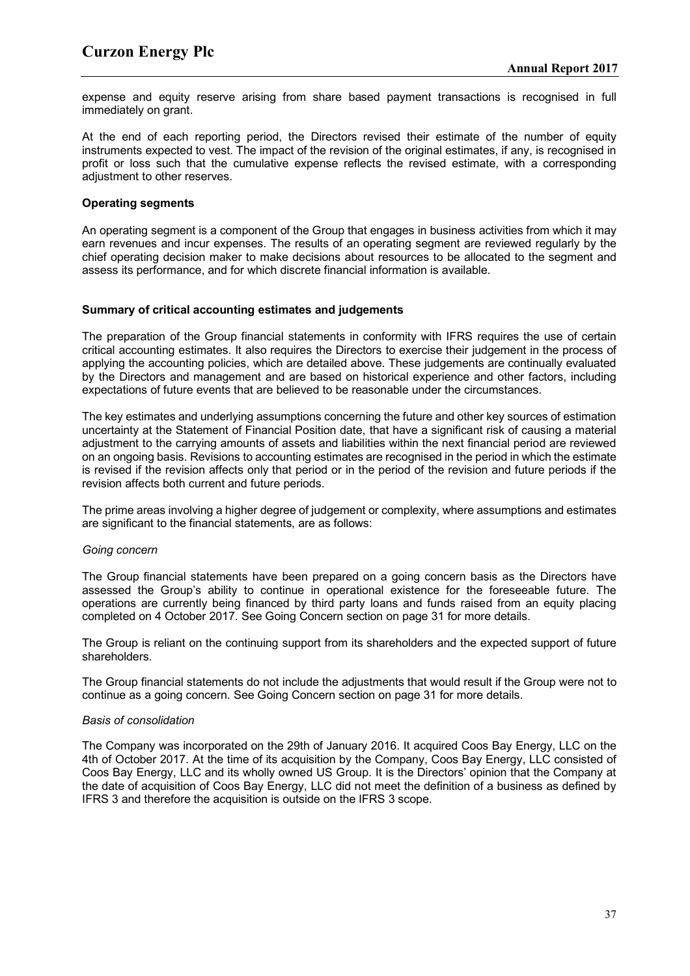expense and equity reserve arising from share based payment transactions is recognised in full immediately on grant.

At the end of each reporting period, the Directors revised their estimate of the number of equity instruments expected to vest. The impact of the revision of the original estimates, if any, is recognised in profit or loss such that the cumulative expense reflects the revised estimate, with a corresponding adjustment to other reserves.

### **Operating segments**

An operating segment is a component of the Group that engages in business activities from which it may earn revenues and incur expenses. The results of an operating segment are reviewed regularly by the chief operating decision maker to make decisions about resources to be allocated to the segment and assess its performance, and for which discrete financial information is available.

#### **Summary of critical accounting estimates and judgements**

The preparation of the Group financial statements in conformity with IFRS requires the use of certain critical accounting estimates. It also requires the Directors to exercise their judgement in the process of applying the accounting policies, which are detailed above. These judgements are continually evaluated by the Directors and management and are based on historical experience and other factors, including expectations of future events that are believed to be reasonable under the circumstances.

The key estimates and underlying assumptions concerning the future and other key sources of estimation uncertainty at the Statement of Financial Position date, that have a significant risk of causing a material adjustment to the carrying amounts of assets and liabilities within the next financial period are reviewed on an ongoing basis. Revisions to accounting estimates are recognised in the period in which the estimate is revised if the revision affects only that period or in the period of the revision and future periods if the revision affects both current and future periods.

The prime areas involving a higher degree of judgement or complexity, where assumptions and estimates are significant to the financial statements, are as follows:

#### *Going concern*

The Group financial statements have been prepared on a going concern basis as the Directors have assessed the Group's ability to continue in operational existence for the foreseeable future. The operations are currently being financed by third party loans and funds raised from an equity placing completed on 4 October 2017. See Going Concern section on page 31 for more details.

The Group is reliant on the continuing support from its shareholders and the expected support of future shareholders.

The Group financial statements do not include the adjustments that would result if the Group were not to continue as a going concern. See Going Concern section on page 31 for more details.

#### *Basis of consolidation*

The Company was incorporated on the 29th of January 2016. It acquired Coos Bay Energy, LLC on the 4th of October 2017. At the time of its acquisition by the Company, Coos Bay Energy, LLC consisted of Coos Bay Energy, LLC and its wholly owned US Group. It is the Directors' opinion that the Company at the date of acquisition of Coos Bay Energy, LLC did not meet the definition of a business as defined by IFRS 3 and therefore the acquisition is outside on the IFRS 3 scope.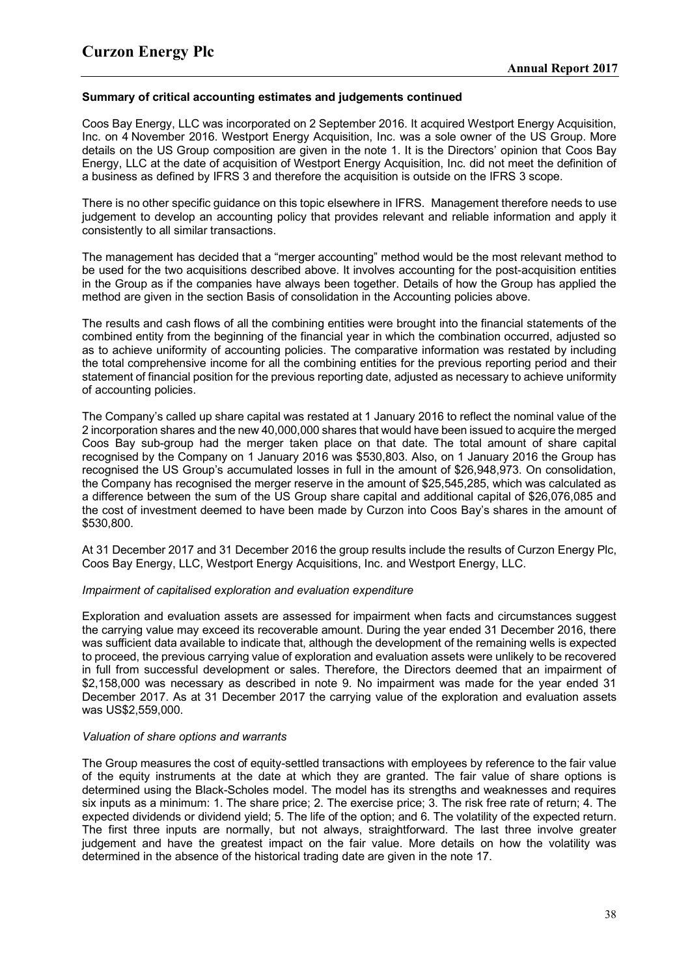#### **Summary of critical accounting estimates and judgements continued**

Coos Bay Energy, LLC was incorporated on 2 September 2016. It acquired Westport Energy Acquisition, Inc. on 4 November 2016. Westport Energy Acquisition, Inc. was a sole owner of the US Group. More details on the US Group composition are given in the note 1. It is the Directors' opinion that Coos Bay Energy, LLC at the date of acquisition of Westport Energy Acquisition, Inc. did not meet the definition of a business as defined by IFRS 3 and therefore the acquisition is outside on the IFRS 3 scope.

There is no other specific guidance on this topic elsewhere in IFRS. Management therefore needs to use judgement to develop an accounting policy that provides relevant and reliable information and apply it consistently to all similar transactions.

The management has decided that a "merger accounting" method would be the most relevant method to be used for the two acquisitions described above. It involves accounting for the post-acquisition entities in the Group as if the companies have always been together. Details of how the Group has applied the method are given in the section Basis of consolidation in the Accounting policies above.

The results and cash flows of all the combining entities were brought into the financial statements of the combined entity from the beginning of the financial year in which the combination occurred, adjusted so as to achieve uniformity of accounting policies. The comparative information was restated by including the total comprehensive income for all the combining entities for the previous reporting period and their statement of financial position for the previous reporting date, adjusted as necessary to achieve uniformity of accounting policies.

The Company's called up share capital was restated at 1 January 2016 to reflect the nominal value of the 2 incorporation shares and the new 40,000,000 shares that would have been issued to acquire the merged Coos Bay sub-group had the merger taken place on that date. The total amount of share capital recognised by the Company on 1 January 2016 was \$530,803. Also, on 1 January 2016 the Group has recognised the US Group's accumulated losses in full in the amount of \$26,948,973. On consolidation, the Company has recognised the merger reserve in the amount of \$25,545,285, which was calculated as a difference between the sum of the US Group share capital and additional capital of \$26,076,085 and the cost of investment deemed to have been made by Curzon into Coos Bay's shares in the amount of \$530,800.

At 31 December 2017 and 31 December 2016 the group results include the results of Curzon Energy Plc, Coos Bay Energy, LLC, Westport Energy Acquisitions, Inc. and Westport Energy, LLC.

#### *Impairment of capitalised exploration and evaluation expenditure*

Exploration and evaluation assets are assessed for impairment when facts and circumstances suggest the carrying value may exceed its recoverable amount. During the year ended 31 December 2016, there was sufficient data available to indicate that, although the development of the remaining wells is expected to proceed, the previous carrying value of exploration and evaluation assets were unlikely to be recovered in full from successful development or sales. Therefore, the Directors deemed that an impairment of \$2,158,000 was necessary as described in note 9. No impairment was made for the year ended 31 December 2017. As at 31 December 2017 the carrying value of the exploration and evaluation assets was US\$2,559,000.

#### *Valuation of share options and warrants*

The Group measures the cost of equity-settled transactions with employees by reference to the fair value of the equity instruments at the date at which they are granted. The fair value of share options is determined using the Black-Scholes model. The model has its strengths and weaknesses and requires six inputs as a minimum: 1. The share price; 2. The exercise price; 3. The risk free rate of return; 4. The expected dividends or dividend yield; 5. The life of the option; and 6. The volatility of the expected return. The first three inputs are normally, but not always, straightforward. The last three involve greater judgement and have the greatest impact on the fair value. More details on how the volatility was determined in the absence of the historical trading date are given in the note 17.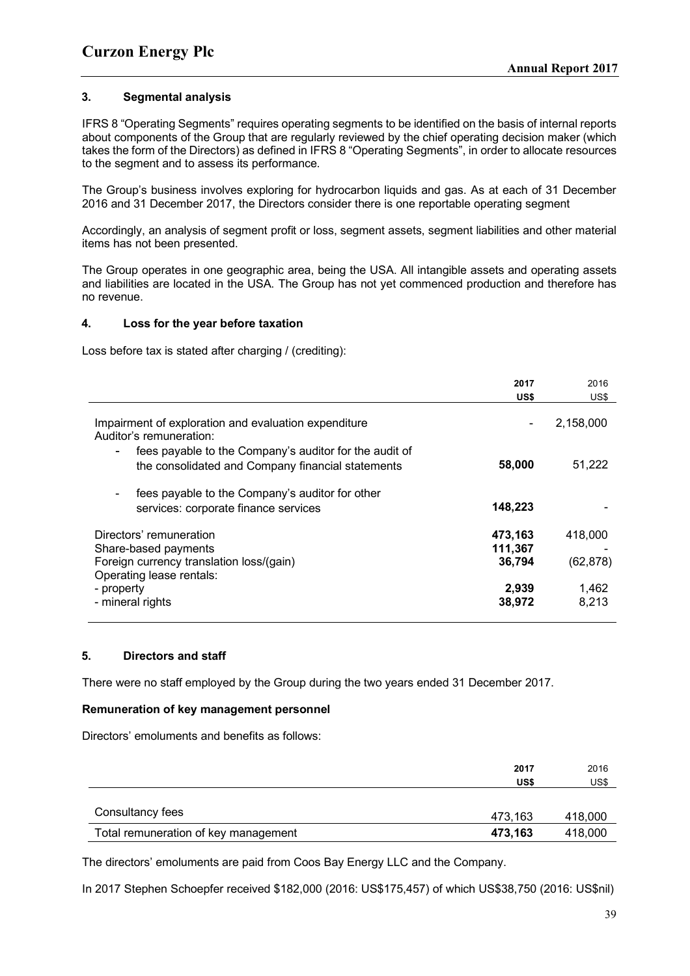### **3. Segmental analysis**

IFRS 8 "Operating Segments" requires operating segments to be identified on the basis of internal reports about components of the Group that are regularly reviewed by the chief operating decision maker (which takes the form of the Directors) as defined in IFRS 8 "Operating Segments", in order to allocate resources to the segment and to assess its performance.

The Group's business involves exploring for hydrocarbon liquids and gas. As at each of 31 December 2016 and 31 December 2017, the Directors consider there is one reportable operating segment

Accordingly, an analysis of segment profit or loss, segment assets, segment liabilities and other material items has not been presented.

The Group operates in one geographic area, being the USA. All intangible assets and operating assets and liabilities are located in the USA. The Group has not yet commenced production and therefore has no revenue.

### **4. Loss for the year before taxation**

Loss before tax is stated after charging / (crediting):

|                                                                                                                     | 2017                         | 2016                 |
|---------------------------------------------------------------------------------------------------------------------|------------------------------|----------------------|
|                                                                                                                     | US\$                         | US\$                 |
| Impairment of exploration and evaluation expenditure<br>Auditor's remuneration:                                     |                              | 2,158,000            |
| fees payable to the Company's auditor for the audit of<br>۰.<br>the consolidated and Company financial statements   | 58,000                       | 51,222               |
| fees payable to the Company's auditor for other<br>$\overline{\phantom{a}}$<br>services: corporate finance services | 148,223                      |                      |
| Directors' remuneration<br>Share-based payments<br>Foreign currency translation loss/(gain)                         | 473,163<br>111,367<br>36,794 | 418,000<br>(62, 878) |
| Operating lease rentals:<br>- property<br>- mineral rights                                                          | 2,939<br>38,972              | 1,462<br>8.213       |

### **5. Directors and staff**

There were no staff employed by the Group during the two years ended 31 December 2017.

#### **Remuneration of key management personnel**

Directors' emoluments and benefits as follows:

|                                      | 2017    | 2016    |
|--------------------------------------|---------|---------|
|                                      | US\$    | US\$    |
|                                      |         |         |
| Consultancy fees                     | 473.163 | 418,000 |
| Total remuneration of key management | 473,163 | 418,000 |

The directors' emoluments are paid from Coos Bay Energy LLC and the Company.

In 2017 Stephen Schoepfer received \$182,000 (2016: US\$175,457) of which US\$38,750 (2016: US\$nil)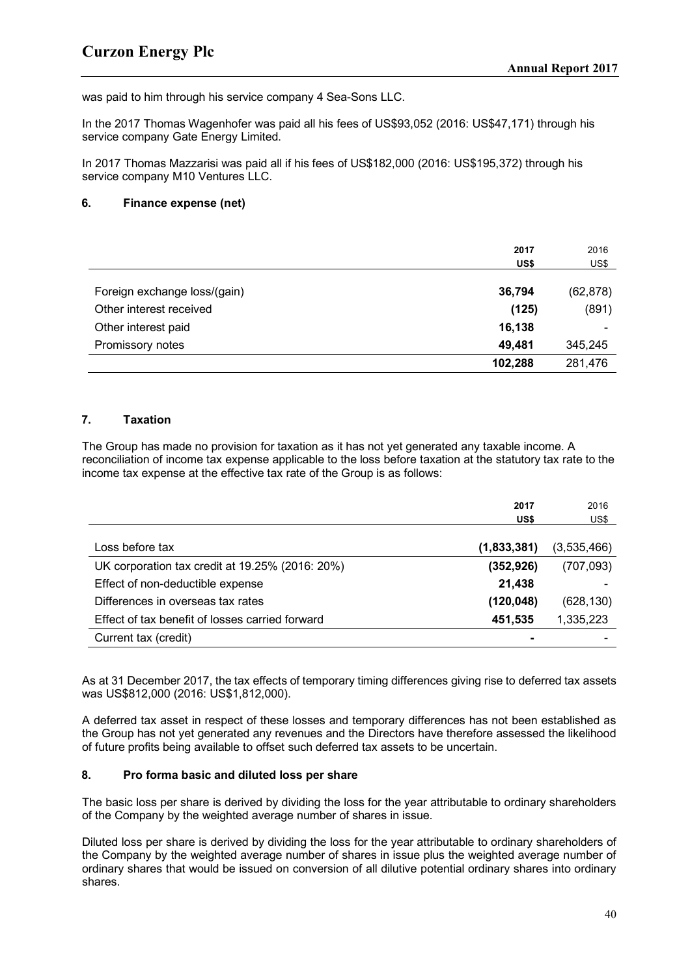was paid to him through his service company 4 Sea-Sons LLC.

In the 2017 Thomas Wagenhofer was paid all his fees of US\$93,052 (2016: US\$47,171) through his service company Gate Energy Limited.

In 2017 Thomas Mazzarisi was paid all if his fees of US\$182,000 (2016: US\$195,372) through his service company M10 Ventures LLC.

#### **6. Finance expense (net)**

|                              | 2017<br>US\$ | 2016<br>US\$ |
|------------------------------|--------------|--------------|
| Foreign exchange loss/(gain) | 36,794       | (62, 878)    |
| Other interest received      | (125)        | (891)        |
| Other interest paid          | 16,138       | $\,$         |
| Promissory notes             | 49,481       | 345,245      |
|                              | 102,288      | 281,476      |

### **7. Taxation**

The Group has made no provision for taxation as it has not yet generated any taxable income. A reconciliation of income tax expense applicable to the loss before taxation at the statutory tax rate to the income tax expense at the effective tax rate of the Group is as follows:

|                                                 | 2017        | 2016        |
|-------------------------------------------------|-------------|-------------|
|                                                 | US\$        | US\$        |
|                                                 |             |             |
| Loss before tax                                 | (1,833,381) | (3,535,466) |
| UK corporation tax credit at 19.25% (2016: 20%) | (352, 926)  | (707, 093)  |
| Effect of non-deductible expense                | 21,438      |             |
| Differences in overseas tax rates               | (120, 048)  | (628, 130)  |
| Effect of tax benefit of losses carried forward | 451,535     | 1,335,223   |
| Current tax (credit)                            |             |             |

As at 31 December 2017, the tax effects of temporary timing differences giving rise to deferred tax assets was US\$812,000 (2016: US\$1,812,000).

A deferred tax asset in respect of these losses and temporary differences has not been established as the Group has not yet generated any revenues and the Directors have therefore assessed the likelihood of future profits being available to offset such deferred tax assets to be uncertain.

### **8. Pro forma basic and diluted loss per share**

The basic loss per share is derived by dividing the loss for the year attributable to ordinary shareholders of the Company by the weighted average number of shares in issue.

Diluted loss per share is derived by dividing the loss for the year attributable to ordinary shareholders of the Company by the weighted average number of shares in issue plus the weighted average number of ordinary shares that would be issued on conversion of all dilutive potential ordinary shares into ordinary shares.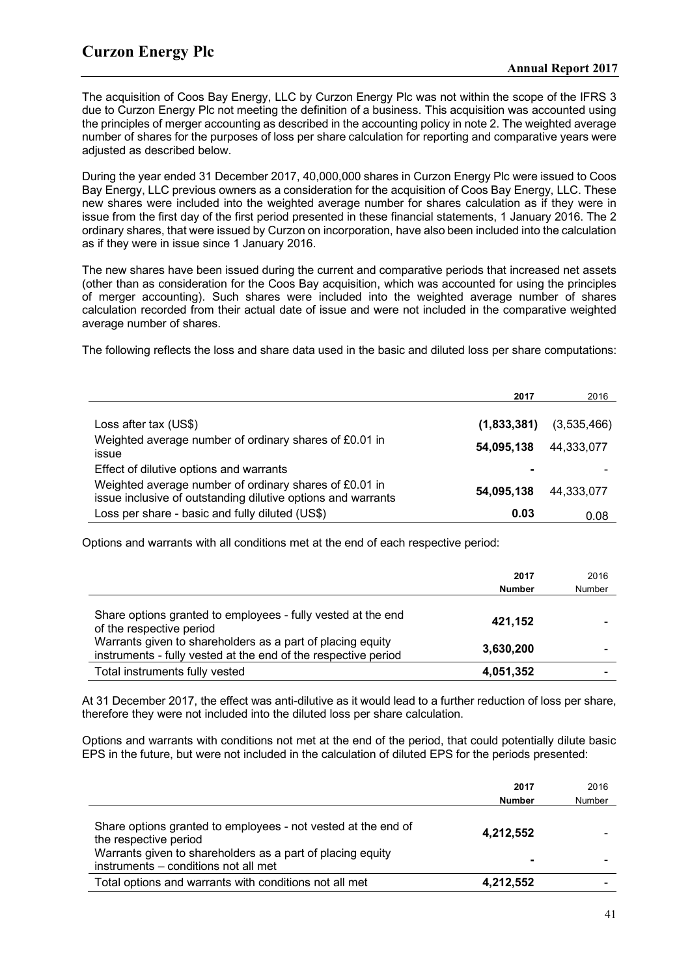The acquisition of Coos Bay Energy, LLC by Curzon Energy Plc was not within the scope of the IFRS 3 due to Curzon Energy Plc not meeting the definition of a business. This acquisition was accounted using the principles of merger accounting as described in the accounting policy in note 2. The weighted average number of shares for the purposes of loss per share calculation for reporting and comparative years were adjusted as described below.

During the year ended 31 December 2017, 40,000,000 shares in Curzon Energy Plc were issued to Coos Bay Energy, LLC previous owners as a consideration for the acquisition of Coos Bay Energy, LLC. These new shares were included into the weighted average number for shares calculation as if they were in issue from the first day of the first period presented in these financial statements, 1 January 2016. The 2 ordinary shares, that were issued by Curzon on incorporation, have also been included into the calculation as if they were in issue since 1 January 2016.

The new shares have been issued during the current and comparative periods that increased net assets (other than as consideration for the Coos Bay acquisition, which was accounted for using the principles of merger accounting). Such shares were included into the weighted average number of shares calculation recorded from their actual date of issue and were not included in the comparative weighted average number of shares.

The following reflects the loss and share data used in the basic and diluted loss per share computations:

|                                                                                                                        | 2017        | 2016        |
|------------------------------------------------------------------------------------------------------------------------|-------------|-------------|
|                                                                                                                        |             |             |
| Loss after tax (US\$)                                                                                                  | (1,833,381) | (3,535,466) |
| Weighted average number of ordinary shares of £0.01 in<br>issue                                                        | 54,095,138  | 44,333,077  |
| Effect of dilutive options and warrants                                                                                |             |             |
| Weighted average number of ordinary shares of £0.01 in<br>issue inclusive of outstanding dilutive options and warrants | 54,095,138  | 44,333,077  |
| Loss per share - basic and fully diluted (US\$)                                                                        | 0.03        | 0.08        |

Options and warrants with all conditions met at the end of each respective period:

|                                                                                                                              | 2017<br><b>Number</b> | 2016<br>Number |
|------------------------------------------------------------------------------------------------------------------------------|-----------------------|----------------|
| Share options granted to employees - fully vested at the end<br>of the respective period                                     | 421,152               |                |
| Warrants given to shareholders as a part of placing equity<br>instruments - fully vested at the end of the respective period | 3,630,200             |                |
| Total instruments fully vested                                                                                               | 4,051,352             |                |

At 31 December 2017, the effect was anti-dilutive as it would lead to a further reduction of loss per share, therefore they were not included into the diluted loss per share calculation.

Options and warrants with conditions not met at the end of the period, that could potentially dilute basic EPS in the future, but were not included in the calculation of diluted EPS for the periods presented:

|                                                                                                                                                                                              | 2017<br><b>Number</b> | 2016<br>Number |
|----------------------------------------------------------------------------------------------------------------------------------------------------------------------------------------------|-----------------------|----------------|
| Share options granted to employees - not vested at the end of<br>the respective period<br>Warrants given to shareholders as a part of placing equity<br>instruments - conditions not all met | 4,212,552             |                |
| Total options and warrants with conditions not all met                                                                                                                                       | 4,212,552             |                |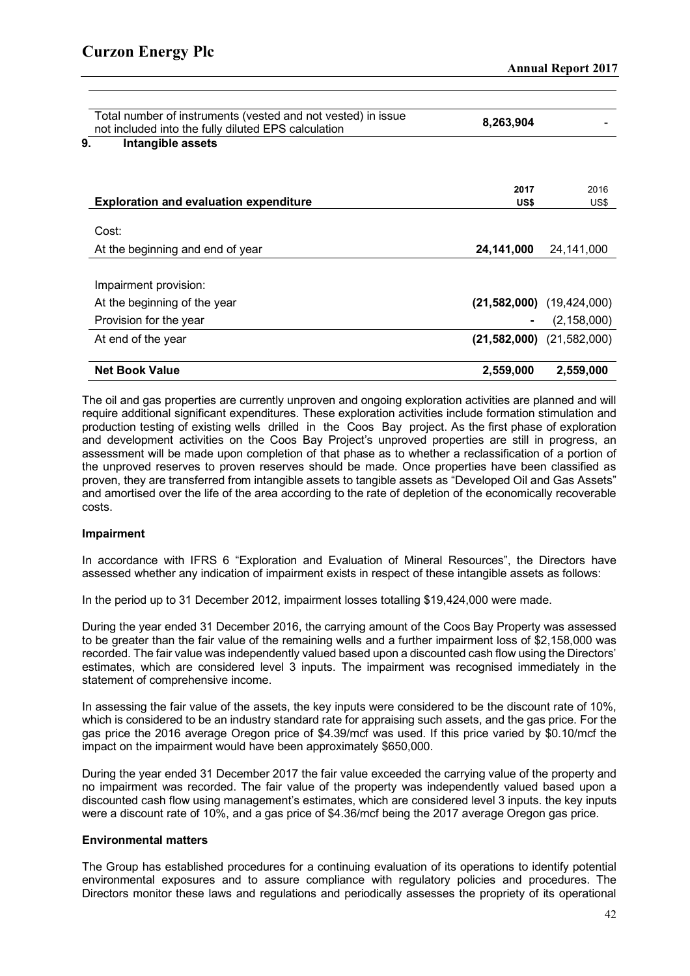| Total number of instruments (vested and not vested) in issue | 8,263,904  |                               |
|--------------------------------------------------------------|------------|-------------------------------|
| not included into the fully diluted EPS calculation          |            |                               |
| 9.<br>Intangible assets                                      |            |                               |
|                                                              |            |                               |
|                                                              | 2017       | 2016                          |
| <b>Exploration and evaluation expenditure</b>                | US\$       | US\$                          |
|                                                              |            |                               |
| Cost:                                                        |            |                               |
| At the beginning and end of year                             | 24,141,000 | 24,141,000                    |
|                                                              |            |                               |
| Impairment provision:                                        |            |                               |
| At the beginning of the year                                 |            | $(21,582,000)$ $(19,424,000)$ |
| Provision for the year                                       |            | (2, 158, 000)                 |
| At end of the year                                           |            | $(21,582,000)$ $(21,582,000)$ |
|                                                              |            |                               |
| <b>Net Book Value</b>                                        | 2,559,000  | 2,559,000                     |

The oil and gas properties are currently unproven and ongoing exploration activities are planned and will require additional significant expenditures. These exploration activities include formation stimulation and production testing of existing wells drilled in the Coos Bay project. As the first phase of exploration and development activities on the Coos Bay Project's unproved properties are still in progress, an assessment will be made upon completion of that phase as to whether a reclassification of a portion of the unproved reserves to proven reserves should be made. Once properties have been classified as proven, they are transferred from intangible assets to tangible assets as "Developed Oil and Gas Assets" and amortised over the life of the area according to the rate of depletion of the economically recoverable costs.

### **Impairment**

In accordance with IFRS 6 "Exploration and Evaluation of Mineral Resources", the Directors have assessed whether any indication of impairment exists in respect of these intangible assets as follows:

In the period up to 31 December 2012, impairment losses totalling \$19,424,000 were made.

During the year ended 31 December 2016, the carrying amount of the Coos Bay Property was assessed to be greater than the fair value of the remaining wells and a further impairment loss of \$2,158,000 was recorded. The fair value was independently valued based upon a discounted cash flow using the Directors' estimates, which are considered level 3 inputs. The impairment was recognised immediately in the statement of comprehensive income.

In assessing the fair value of the assets, the key inputs were considered to be the discount rate of 10%, which is considered to be an industry standard rate for appraising such assets, and the gas price. For the gas price the 2016 average Oregon price of \$4.39/mcf was used. If this price varied by \$0.10/mcf the impact on the impairment would have been approximately \$650,000.

During the year ended 31 December 2017 the fair value exceeded the carrying value of the property and no impairment was recorded. The fair value of the property was independently valued based upon a discounted cash flow using management's estimates, which are considered level 3 inputs. the key inputs were a discount rate of 10%, and a gas price of \$4.36/mcf being the 2017 average Oregon gas price.

#### **Environmental matters**

The Group has established procedures for a continuing evaluation of its operations to identify potential environmental exposures and to assure compliance with regulatory policies and procedures. The Directors monitor these laws and regulations and periodically assesses the propriety of its operational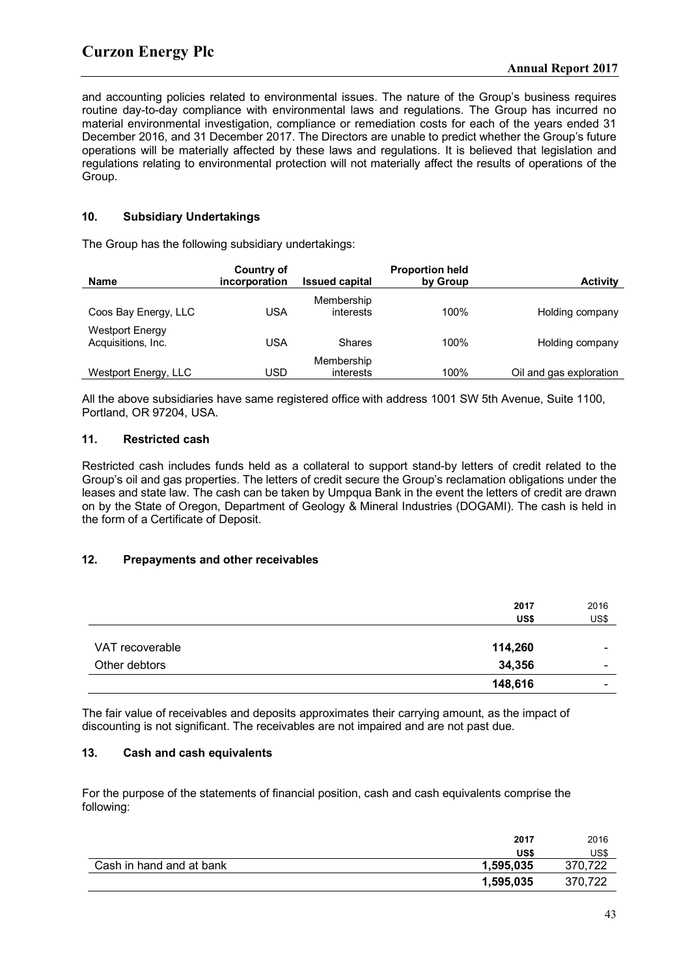and accounting policies related to environmental issues. The nature of the Group's business requires routine day-to-day compliance with environmental laws and regulations. The Group has incurred no material environmental investigation, compliance or remediation costs for each of the years ended 31 December 2016, and 31 December 2017. The Directors are unable to predict whether the Group's future operations will be materially affected by these laws and regulations. It is believed that legislation and regulations relating to environmental protection will not materially affect the results of operations of the Group.

### **10. Subsidiary Undertakings**

The Group has the following subsidiary undertakings:

| <b>Name</b>                                  | Country of<br>incorporation | <b>Issued capital</b>   | <b>Proportion held</b><br>by Group | <b>Activity</b>         |
|----------------------------------------------|-----------------------------|-------------------------|------------------------------------|-------------------------|
| Coos Bay Energy, LLC                         | USA                         | Membership<br>interests | 100%                               | Holding company         |
| <b>Westport Energy</b><br>Acquisitions, Inc. | USA                         | <b>Shares</b>           | 100%                               | Holding company         |
| Westport Energy, LLC                         | USD                         | Membership<br>interests | 100%                               | Oil and gas exploration |

All the above subsidiaries have same registered office with address 1001 SW 5th Avenue, Suite 1100, Portland, OR 97204, USA.

#### **11. Restricted cash**

Restricted cash includes funds held as a collateral to support stand-by letters of credit related to the Group's oil and gas properties. The letters of credit secure the Group's reclamation obligations under the leases and state law. The cash can be taken by Umpqua Bank in the event the letters of credit are drawn on by the State of Oregon, Department of Geology & Mineral Industries (DOGAMI). The cash is held in the form of a Certificate of Deposit.

### **12. Prepayments and other receivables**

|                 | 2017<br>US\$ | 2016<br>US\$             |
|-----------------|--------------|--------------------------|
| VAT recoverable | 114,260      |                          |
| Other debtors   | 34,356       | $\overline{\phantom{0}}$ |
|                 | 148,616      | $\overline{\phantom{a}}$ |

The fair value of receivables and deposits approximates their carrying amount, as the impact of discounting is not significant. The receivables are not impaired and are not past due.

### **13. Cash and cash equivalents**

For the purpose of the statements of financial position, cash and cash equivalents comprise the following:

|                          | 2017      | 2016    |
|--------------------------|-----------|---------|
|                          | US\$      | US\$    |
| Cash in hand and at bank | 1,595,035 | 370,722 |
|                          | 1,595,035 | 370,722 |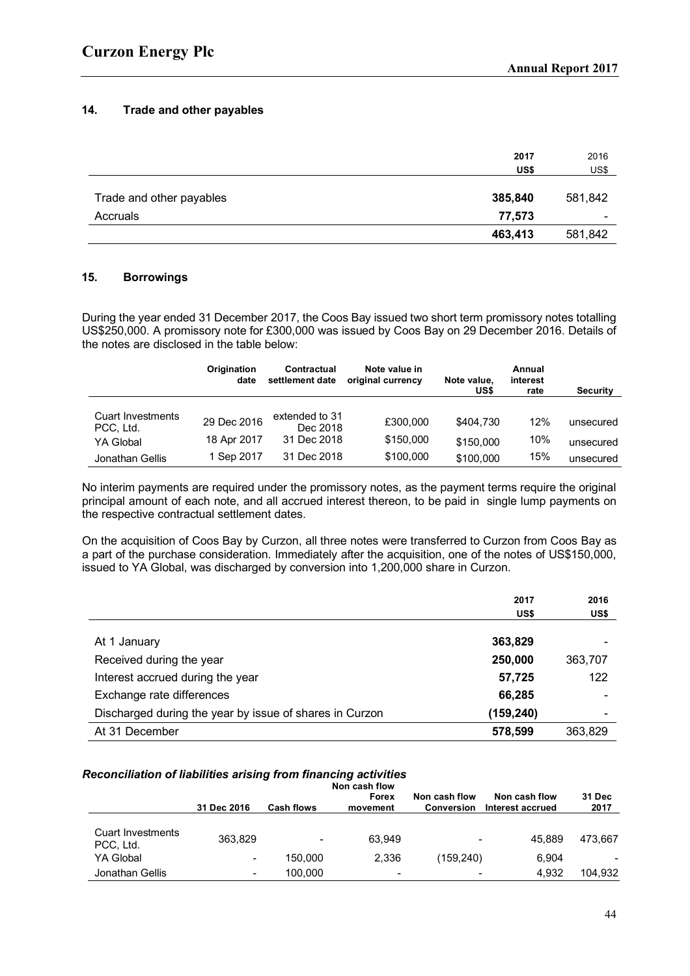### **14. Trade and other payables**

|                          | 2017    | 2016    |
|--------------------------|---------|---------|
|                          | US\$    | US\$    |
|                          |         |         |
| Trade and other payables | 385,840 | 581,842 |
| Accruals                 | 77,573  | -       |
|                          | 463,413 | 581,842 |

### **15. Borrowings**

During the year ended 31 December 2017, the Coos Bay issued two short term promissory notes totalling US\$250,000. A promissory note for £300,000 was issued by Coos Bay on 29 December 2016. Details of the notes are disclosed in the table below:

|                          | Origination<br>date | Contractual<br>settlement date | Note value in<br>original currency | Note value,<br>US\$ | Annual<br>interest<br>rate | <b>Security</b> |
|--------------------------|---------------------|--------------------------------|------------------------------------|---------------------|----------------------------|-----------------|
| <b>Cuart Investments</b> | 29 Dec 2016         | extended to 31                 | £300,000                           | \$404.730           | 12%                        | unsecured       |
| PCC, Ltd.<br>YA Global   | 18 Apr 2017         | Dec 2018<br>31 Dec 2018        | \$150,000                          | \$150,000           | 10%                        | unsecured       |
| Jonathan Gellis          | 1 Sep 2017          | 31 Dec 2018                    | \$100,000                          | \$100,000           | 15%                        | unsecured       |

No interim payments are required under the promissory notes, as the payment terms require the original principal amount of each note, and all accrued interest thereon, to be paid in single lump payments on the respective contractual settlement dates.

On the acquisition of Coos Bay by Curzon, all three notes were transferred to Curzon from Coos Bay as a part of the purchase consideration. Immediately after the acquisition, one of the notes of US\$150,000, issued to YA Global, was discharged by conversion into 1,200,000 share in Curzon.

|                                                         | 2017       | 2016                     |
|---------------------------------------------------------|------------|--------------------------|
|                                                         | US\$       | US\$                     |
|                                                         |            |                          |
| At 1 January                                            | 363,829    |                          |
| Received during the year                                | 250,000    | 363,707                  |
| Interest accrued during the year                        | 57,725     | 122                      |
| Exchange rate differences                               | 66,285     |                          |
| Discharged during the year by issue of shares in Curzon | (159, 240) | $\overline{\phantom{0}}$ |
| At 31 December                                          | 578,599    | 363.829                  |

### *Reconciliation of liabilities arising from financing activities*

|                                       |                          |                   | Non cash flow<br>Forex   | Non cash flow     | Non cash flow                      | 31 Dec  |
|---------------------------------------|--------------------------|-------------------|--------------------------|-------------------|------------------------------------|---------|
|                                       | 31 Dec 2016              | <b>Cash flows</b> | movement                 | <b>Conversion</b> | Interest accrued                   | 2017    |
| <b>Cuart Investments</b><br>PCC, Ltd. | 363.829                  | ۰                 | 63.949                   |                   | 45.889<br>$\overline{\phantom{0}}$ | 473.667 |
| YA Global                             | $\overline{\phantom{a}}$ | 150.000           | 2,336                    | (159,240)         | 6.904                              |         |
| Jonathan Gellis                       | $\overline{\phantom{a}}$ | 100.000           | $\overline{\phantom{a}}$ |                   | 4,932<br>-                         | 104.932 |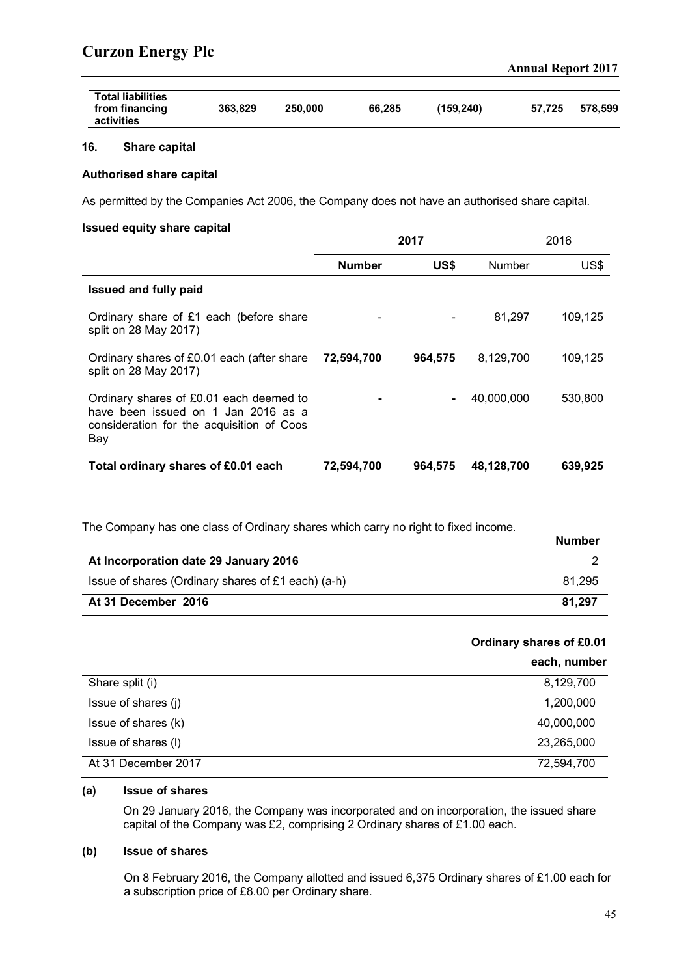| <b>Total liabilities</b><br>from financing<br>activities | 363.829 | 250,000 | 66.285 | (159.240) | 57.725 | 578.599 |
|----------------------------------------------------------|---------|---------|--------|-----------|--------|---------|

#### **16. Share capital**

#### **Authorised share capital**

As permitted by the Companies Act 2006, the Company does not have an authorised share capital.

#### **Issued equity share capital**

|                                                                                                                                    | 2017          |                | 2016       |         |
|------------------------------------------------------------------------------------------------------------------------------------|---------------|----------------|------------|---------|
|                                                                                                                                    | <b>Number</b> | US\$           | Number     | US\$    |
| <b>Issued and fully paid</b>                                                                                                       |               |                |            |         |
| Ordinary share of £1 each (before share<br>split on 28 May 2017)                                                                   |               |                | 81,297     | 109,125 |
| Ordinary shares of £0.01 each (after share<br>split on 28 May 2017)                                                                | 72,594,700    | 964,575        | 8,129,700  | 109,125 |
| Ordinary shares of £0.01 each deemed to<br>have been issued on 1 Jan 2016 as a<br>consideration for the acquisition of Coos<br>Bay |               | $\blacksquare$ | 40,000,000 | 530,800 |
| Total ordinary shares of £0.01 each                                                                                                | 72,594,700    | 964,575        | 48,128,700 | 639,925 |

The Company has one class of Ordinary shares which carry no right to fixed income.

| At Incorporation date 29 January 2016              |        |
|----------------------------------------------------|--------|
| Issue of shares (Ordinary shares of £1 each) (a-h) | 81.295 |
| At 31 December 2016                                | 81.297 |

#### **Ordinary shares of £0.01**

**Number**

|                     | each, number |
|---------------------|--------------|
| Share split (i)     | 8,129,700    |
| Issue of shares (j) | 1,200,000    |
| Issue of shares (k) | 40,000,000   |
| Issue of shares (I) | 23,265,000   |
| At 31 December 2017 | 72,594,700   |

### **(a) Issue of shares**

On 29 January 2016, the Company was incorporated and on incorporation, the issued share capital of the Company was £2, comprising 2 Ordinary shares of £1.00 each.

#### **(b) Issue of shares**

On 8 February 2016, the Company allotted and issued 6,375 Ordinary shares of £1.00 each for a subscription price of £8.00 per Ordinary share.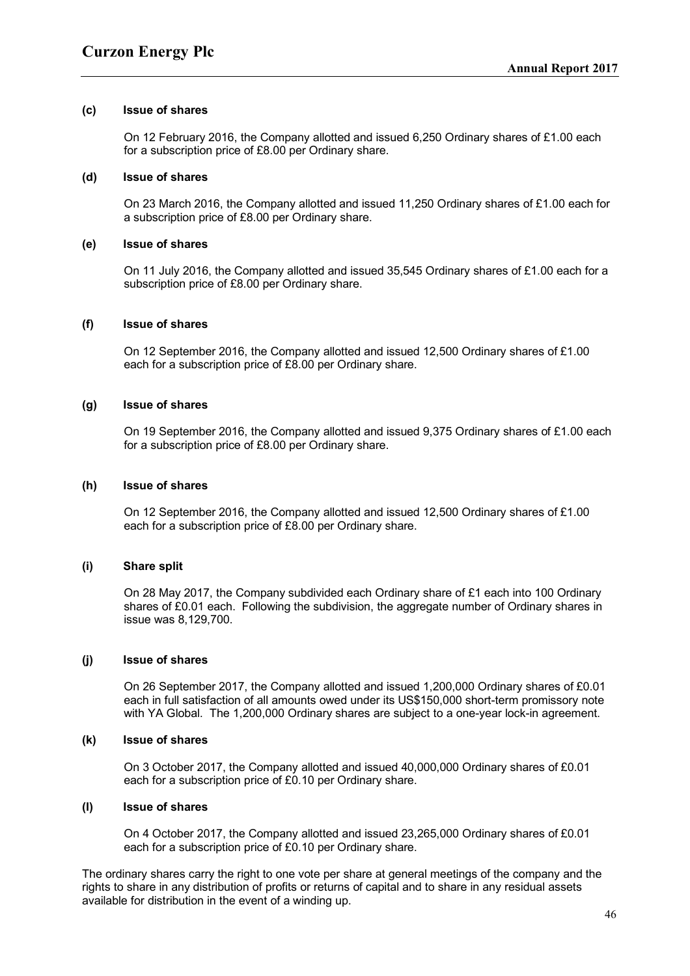#### **(c) Issue of shares**

On 12 February 2016, the Company allotted and issued 6,250 Ordinary shares of £1.00 each for a subscription price of £8.00 per Ordinary share.

#### **(d) Issue of shares**

On 23 March 2016, the Company allotted and issued 11,250 Ordinary shares of £1.00 each for a subscription price of £8.00 per Ordinary share.

#### **(e) Issue of shares**

On 11 July 2016, the Company allotted and issued 35,545 Ordinary shares of £1.00 each for a subscription price of £8.00 per Ordinary share.

### **(f) Issue of shares**

On 12 September 2016, the Company allotted and issued 12,500 Ordinary shares of £1.00 each for a subscription price of £8.00 per Ordinary share.

### **(g) Issue of shares**

On 19 September 2016, the Company allotted and issued 9,375 Ordinary shares of £1.00 each for a subscription price of £8.00 per Ordinary share.

#### **(h) Issue of shares**

On 12 September 2016, the Company allotted and issued 12,500 Ordinary shares of £1.00 each for a subscription price of £8.00 per Ordinary share.

### **(i) Share split**

On 28 May 2017, the Company subdivided each Ordinary share of £1 each into 100 Ordinary shares of £0.01 each. Following the subdivision, the aggregate number of Ordinary shares in issue was 8,129,700.

### **(j) Issue of shares**

On 26 September 2017, the Company allotted and issued 1,200,000 Ordinary shares of £0.01 each in full satisfaction of all amounts owed under its US\$150,000 short-term promissory note with YA Global. The 1,200,000 Ordinary shares are subject to a one-year lock-in agreement.

#### **(k) Issue of shares**

On 3 October 2017, the Company allotted and issued 40,000,000 Ordinary shares of £0.01 each for a subscription price of £0.10 per Ordinary share.

#### **(l) Issue of shares**

On 4 October 2017, the Company allotted and issued 23,265,000 Ordinary shares of £0.01 each for a subscription price of £0.10 per Ordinary share.

The ordinary shares carry the right to one vote per share at general meetings of the company and the rights to share in any distribution of profits or returns of capital and to share in any residual assets available for distribution in the event of a winding up.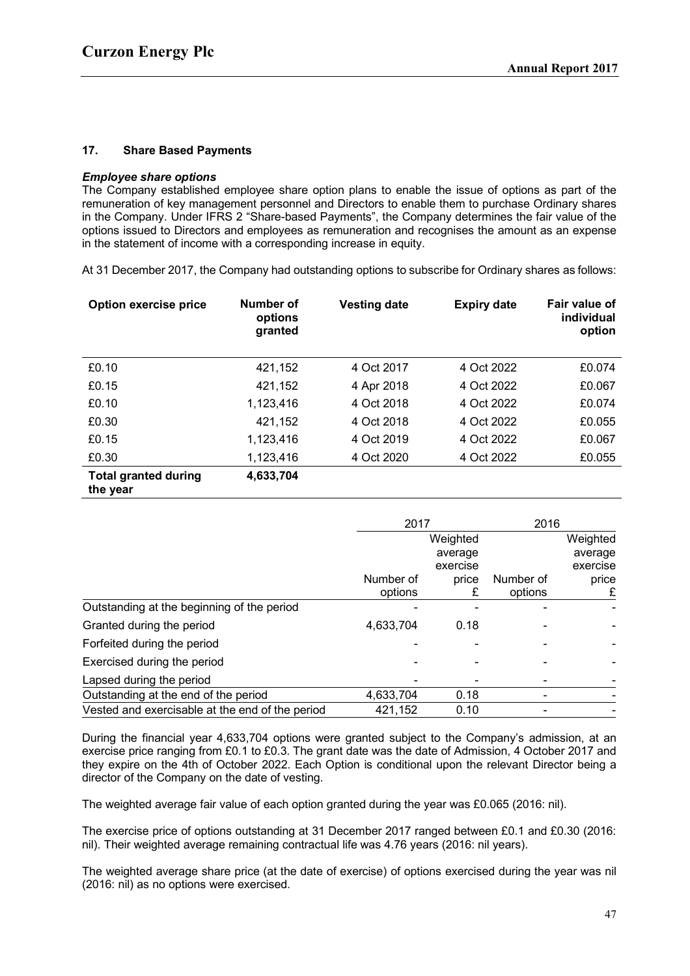### **17. Share Based Payments**

#### *Employee share options*

The Company established employee share option plans to enable the issue of options as part of the remuneration of key management personnel and Directors to enable them to purchase Ordinary shares in the Company. Under IFRS 2 "Share-based Payments", the Company determines the fair value of the options issued to Directors and employees as remuneration and recognises the amount as an expense in the statement of income with a corresponding increase in equity.

At 31 December 2017, the Company had outstanding options to subscribe for Ordinary shares as follows:

| <b>Option exercise price</b>            | Number of<br>options<br>granted | <b>Vesting date</b> | <b>Expiry date</b> | <b>Fair value of</b><br>individual<br>option |
|-----------------------------------------|---------------------------------|---------------------|--------------------|----------------------------------------------|
| £0.10                                   | 421,152                         | 4 Oct 2017          | 4 Oct 2022         | £0.074                                       |
| £0.15                                   | 421,152                         | 4 Apr 2018          | 4 Oct 2022         | £0.067                                       |
| £0.10                                   | 1,123,416                       | 4 Oct 2018          | 4 Oct 2022         | £0.074                                       |
| £0.30                                   | 421,152                         | 4 Oct 2018          | 4 Oct 2022         | £0.055                                       |
| £0.15                                   | 1,123,416                       | 4 Oct 2019          | 4 Oct 2022         | £0.067                                       |
| £0.30                                   | 1,123,416                       | 4 Oct 2020          | 4 Oct 2022         | £0.055                                       |
| <b>Total granted during</b><br>the year | 4,633,704                       |                     |                    |                                              |

|                                                 | 2017                 |                     | 2016                 |                     |
|-------------------------------------------------|----------------------|---------------------|----------------------|---------------------|
|                                                 |                      | Weighted            |                      | Weighted            |
|                                                 |                      | average<br>exercise |                      | average<br>exercise |
|                                                 | Number of<br>options | price               | Number of<br>options | price<br>£          |
| Outstanding at the beginning of the period      |                      |                     |                      |                     |
| Granted during the period                       | 4,633,704            | 0.18                |                      |                     |
| Forfeited during the period                     |                      |                     |                      |                     |
| Exercised during the period                     |                      |                     |                      |                     |
| Lapsed during the period                        |                      |                     |                      |                     |
| Outstanding at the end of the period            | 4,633,704            | 0.18                |                      |                     |
| Vested and exercisable at the end of the period | 421,152              | 0.10                |                      |                     |

During the financial year 4,633,704 options were granted subject to the Company's admission, at an exercise price ranging from £0.1 to £0.3. The grant date was the date of Admission, 4 October 2017 and they expire on the 4th of October 2022. Each Option is conditional upon the relevant Director being a director of the Company on the date of vesting.

The weighted average fair value of each option granted during the year was £0.065 (2016: nil).

The exercise price of options outstanding at 31 December 2017 ranged between £0.1 and £0.30 (2016: nil). Their weighted average remaining contractual life was 4.76 years (2016: nil years).

The weighted average share price (at the date of exercise) of options exercised during the year was nil (2016: nil) as no options were exercised.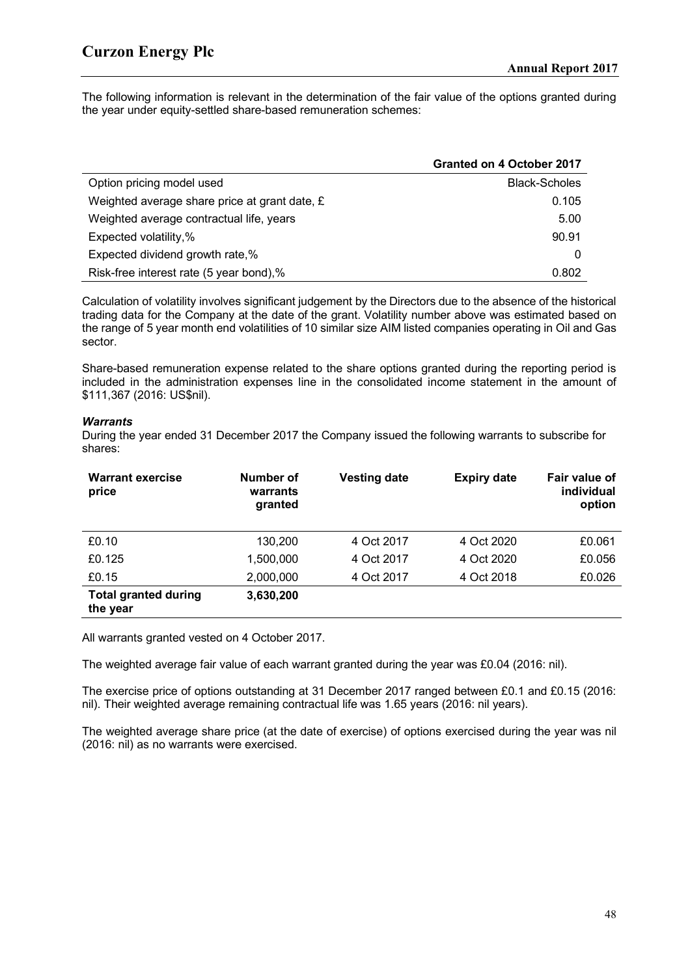The following information is relevant in the determination of the fair value of the options granted during the year under equity-settled share-based remuneration schemes:

|                                               | <b>Granted on 4 October 2017</b> |
|-----------------------------------------------|----------------------------------|
| Option pricing model used                     | <b>Black-Scholes</b>             |
| Weighted average share price at grant date, £ | 0.105                            |
| Weighted average contractual life, years      | 5.00                             |
| Expected volatility,%                         | 90.91                            |
| Expected dividend growth rate,%               | 0                                |
| Risk-free interest rate (5 year bond),%       | 0.802                            |

Calculation of volatility involves significant judgement by the Directors due to the absence of the historical trading data for the Company at the date of the grant. Volatility number above was estimated based on the range of 5 year month end volatilities of 10 similar size AIM listed companies operating in Oil and Gas sector.

Share-based remuneration expense related to the share options granted during the reporting period is included in the administration expenses line in the consolidated income statement in the amount of \$111,367 (2016: US\$nil).

#### *Warrants*

During the year ended 31 December 2017 the Company issued the following warrants to subscribe for shares:

| <b>Warrant exercise</b><br>price        | Number of<br>warrants<br>granted | <b>Vesting date</b> | <b>Expiry date</b> | Fair value of<br>individual<br>option |
|-----------------------------------------|----------------------------------|---------------------|--------------------|---------------------------------------|
| £0.10                                   | 130,200                          | 4 Oct 2017          | 4 Oct 2020         | £0.061                                |
| £0.125                                  | 1,500,000                        | 4 Oct 2017          | 4 Oct 2020         | £0.056                                |
| £0.15                                   | 2,000,000                        | 4 Oct 2017          | 4 Oct 2018         | £0.026                                |
| <b>Total granted during</b><br>the year | 3,630,200                        |                     |                    |                                       |

All warrants granted vested on 4 October 2017.

The weighted average fair value of each warrant granted during the year was £0.04 (2016: nil).

The exercise price of options outstanding at 31 December 2017 ranged between £0.1 and £0.15 (2016: nil). Their weighted average remaining contractual life was 1.65 years (2016: nil years).

The weighted average share price (at the date of exercise) of options exercised during the year was nil (2016: nil) as no warrants were exercised.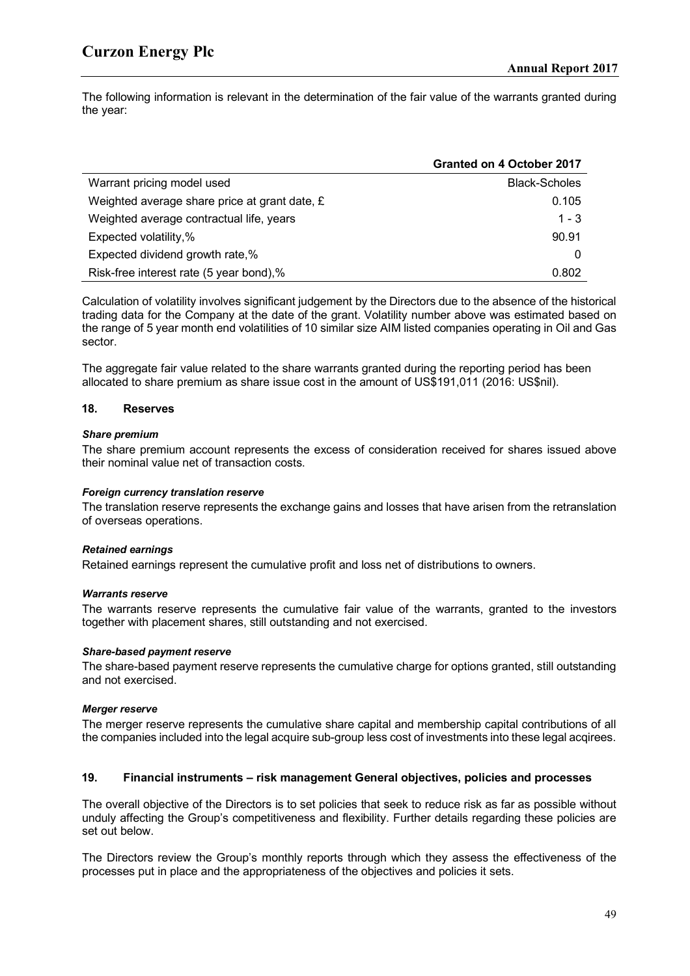The following information is relevant in the determination of the fair value of the warrants granted during the year:

|                                               | <b>Granted on 4 October 2017</b> |
|-----------------------------------------------|----------------------------------|
| Warrant pricing model used                    | <b>Black-Scholes</b>             |
| Weighted average share price at grant date, £ | 0.105                            |
| Weighted average contractual life, years      | $1 - 3$                          |
| Expected volatility,%                         | 90.91                            |
| Expected dividend growth rate,%               | 0                                |
| Risk-free interest rate (5 year bond),%       | 0.802                            |

Calculation of volatility involves significant judgement by the Directors due to the absence of the historical trading data for the Company at the date of the grant. Volatility number above was estimated based on the range of 5 year month end volatilities of 10 similar size AIM listed companies operating in Oil and Gas sector.

The aggregate fair value related to the share warrants granted during the reporting period has been allocated to share premium as share issue cost in the amount of US\$191,011 (2016: US\$nil).

#### **18. Reserves**

#### *Share premium*

The share premium account represents the excess of consideration received for shares issued above their nominal value net of transaction costs.

#### *Foreign currency translation reserve*

The translation reserve represents the exchange gains and losses that have arisen from the retranslation of overseas operations.

#### *Retained earnings*

Retained earnings represent the cumulative profit and loss net of distributions to owners.

#### *Warrants reserve*

The warrants reserve represents the cumulative fair value of the warrants, granted to the investors together with placement shares, still outstanding and not exercised.

#### *Share-based payment reserve*

The share-based payment reserve represents the cumulative charge for options granted, still outstanding and not exercised.

#### *Merger reserve*

The merger reserve represents the cumulative share capital and membership capital contributions of all the companies included into the legal acquire sub-group less cost of investments into these legal acqirees.

### **19. Financial instruments – risk management General objectives, policies and processes**

The overall objective of the Directors is to set policies that seek to reduce risk as far as possible without unduly affecting the Group's competitiveness and flexibility. Further details regarding these policies are set out below.

The Directors review the Group's monthly reports through which they assess the effectiveness of the processes put in place and the appropriateness of the objectives and policies it sets.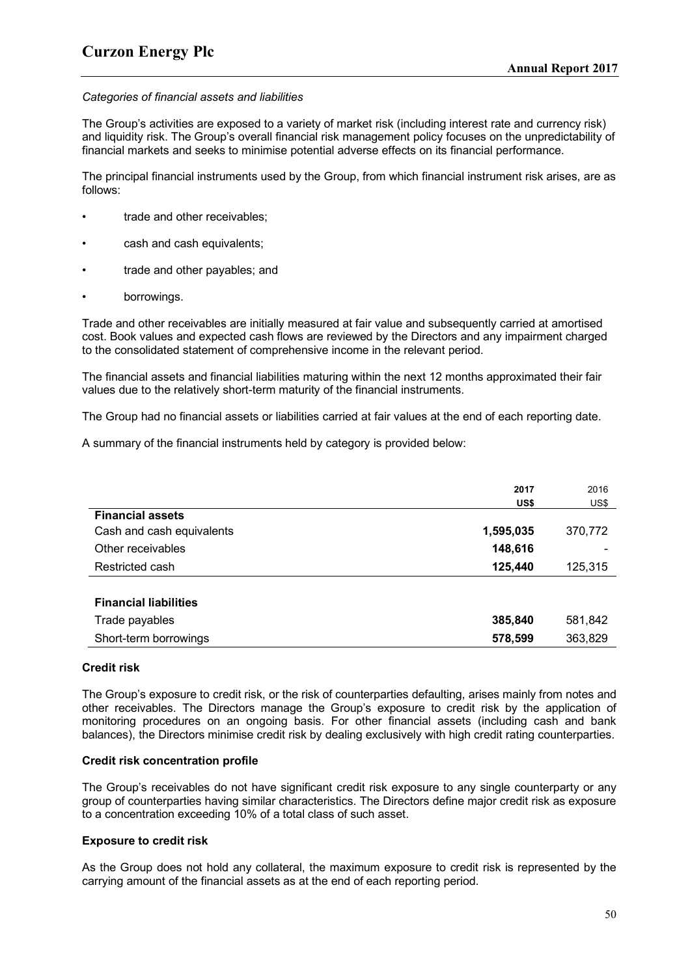#### *Categories of financial assets and liabilities*

The Group's activities are exposed to a variety of market risk (including interest rate and currency risk) and liquidity risk. The Group's overall financial risk management policy focuses on the unpredictability of financial markets and seeks to minimise potential adverse effects on its financial performance.

The principal financial instruments used by the Group, from which financial instrument risk arises, are as follows:

- trade and other receivables;
- cash and cash equivalents;
- trade and other payables; and
- borrowings.

Trade and other receivables are initially measured at fair value and subsequently carried at amortised cost. Book values and expected cash flows are reviewed by the Directors and any impairment charged to the consolidated statement of comprehensive income in the relevant period.

The financial assets and financial liabilities maturing within the next 12 months approximated their fair values due to the relatively short-term maturity of the financial instruments.

The Group had no financial assets or liabilities carried at fair values at the end of each reporting date.

A summary of the financial instruments held by category is provided below:

|                              | 2017      | 2016    |
|------------------------------|-----------|---------|
|                              | US\$      | US\$    |
| <b>Financial assets</b>      |           |         |
| Cash and cash equivalents    | 1,595,035 | 370,772 |
| Other receivables            | 148,616   |         |
| Restricted cash              | 125,440   | 125,315 |
|                              |           |         |
| <b>Financial liabilities</b> |           |         |
| Trade payables               | 385,840   | 581,842 |
| Short-term borrowings        | 578,599   | 363,829 |

### **Credit risk**

The Group's exposure to credit risk, or the risk of counterparties defaulting, arises mainly from notes and other receivables. The Directors manage the Group's exposure to credit risk by the application of monitoring procedures on an ongoing basis. For other financial assets (including cash and bank balances), the Directors minimise credit risk by dealing exclusively with high credit rating counterparties.

### **Credit risk concentration profile**

The Group's receivables do not have significant credit risk exposure to any single counterparty or any group of counterparties having similar characteristics. The Directors define major credit risk as exposure to a concentration exceeding 10% of a total class of such asset.

### **Exposure to credit risk**

As the Group does not hold any collateral, the maximum exposure to credit risk is represented by the carrying amount of the financial assets as at the end of each reporting period.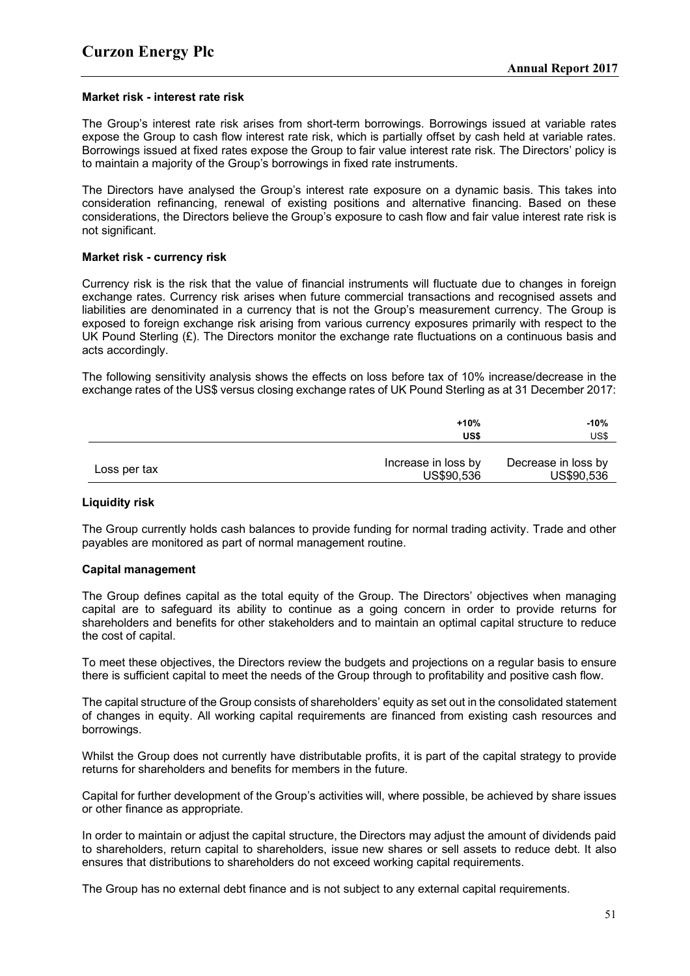#### **Market risk - interest rate risk**

The Group's interest rate risk arises from short-term borrowings. Borrowings issued at variable rates expose the Group to cash flow interest rate risk, which is partially offset by cash held at variable rates. Borrowings issued at fixed rates expose the Group to fair value interest rate risk. The Directors' policy is to maintain a majority of the Group's borrowings in fixed rate instruments.

The Directors have analysed the Group's interest rate exposure on a dynamic basis. This takes into consideration refinancing, renewal of existing positions and alternative financing. Based on these considerations, the Directors believe the Group's exposure to cash flow and fair value interest rate risk is not significant.

#### **Market risk - currency risk**

Currency risk is the risk that the value of financial instruments will fluctuate due to changes in foreign exchange rates. Currency risk arises when future commercial transactions and recognised assets and liabilities are denominated in a currency that is not the Group's measurement currency. The Group is exposed to foreign exchange risk arising from various currency exposures primarily with respect to the UK Pound Sterling  $(E)$ . The Directors monitor the exchange rate fluctuations on a continuous basis and acts accordingly.

The following sensitivity analysis shows the effects on loss before tax of 10% increase/decrease in the exchange rates of the US\$ versus closing exchange rates of UK Pound Sterling as at 31 December 2017:

|              | $+10%$                            | $-10%$                            |
|--------------|-----------------------------------|-----------------------------------|
|              | US\$                              | US\$                              |
| Loss per tax | Increase in loss by<br>US\$90,536 | Decrease in loss by<br>US\$90,536 |

### **Liquidity risk**

The Group currently holds cash balances to provide funding for normal trading activity. Trade and other payables are monitored as part of normal management routine.

#### **Capital management**

The Group defines capital as the total equity of the Group. The Directors' objectives when managing capital are to safeguard its ability to continue as a going concern in order to provide returns for shareholders and benefits for other stakeholders and to maintain an optimal capital structure to reduce the cost of capital.

To meet these objectives, the Directors review the budgets and projections on a regular basis to ensure there is sufficient capital to meet the needs of the Group through to profitability and positive cash flow.

The capital structure of the Group consists of shareholders' equity as set out in the consolidated statement of changes in equity. All working capital requirements are financed from existing cash resources and borrowings.

Whilst the Group does not currently have distributable profits, it is part of the capital strategy to provide returns for shareholders and benefits for members in the future.

Capital for further development of the Group's activities will, where possible, be achieved by share issues or other finance as appropriate.

In order to maintain or adjust the capital structure, the Directors may adjust the amount of dividends paid to shareholders, return capital to shareholders, issue new shares or sell assets to reduce debt. It also ensures that distributions to shareholders do not exceed working capital requirements.

The Group has no external debt finance and is not subject to any external capital requirements.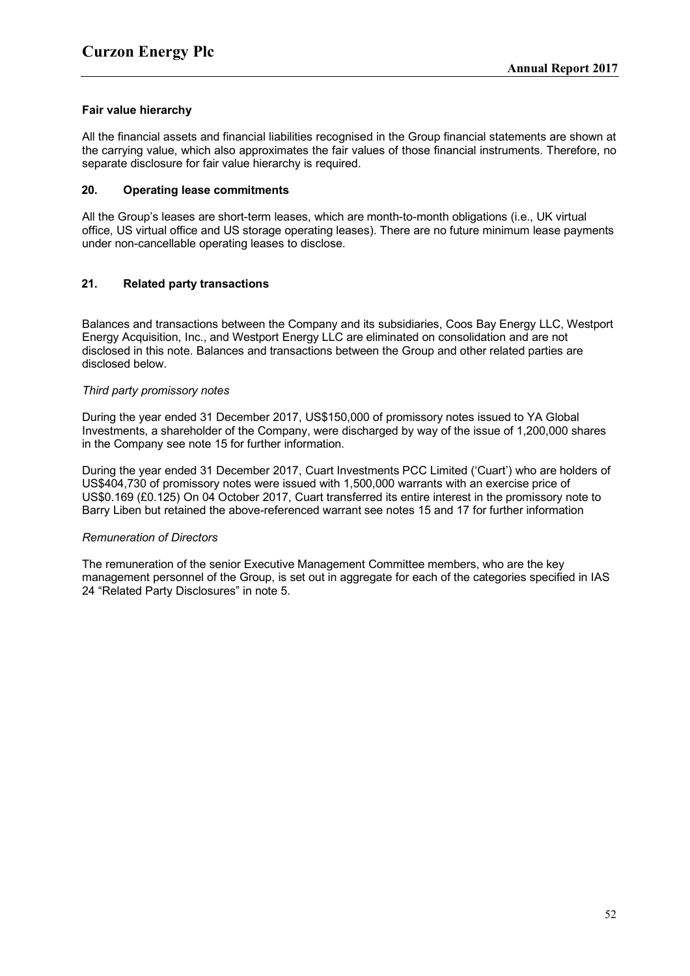### **Fair value hierarchy**

All the financial assets and financial liabilities recognised in the Group financial statements are shown at the carrying value, which also approximates the fair values of those financial instruments. Therefore, no separate disclosure for fair value hierarchy is required.

### **20. Operating lease commitments**

All the Group's leases are short-term leases, which are month-to-month obligations (i.e., UK virtual office, US virtual office and US storage operating leases). There are no future minimum lease payments under non-cancellable operating leases to disclose.

### **21. Related party transactions**

Balances and transactions between the Company and its subsidiaries, Coos Bay Energy LLC, Westport Energy Acquisition, Inc., and Westport Energy LLC are eliminated on consolidation and are not disclosed in this note. Balances and transactions between the Group and other related parties are disclosed below.

### *Third party promissory notes*

During the year ended 31 December 2017, US\$150,000 of promissory notes issued to YA Global Investments, a shareholder of the Company, were discharged by way of the issue of 1,200,000 shares in the Company see note 15 for further information.

During the year ended 31 December 2017, Cuart Investments PCC Limited ('Cuart') who are holders of US\$404,730 of promissory notes were issued with 1,500,000 warrants with an exercise price of US\$0.169 (£0.125) On 04 October 2017, Cuart transferred its entire interest in the promissory note to Barry Liben but retained the above-referenced warrant see notes 15 and 17 for further information

### *Remuneration of Directors*

The remuneration of the senior Executive Management Committee members, who are the key management personnel of the Group, is set out in aggregate for each of the categories specified in IAS 24 "Related Party Disclosures" in note 5.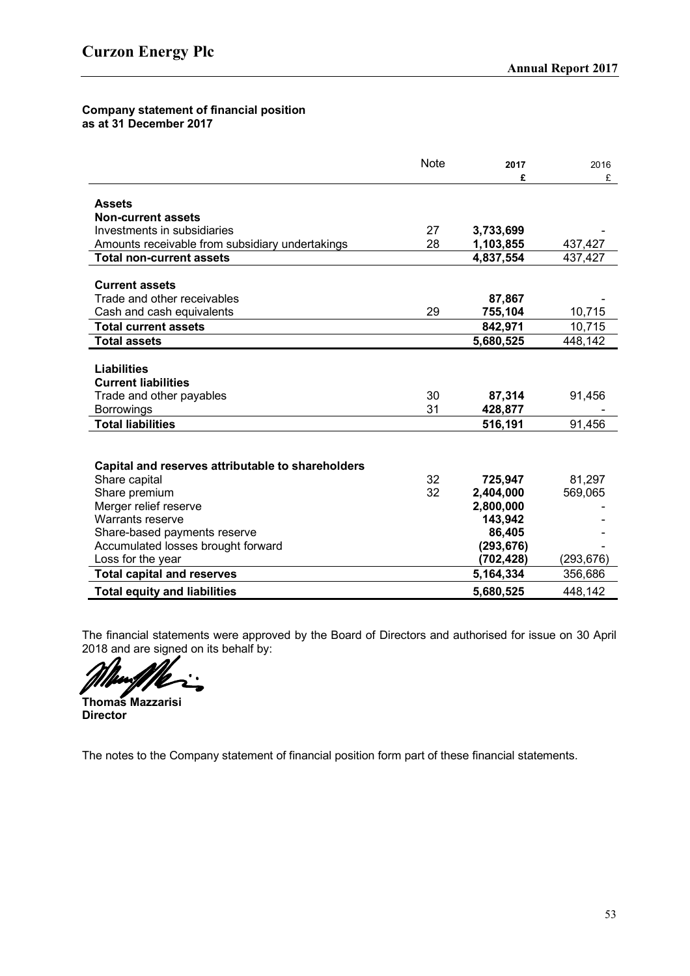#### **Company statement of financial position as at 31 December 2017**

|                                                   | <b>Note</b> | 2017       | 2016       |
|---------------------------------------------------|-------------|------------|------------|
|                                                   |             | £          | £          |
|                                                   |             |            |            |
| <b>Assets</b>                                     |             |            |            |
| <b>Non-current assets</b>                         |             |            |            |
| Investments in subsidiaries                       | 27          | 3,733,699  |            |
| Amounts receivable from subsidiary undertakings   | 28          | 1,103,855  | 437,427    |
| <b>Total non-current assets</b>                   |             | 4,837,554  | 437,427    |
|                                                   |             |            |            |
| <b>Current assets</b>                             |             |            |            |
| Trade and other receivables                       |             | 87,867     |            |
| Cash and cash equivalents                         | 29          | 755,104    | 10,715     |
| <b>Total current assets</b>                       |             | 842,971    | 10,715     |
| <b>Total assets</b>                               |             | 5,680,525  | 448,142    |
|                                                   |             |            |            |
| <b>Liabilities</b>                                |             |            |            |
| <b>Current liabilities</b>                        |             |            |            |
| Trade and other payables                          | 30          | 87,314     | 91,456     |
| <b>Borrowings</b>                                 | 31          | 428,877    |            |
| <b>Total liabilities</b>                          |             | 516,191    | 91,456     |
|                                                   |             |            |            |
|                                                   |             |            |            |
| Capital and reserves attributable to shareholders |             |            |            |
| Share capital                                     | 32          | 725,947    | 81,297     |
| Share premium                                     | 32          | 2,404,000  | 569,065    |
| Merger relief reserve                             |             | 2,800,000  |            |
| Warrants reserve                                  |             | 143,942    |            |
| Share-based payments reserve                      |             | 86,405     |            |
| Accumulated losses brought forward                |             | (293, 676) |            |
| Loss for the year                                 |             | (702, 428) | (293, 676) |
| <b>Total capital and reserves</b>                 |             | 5,164,334  | 356,686    |
| <b>Total equity and liabilities</b>               |             | 5,680,525  | 448,142    |

The financial statements were approved by the Board of Directors and authorised for issue on 30 April 2018 and are signed on its behalf by:

**Thomas Mazzarisi Director**

The notes to the Company statement of financial position form part of these financial statements.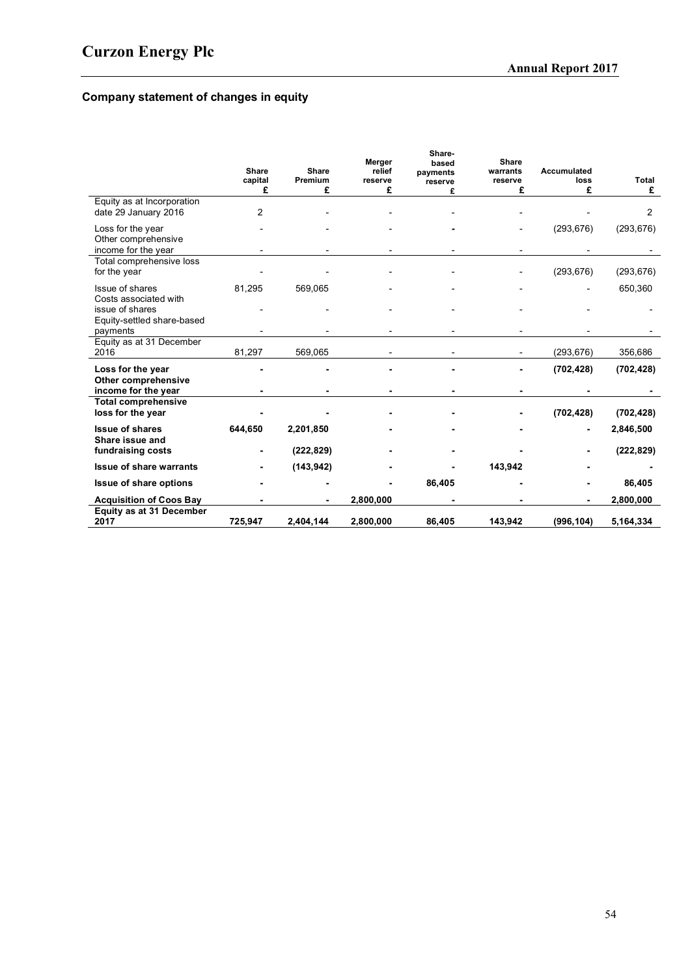## **Company statement of changes in equity**

|                                                                 | <b>Share</b><br>capital<br>£ | Share<br>Premium<br>£ | Merger<br>relief<br>reserve<br>£ | Share-<br>based<br>payments<br>reserve<br>£ | Share<br>warrants<br>reserve<br>£ | Accumulated<br>loss<br>£ | <b>Total</b><br>£ |
|-----------------------------------------------------------------|------------------------------|-----------------------|----------------------------------|---------------------------------------------|-----------------------------------|--------------------------|-------------------|
| Equity as at Incorporation                                      |                              |                       |                                  |                                             |                                   |                          |                   |
| date 29 January 2016                                            | $\overline{2}$               |                       |                                  |                                             |                                   |                          | 2                 |
| Loss for the year<br>Other comprehensive<br>income for the year |                              |                       |                                  |                                             |                                   | (293, 676)               | (293, 676)        |
| Total comprehensive loss                                        |                              |                       |                                  |                                             |                                   |                          |                   |
| for the year                                                    |                              |                       |                                  |                                             |                                   | (293, 676)               | (293, 676)        |
| Issue of shares<br>Costs associated with                        | 81,295                       | 569,065               |                                  |                                             |                                   |                          | 650,360           |
| issue of shares<br>Equity-settled share-based                   |                              |                       |                                  |                                             |                                   |                          |                   |
| payments                                                        |                              |                       |                                  |                                             |                                   |                          |                   |
| Equity as at 31 December<br>2016                                | 81,297                       | 569,065               | $\overline{\phantom{a}}$         |                                             | $\overline{\phantom{a}}$          | (293, 676)               | 356,686           |
| Loss for the year<br><b>Other comprehensive</b>                 |                              |                       |                                  |                                             |                                   | (702, 428)               | (702, 428)        |
| income for the year                                             |                              |                       |                                  |                                             |                                   |                          |                   |
| <b>Total comprehensive</b><br>loss for the year                 |                              |                       |                                  |                                             |                                   | (702, 428)               | (702, 428)        |
| <b>Issue of shares</b><br>Share issue and                       | 644,650                      | 2,201,850             |                                  |                                             |                                   |                          | 2,846,500         |
| fundraising costs                                               |                              | (222, 829)            |                                  |                                             |                                   |                          | (222, 829)        |
| <b>Issue of share warrants</b>                                  |                              | (143, 942)            |                                  |                                             | 143,942                           |                          |                   |
| Issue of share options                                          |                              |                       |                                  | 86,405                                      |                                   |                          | 86,405            |
| <b>Acquisition of Coos Bay</b>                                  |                              |                       | 2,800,000                        |                                             |                                   |                          | 2,800,000         |
| Equity as at 31 December<br>2017                                | 725,947                      | 2,404,144             | 2,800,000                        | 86.405                                      | 143,942                           | (996, 104)               | 5,164,334         |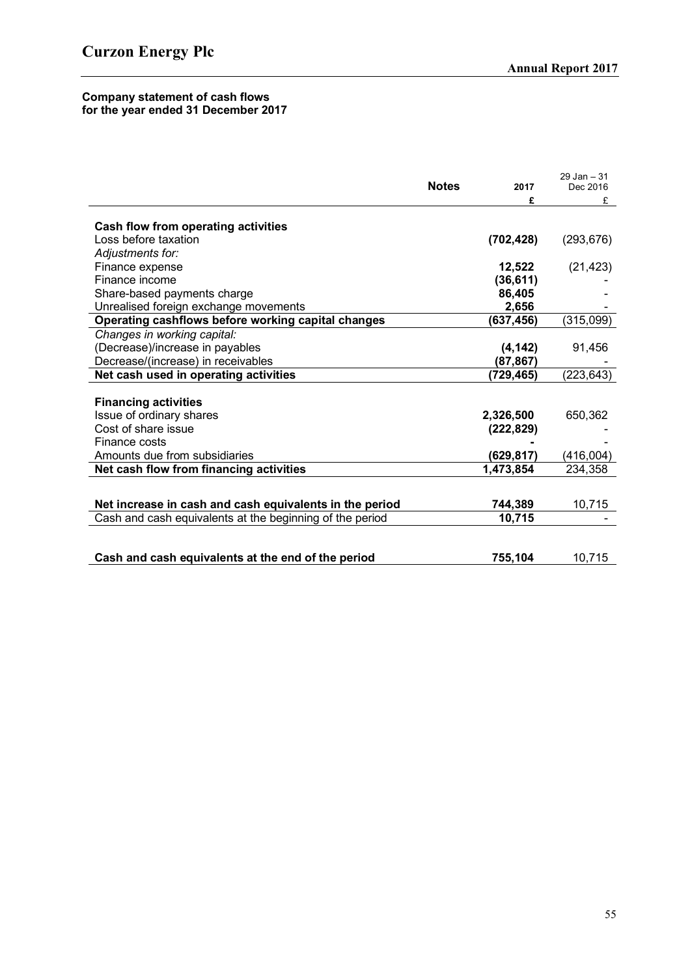#### **Company statement of cash flows for the year ended 31 December 2017**

|                                                          | <b>Notes</b> | 2017       | $29$ Jan $-31$<br>Dec 2016 |
|----------------------------------------------------------|--------------|------------|----------------------------|
|                                                          |              | £          | £                          |
|                                                          |              |            |                            |
| <b>Cash flow from operating activities</b>               |              |            |                            |
| Loss before taxation                                     |              | (702, 428) | (293, 676)                 |
| Adjustments for:                                         |              |            |                            |
| Finance expense                                          |              | 12,522     | (21, 423)                  |
| Finance income                                           |              | (36, 611)  |                            |
| Share-based payments charge                              |              | 86,405     |                            |
| Unrealised foreign exchange movements                    |              | 2,656      |                            |
| Operating cashflows before working capital changes       |              | (637, 456) | (315,099)                  |
| Changes in working capital:                              |              |            |                            |
| (Decrease)/increase in payables                          |              | (4, 142)   | 91,456                     |
| Decrease/(increase) in receivables                       |              | (87,867)   |                            |
| Net cash used in operating activities                    |              | (729,465)  | (223, 643)                 |
|                                                          |              |            |                            |
| <b>Financing activities</b>                              |              |            |                            |
| Issue of ordinary shares                                 |              | 2,326,500  | 650,362                    |
| Cost of share issue                                      |              | (222, 829) |                            |
| Finance costs                                            |              |            |                            |
| Amounts due from subsidiaries                            |              | (629,817)  | (416,004)                  |
| Net cash flow from financing activities                  |              | 1,473,854  | 234,358                    |
|                                                          |              |            |                            |
| Net increase in cash and cash equivalents in the period  |              | 744,389    | 10,715                     |
| Cash and cash equivalents at the beginning of the period |              | 10,715     |                            |
|                                                          |              |            |                            |
|                                                          |              |            |                            |
| Cash and cash equivalents at the end of the period       |              | 755,104    | 10,715                     |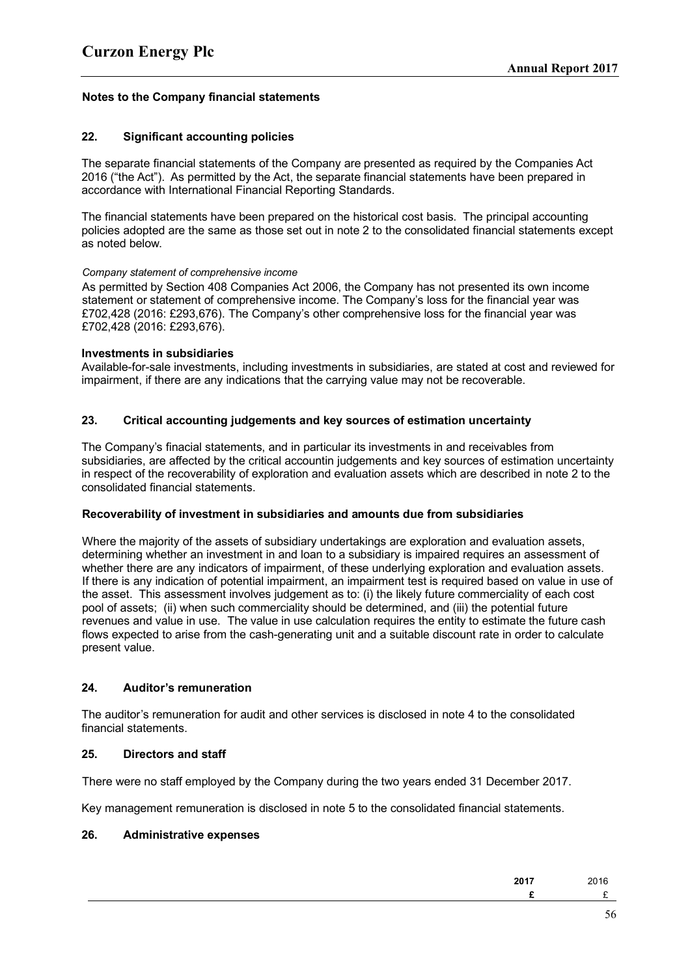### **Notes to the Company financial statements**

### **22. Significant accounting policies**

The separate financial statements of the Company are presented as required by the Companies Act 2016 ("the Act"). As permitted by the Act, the separate financial statements have been prepared in accordance with International Financial Reporting Standards.

The financial statements have been prepared on the historical cost basis. The principal accounting policies adopted are the same as those set out in note 2 to the consolidated financial statements except as noted below.

#### *Company statement of comprehensive income*

As permitted by Section 408 Companies Act 2006, the Company has not presented its own income statement or statement of comprehensive income. The Company's loss for the financial year was £702,428 (2016: £293,676). The Company's other comprehensive loss for the financial year was £702,428 (2016: £293,676).

#### **Investments in subsidiaries**

Available-for-sale investments, including investments in subsidiaries, are stated at cost and reviewed for impairment, if there are any indications that the carrying value may not be recoverable.

### **23. Critical accounting judgements and key sources of estimation uncertainty**

The Company's finacial statements, and in particular its investments in and receivables from subsidiaries, are affected by the critical accountin judgements and key sources of estimation uncertainty in respect of the recoverability of exploration and evaluation assets which are described in note 2 to the consolidated financial statements.

### **Recoverability of investment in subsidiaries and amounts due from subsidiaries**

Where the majority of the assets of subsidiary undertakings are exploration and evaluation assets, determining whether an investment in and loan to a subsidiary is impaired requires an assessment of whether there are any indicators of impairment, of these underlying exploration and evaluation assets. If there is any indication of potential impairment, an impairment test is required based on value in use of the asset. This assessment involves judgement as to: (i) the likely future commerciality of each cost pool of assets; (ii) when such commerciality should be determined, and (iii) the potential future revenues and value in use. The value in use calculation requires the entity to estimate the future cash flows expected to arise from the cash-generating unit and a suitable discount rate in order to calculate present value.

### **24. Auditor's remuneration**

The auditor's remuneration for audit and other services is disclosed in note 4 to the consolidated financial statements.

### **25. Directors and staff**

There were no staff employed by the Company during the two years ended 31 December 2017.

Key management remuneration is disclosed in note 5 to the consolidated financial statements.

### **26. Administrative expenses**

| 2017 | 2016 |
|------|------|
|      |      |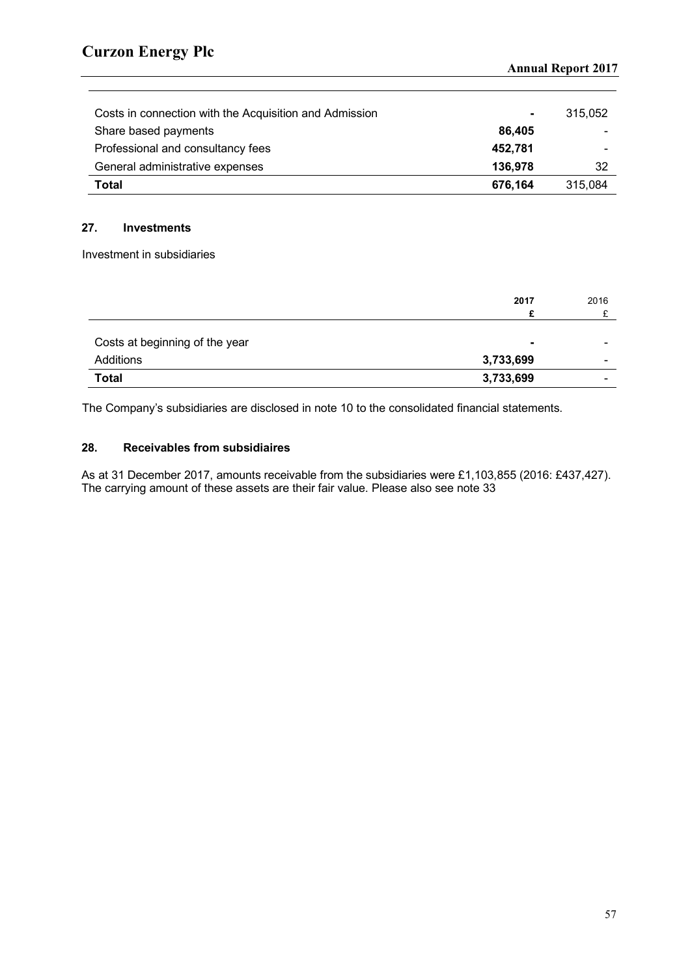| Costs in connection with the Acquisition and Admission | $\blacksquare$ | 315.052 |
|--------------------------------------------------------|----------------|---------|
| Share based payments                                   | 86.405         |         |
| Professional and consultancy fees                      | 452,781        |         |
| General administrative expenses                        | 136.978        | 32      |
| Total                                                  | 676,164        | 315.084 |

### **27. Investments**

Investment in subsidiaries

|                                | 2017      | 2016                     |
|--------------------------------|-----------|--------------------------|
| Costs at beginning of the year |           | $\overline{\phantom{0}}$ |
| Additions                      | 3,733,699 | $\overline{\phantom{0}}$ |
| <b>Total</b>                   | 3,733,699 | $\,$                     |

The Company's subsidiaries are disclosed in note 10 to the consolidated financial statements.

### **28. Receivables from subsidiaires**

As at 31 December 2017, amounts receivable from the subsidiaries were £1,103,855 (2016: £437,427). The carrying amount of these assets are their fair value. Please also see note 33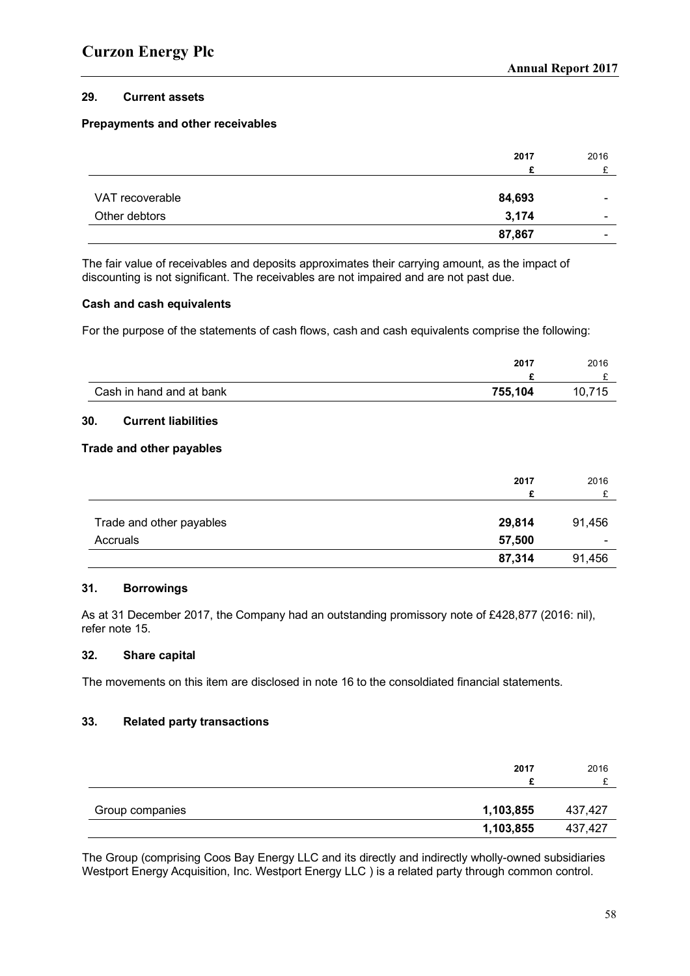### **29. Current assets**

### **Prepayments and other receivables**

|                 | 2017   | 2016                     |
|-----------------|--------|--------------------------|
|                 | £      |                          |
|                 |        |                          |
| VAT recoverable | 84,693 | $\overline{\phantom{0}}$ |
| Other debtors   | 3,174  | $\overline{\phantom{0}}$ |
|                 | 87,867 | $\overline{\phantom{0}}$ |

The fair value of receivables and deposits approximates their carrying amount, as the impact of discounting is not significant. The receivables are not impaired and are not past due.

#### **Cash and cash equivalents**

For the purpose of the statements of cash flows, cash and cash equivalents comprise the following:

|                          | 2017    | 2016   |
|--------------------------|---------|--------|
|                          |         |        |
| Cash in hand and at bank | 755,104 | 10,715 |

### **30. Current liabilities**

#### **Trade and other payables**

|                          | 2017<br>£ | 2016                     |
|--------------------------|-----------|--------------------------|
|                          |           |                          |
| Trade and other payables | 29,814    | 91,456                   |
| Accruals                 | 57,500    | $\overline{\phantom{0}}$ |
|                          | 87,314    | 91,456                   |

### **31. Borrowings**

As at 31 December 2017, the Company had an outstanding promissory note of £428,877 (2016: nil), refer note 15.

### **32. Share capital**

The movements on this item are disclosed in note 16 to the consoldiated financial statements.

### **33. Related party transactions**

|                 | 2017      | 2016    |
|-----------------|-----------|---------|
| Group companies | 1,103,855 | 437,427 |
|                 | 1,103,855 | 437,427 |

The Group (comprising Coos Bay Energy LLC and its directly and indirectly wholly-owned subsidiaries Westport Energy Acquisition, Inc. Westport Energy LLC ) is a related party through common control.